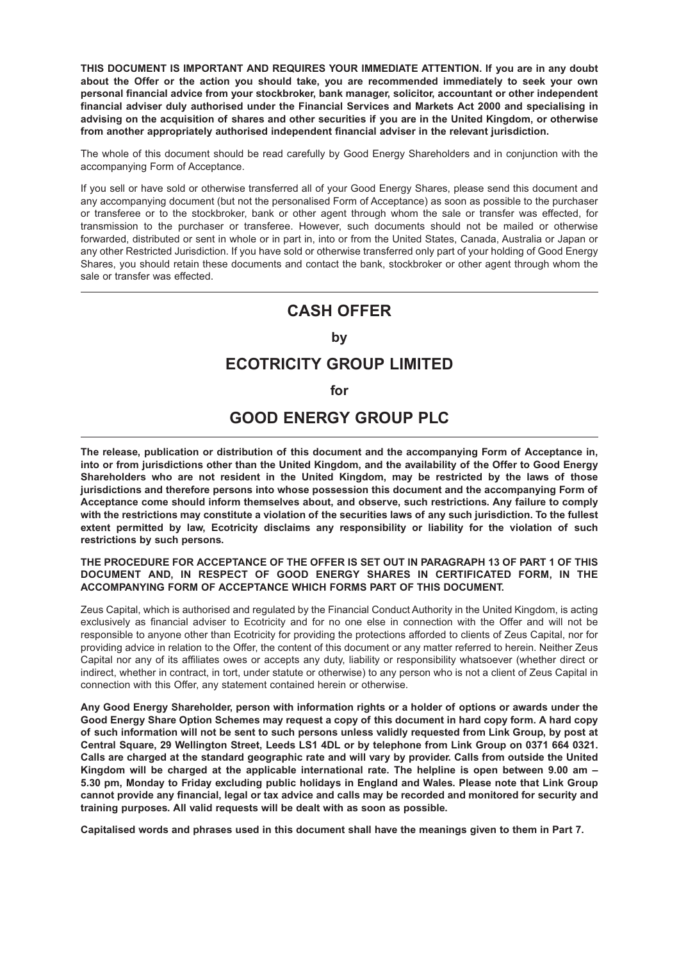**THIS DOCUMENT IS IMPORTANT AND REQUIRES YOUR IMMEDIATE ATTENTION. If you are in any doubt about the Offer or the action you should take, you are recommended immediately to seek your own personal financial advice from your stockbroker, bank manager, solicitor, accountant or other independent financial adviser duly authorised under the Financial Services and Markets Act 2000 and specialising in advising on the acquisition of shares and other securities if you are in the United Kingdom, or otherwise from another appropriately authorised independent financial adviser in the relevant jurisdiction.**

The whole of this document should be read carefully by Good Energy Shareholders and in conjunction with the accompanying Form of Acceptance.

If you sell or have sold or otherwise transferred all of your Good Energy Shares, please send this document and any accompanying document (but not the personalised Form of Acceptance) as soon as possible to the purchaser or transferee or to the stockbroker, bank or other agent through whom the sale or transfer was effected, for transmission to the purchaser or transferee. However, such documents should not be mailed or otherwise forwarded, distributed or sent in whole or in part in, into or from the United States, Canada, Australia or Japan or any other Restricted Jurisdiction. If you have sold or otherwise transferred only part of your holding of Good Energy Shares, you should retain these documents and contact the bank, stockbroker or other agent through whom the sale or transfer was effected.

## **CASH OFFER**

#### **by**

## **ECOTRICITY GROUP LIMITED**

#### **for**

# **GOOD ENERGY GROUP PLC**

**The release, publication or distribution of this document and the accompanying Form of Acceptance in, into or from jurisdictions other than the United Kingdom, and the availability of the Offer to Good Energy Shareholders who are not resident in the United Kingdom, may be restricted by the laws of those jurisdictions and therefore persons into whose possession this document and the accompanying Form of Acceptance come should inform themselves about, and observe, such restrictions. Any failure to comply with the restrictions may constitute a violation of the securities laws of any such jurisdiction. To the fullest extent permitted by law, Ecotricity disclaims any responsibility or liability for the violation of such restrictions by such persons.**

#### **THE PROCEDURE FOR ACCEPTANCE OF THE OFFER IS SET OUT IN PARAGRAPH 13 OF PART 1 OF THIS DOCUMENT AND, IN RESPECT OF GOOD ENERGY SHARES IN CERTIFICATED FORM, IN THE ACCOMPANYING FORM OF ACCEPTANCE WHICH FORMS PART OF THIS DOCUMENT.**

Zeus Capital, which is authorised and regulated by the Financial Conduct Authority in the United Kingdom, is acting exclusively as financial adviser to Ecotricity and for no one else in connection with the Offer and will not be responsible to anyone other than Ecotricity for providing the protections afforded to clients of Zeus Capital, nor for providing advice in relation to the Offer, the content of this document or any matter referred to herein. Neither Zeus Capital nor any of its affiliates owes or accepts any duty, liability or responsibility whatsoever (whether direct or indirect, whether in contract, in tort, under statute or otherwise) to any person who is not a client of Zeus Capital in connection with this Offer, any statement contained herein or otherwise.

**Any Good Energy Shareholder, person with information rights or a holder of options or awards under the Good Energy Share Option Schemes may request a copy of this document in hard copy form. A hard copy of such information will not be sent to such persons unless validly requested from Link Group, by post at Central Square, 29 Wellington Street, Leeds LS1 4DL or by telephone from Link Group on 0371 664 0321. Calls are charged at the standard geographic rate and will vary by provider. Calls from outside the United Kingdom will be charged at the applicable international rate. The helpline is open between 9.00 am – 5.30 pm, Monday to Friday excluding public holidays in England and Wales. Please note that Link Group cannot provide any financial, legal or tax advice and calls may be recorded and monitored for security and training purposes. All valid requests will be dealt with as soon as possible.**

**Capitalised words and phrases used in this document shall have the meanings given to them in Part 7.**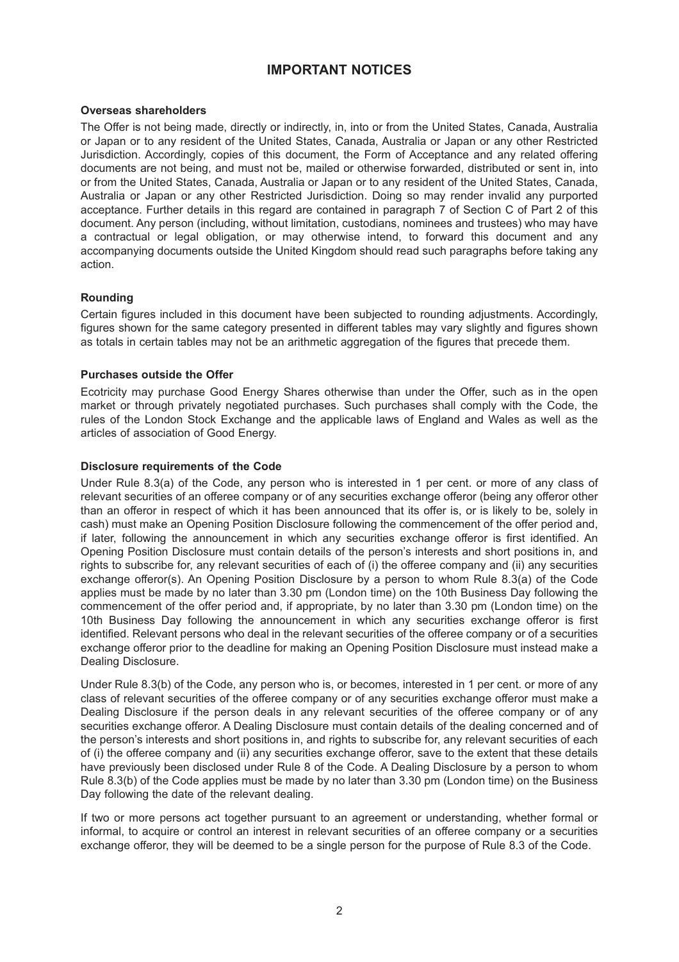## **IMPORTANT NOTICES**

#### **Overseas shareholders**

The Offer is not being made, directly or indirectly, in, into or from the United States, Canada, Australia or Japan or to any resident of the United States, Canada, Australia or Japan or any other Restricted Jurisdiction. Accordingly, copies of this document, the Form of Acceptance and any related offering documents are not being, and must not be, mailed or otherwise forwarded, distributed or sent in, into or from the United States, Canada, Australia or Japan or to any resident of the United States, Canada, Australia or Japan or any other Restricted Jurisdiction. Doing so may render invalid any purported acceptance. Further details in this regard are contained in paragraph 7 of Section C of Part 2 of this document. Any person (including, without limitation, custodians, nominees and trustees) who may have a contractual or legal obligation, or may otherwise intend, to forward this document and any accompanying documents outside the United Kingdom should read such paragraphs before taking any action.

#### **Rounding**

Certain figures included in this document have been subjected to rounding adjustments. Accordingly, figures shown for the same category presented in different tables may vary slightly and figures shown as totals in certain tables may not be an arithmetic aggregation of the figures that precede them.

#### **Purchases outside the Offer**

Ecotricity may purchase Good Energy Shares otherwise than under the Offer, such as in the open market or through privately negotiated purchases. Such purchases shall comply with the Code, the rules of the London Stock Exchange and the applicable laws of England and Wales as well as the articles of association of Good Energy.

#### **Disclosure requirements of the Code**

Under Rule 8.3(a) of the Code, any person who is interested in 1 per cent. or more of any class of relevant securities of an offeree company or of any securities exchange offeror (being any offeror other than an offeror in respect of which it has been announced that its offer is, or is likely to be, solely in cash) must make an Opening Position Disclosure following the commencement of the offer period and, if later, following the announcement in which any securities exchange offeror is first identified. An Opening Position Disclosure must contain details of the person's interests and short positions in, and rights to subscribe for, any relevant securities of each of (i) the offeree company and (ii) any securities exchange offeror(s). An Opening Position Disclosure by a person to whom Rule 8.3(a) of the Code applies must be made by no later than 3.30 pm (London time) on the 10th Business Day following the commencement of the offer period and, if appropriate, by no later than 3.30 pm (London time) on the 10th Business Day following the announcement in which any securities exchange offeror is first identified. Relevant persons who deal in the relevant securities of the offeree company or of a securities exchange offeror prior to the deadline for making an Opening Position Disclosure must instead make a Dealing Disclosure.

Under Rule 8.3(b) of the Code, any person who is, or becomes, interested in 1 per cent. or more of any class of relevant securities of the offeree company or of any securities exchange offeror must make a Dealing Disclosure if the person deals in any relevant securities of the offeree company or of any securities exchange offeror. A Dealing Disclosure must contain details of the dealing concerned and of the person's interests and short positions in, and rights to subscribe for, any relevant securities of each of (i) the offeree company and (ii) any securities exchange offeror, save to the extent that these details have previously been disclosed under Rule 8 of the Code. A Dealing Disclosure by a person to whom Rule 8.3(b) of the Code applies must be made by no later than 3.30 pm (London time) on the Business Day following the date of the relevant dealing.

If two or more persons act together pursuant to an agreement or understanding, whether formal or informal, to acquire or control an interest in relevant securities of an offeree company or a securities exchange offeror, they will be deemed to be a single person for the purpose of Rule 8.3 of the Code.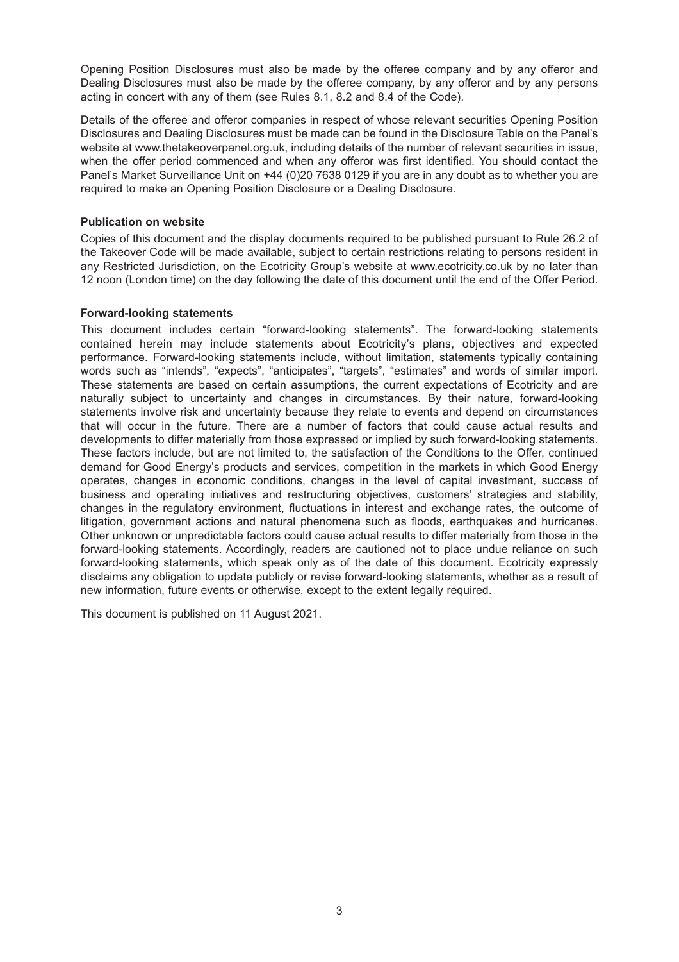Opening Position Disclosures must also be made by the offeree company and by any offeror and Dealing Disclosures must also be made by the offeree company, by any offeror and by any persons acting in concert with any of them (see Rules 8.1, 8.2 and 8.4 of the Code).

Details of the offeree and offeror companies in respect of whose relevant securities Opening Position Disclosures and Dealing Disclosures must be made can be found in the Disclosure Table on the Panel's website at www.thetakeoverpanel.org.uk, including details of the number of relevant securities in issue, when the offer period commenced and when any offeror was first identified. You should contact the Panel's Market Surveillance Unit on +44 (0)20 7638 0129 if you are in any doubt as to whether you are required to make an Opening Position Disclosure or a Dealing Disclosure.

#### **Publication on website**

Copies of this document and the display documents required to be published pursuant to Rule 26.2 of the Takeover Code will be made available, subject to certain restrictions relating to persons resident in any Restricted Jurisdiction, on the Ecotricity Group's website at www.ecotricity.co.uk by no later than 12 noon (London time) on the day following the date of this document until the end of the Offer Period.

#### **Forward-looking statements**

This document includes certain "forward-looking statements". The forward-looking statements contained herein may include statements about Ecotricity's plans, objectives and expected performance. Forward-looking statements include, without limitation, statements typically containing words such as "intends", "expects", "anticipates", "targets", "estimates" and words of similar import. These statements are based on certain assumptions, the current expectations of Ecotricity and are naturally subject to uncertainty and changes in circumstances. By their nature, forward-looking statements involve risk and uncertainty because they relate to events and depend on circumstances that will occur in the future. There are a number of factors that could cause actual results and developments to differ materially from those expressed or implied by such forward-looking statements. These factors include, but are not limited to, the satisfaction of the Conditions to the Offer, continued demand for Good Energy's products and services, competition in the markets in which Good Energy operates, changes in economic conditions, changes in the level of capital investment, success of business and operating initiatives and restructuring objectives, customers' strategies and stability, changes in the regulatory environment, fluctuations in interest and exchange rates, the outcome of litigation, government actions and natural phenomena such as floods, earthquakes and hurricanes. Other unknown or unpredictable factors could cause actual results to differ materially from those in the forward-looking statements. Accordingly, readers are cautioned not to place undue reliance on such forward-looking statements, which speak only as of the date of this document. Ecotricity expressly disclaims any obligation to update publicly or revise forward-looking statements, whether as a result of new information, future events or otherwise, except to the extent legally required.

This document is published on 11 August 2021.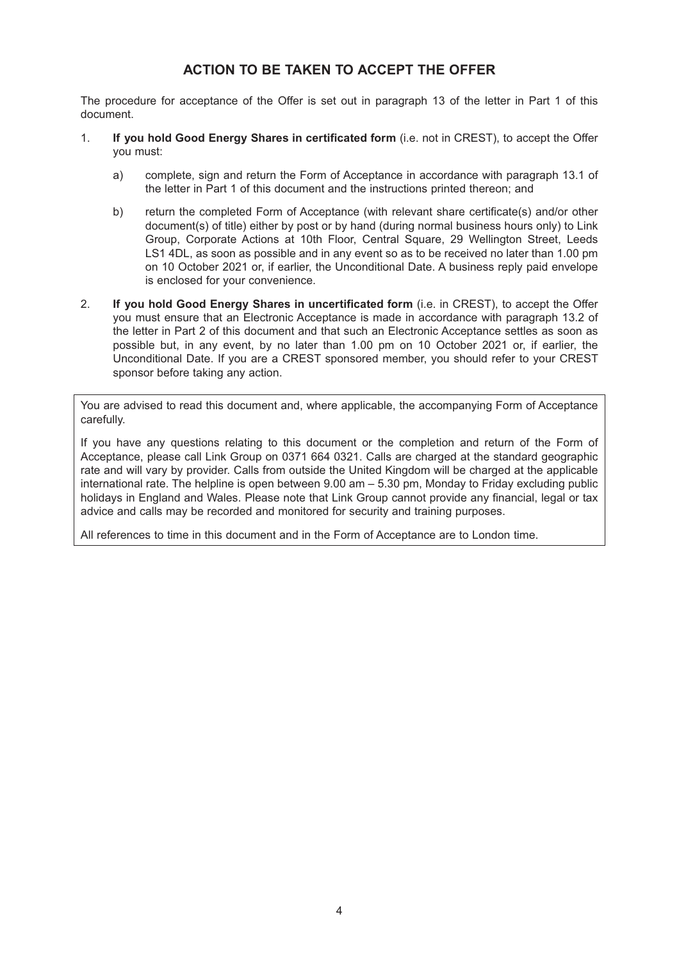## **ACTION TO BE TAKEN TO ACCEPT THE OFFER**

The procedure for acceptance of the Offer is set out in paragraph 13 of the letter in Part 1 of this document.

- 1. **If you hold Good Energy Shares in certificated form** (i.e. not in CREST), to accept the Offer you must:
	- a) complete, sign and return the Form of Acceptance in accordance with paragraph 13.1 of the letter in Part 1 of this document and the instructions printed thereon; and
	- b) return the completed Form of Acceptance (with relevant share certificate(s) and/or other document(s) of title) either by post or by hand (during normal business hours only) to Link Group, Corporate Actions at 10th Floor, Central Square, 29 Wellington Street, Leeds LS1 4DL, as soon as possible and in any event so as to be received no later than 1.00 pm on 10 October 2021 or, if earlier, the Unconditional Date. A business reply paid envelope is enclosed for your convenience.
- 2. **If you hold Good Energy Shares in uncertificated form** (i.e. in CREST), to accept the Offer you must ensure that an Electronic Acceptance is made in accordance with paragraph 13.2 of the letter in Part 2 of this document and that such an Electronic Acceptance settles as soon as possible but, in any event, by no later than 1.00 pm on 10 October 2021 or, if earlier, the Unconditional Date. If you are a CREST sponsored member, you should refer to your CREST sponsor before taking any action.

You are advised to read this document and, where applicable, the accompanying Form of Acceptance carefully.

If you have any questions relating to this document or the completion and return of the Form of Acceptance, please call Link Group on 0371 664 0321. Calls are charged at the standard geographic rate and will vary by provider. Calls from outside the United Kingdom will be charged at the applicable international rate. The helpline is open between 9.00 am – 5.30 pm, Monday to Friday excluding public holidays in England and Wales. Please note that Link Group cannot provide any financial, legal or tax advice and calls may be recorded and monitored for security and training purposes.

All references to time in this document and in the Form of Acceptance are to London time.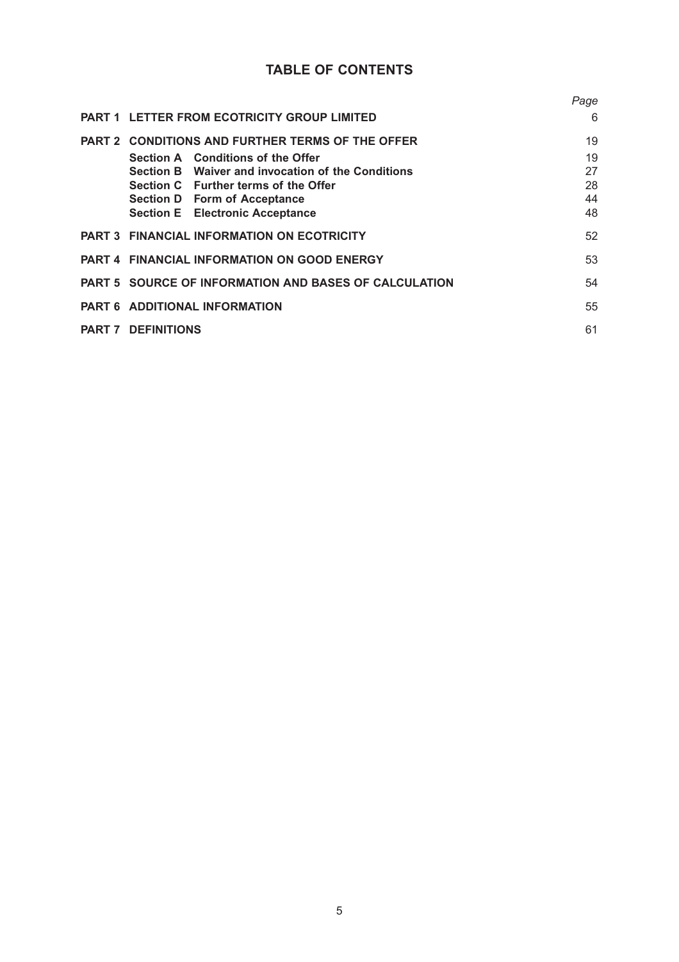# **TABLE OF CONTENTS**

|               |                                                              | Page |
|---------------|--------------------------------------------------------------|------|
|               | <b>PART 1 LETTER FROM ECOTRICITY GROUP LIMITED</b>           | 6    |
|               | PART 2 CONDITIONS AND FURTHER TERMS OF THE OFFER             | 19   |
|               | Section A Conditions of the Offer                            | 19   |
|               | Section B Waiver and invocation of the Conditions            | 27   |
|               | Section C Further terms of the Offer                         | 28   |
|               | <b>Section D</b> Form of Acceptance                          | 44   |
|               | <b>Section E</b> Electronic Acceptance                       | 48   |
|               | <b>PART 3 FINANCIAL INFORMATION ON ECOTRICITY</b>            | 52   |
|               | <b>PART 4 FINANCIAL INFORMATION ON GOOD ENERGY</b>           | 53   |
|               | <b>PART 5 SOURCE OF INFORMATION AND BASES OF CALCULATION</b> | 54   |
|               | <b>PART 6 ADDITIONAL INFORMATION</b>                         | 55   |
| <b>PART 7</b> | <b>DEFINITIONS</b>                                           | 61   |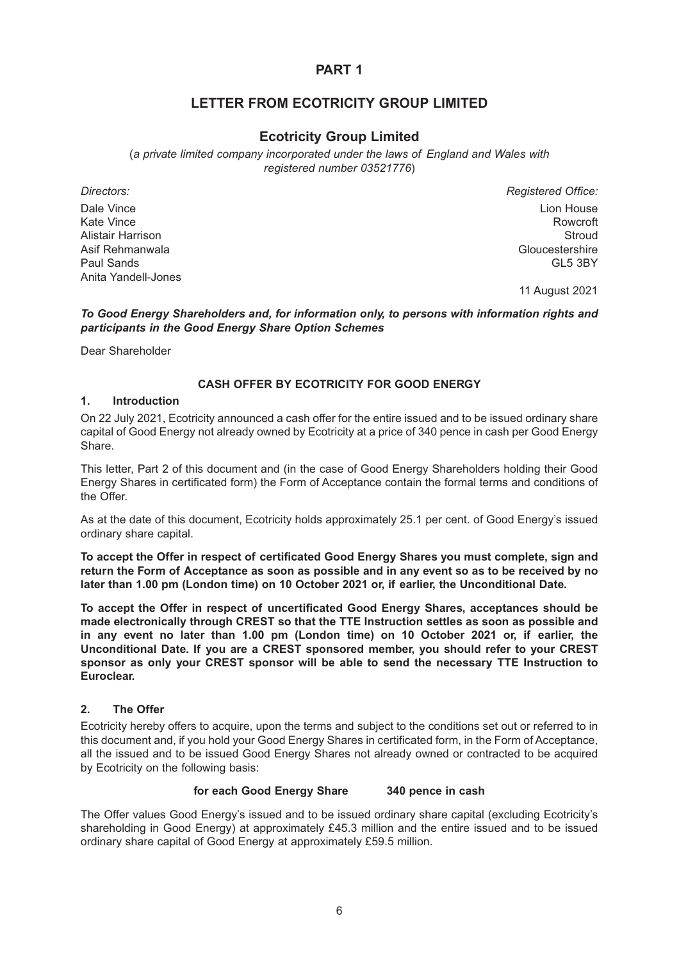## **LETTER FROM ECOTRICITY GROUP LIMITED**

## **Ecotricity Group Limited**

(*a private limited company incorporated under the laws of England and Wales with registered number 03521776*)

*Directors: Registered Office:* Dale Vince Lion House Kate Vince **Rowcroft Community Community Community** Community Community Community Community Rowcroft Alistair Harrison Stroud Asif Rehmanwala<br>
Paul Sands Gloucestershire<br>
GL5 3BY Paul Sands GL5 3BY

11 August 2021

#### *To Good Energy Shareholders and, for information only, to persons with information rights and participants in the Good Energy Share Option Schemes*

Dear Shareholder

Anita Yandell-Jones

### **CASH OFFER BY ECOTRICITY FOR GOOD ENERGY**

#### **1. Introduction**

On 22 July 2021, Ecotricity announced a cash offer for the entire issued and to be issued ordinary share capital of Good Energy not already owned by Ecotricity at a price of 340 pence in cash per Good Energy Share.

This letter, Part 2 of this document and (in the case of Good Energy Shareholders holding their Good Energy Shares in certificated form) the Form of Acceptance contain the formal terms and conditions of the Offer.

As at the date of this document, Ecotricity holds approximately 25.1 per cent. of Good Energy's issued ordinary share capital.

**To accept the Offer in respect of certificated Good Energy Shares you must complete, sign and return the Form of Acceptance as soon as possible and in any event so as to be received by no later than 1.00 pm (London time) on 10 October 2021 or, if earlier, the Unconditional Date.**

**To accept the Offer in respect of uncertificated Good Energy Shares, acceptances should be made electronically through CREST so that the TTE Instruction settles as soon as possible and in any event no later than 1.00 pm (London time) on 10 October 2021 or, if earlier, the Unconditional Date. If you are a CREST sponsored member, you should refer to your CREST sponsor as only your CREST sponsor will be able to send the necessary TTE Instruction to Euroclear.**

### **2. The Offer**

Ecotricity hereby offers to acquire, upon the terms and subject to the conditions set out or referred to in this document and, if you hold your Good Energy Shares in certificated form, in the Form of Acceptance, all the issued and to be issued Good Energy Shares not already owned or contracted to be acquired by Ecotricity on the following basis:

#### **for each Good Energy Share 340 pence in cash**

The Offer values Good Energy's issued and to be issued ordinary share capital (excluding Ecotricity's shareholding in Good Energy) at approximately £45.3 million and the entire issued and to be issued ordinary share capital of Good Energy at approximately £59.5 million.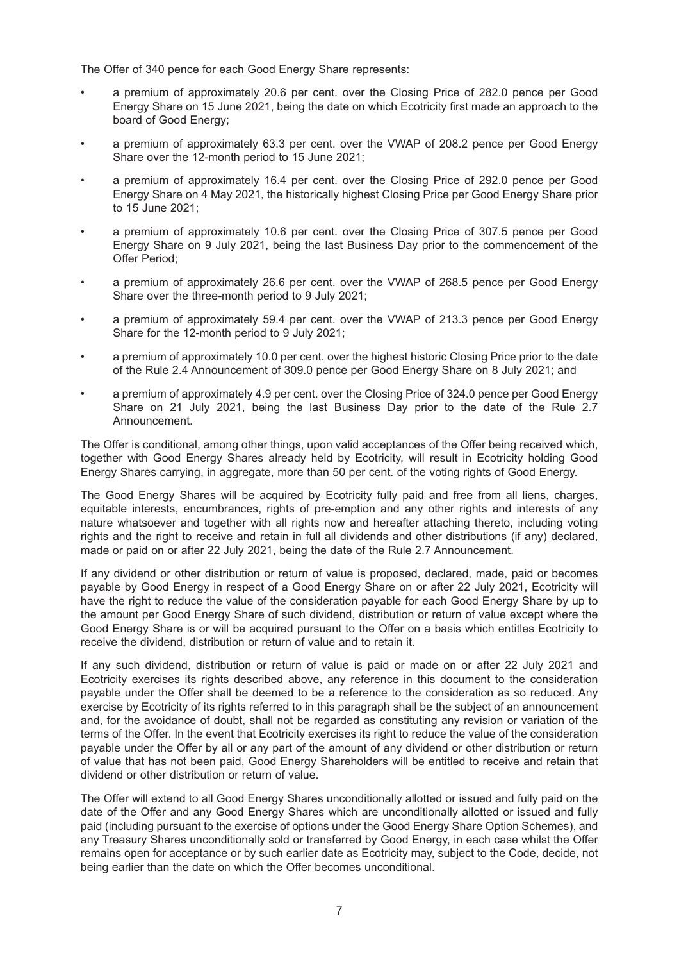The Offer of 340 pence for each Good Energy Share represents:

- a premium of approximately 20.6 per cent. over the Closing Price of 282.0 pence per Good Energy Share on 15 June 2021, being the date on which Ecotricity first made an approach to the board of Good Energy;
- a premium of approximately 63.3 per cent. over the VWAP of 208.2 pence per Good Energy Share over the 12-month period to 15 June 2021;
- a premium of approximately 16.4 per cent. over the Closing Price of 292.0 pence per Good Energy Share on 4 May 2021, the historically highest Closing Price per Good Energy Share prior to 15 June 2021;
- a premium of approximately 10.6 per cent. over the Closing Price of 307.5 pence per Good Energy Share on 9 July 2021, being the last Business Day prior to the commencement of the Offer Period;
- a premium of approximately 26.6 per cent. over the VWAP of 268.5 pence per Good Energy Share over the three-month period to 9 July 2021;
- a premium of approximately 59.4 per cent. over the VWAP of 213.3 pence per Good Energy Share for the 12-month period to 9 July 2021;
- a premium of approximately 10.0 per cent. over the highest historic Closing Price prior to the date of the Rule 2.4 Announcement of 309.0 pence per Good Energy Share on 8 July 2021; and
- a premium of approximately 4.9 per cent. over the Closing Price of 324.0 pence per Good Energy Share on 21 July 2021, being the last Business Day prior to the date of the Rule 2.7 Announcement.

The Offer is conditional, among other things, upon valid acceptances of the Offer being received which, together with Good Energy Shares already held by Ecotricity, will result in Ecotricity holding Good Energy Shares carrying, in aggregate, more than 50 per cent. of the voting rights of Good Energy.

The Good Energy Shares will be acquired by Ecotricity fully paid and free from all liens, charges, equitable interests, encumbrances, rights of pre-emption and any other rights and interests of any nature whatsoever and together with all rights now and hereafter attaching thereto, including voting rights and the right to receive and retain in full all dividends and other distributions (if any) declared, made or paid on or after 22 July 2021, being the date of the Rule 2.7 Announcement.

If any dividend or other distribution or return of value is proposed, declared, made, paid or becomes payable by Good Energy in respect of a Good Energy Share on or after 22 July 2021, Ecotricity will have the right to reduce the value of the consideration payable for each Good Energy Share by up to the amount per Good Energy Share of such dividend, distribution or return of value except where the Good Energy Share is or will be acquired pursuant to the Offer on a basis which entitles Ecotricity to receive the dividend, distribution or return of value and to retain it.

If any such dividend, distribution or return of value is paid or made on or after 22 July 2021 and Ecotricity exercises its rights described above, any reference in this document to the consideration payable under the Offer shall be deemed to be a reference to the consideration as so reduced. Any exercise by Ecotricity of its rights referred to in this paragraph shall be the subject of an announcement and, for the avoidance of doubt, shall not be regarded as constituting any revision or variation of the terms of the Offer. In the event that Ecotricity exercises its right to reduce the value of the consideration payable under the Offer by all or any part of the amount of any dividend or other distribution or return of value that has not been paid, Good Energy Shareholders will be entitled to receive and retain that dividend or other distribution or return of value.

The Offer will extend to all Good Energy Shares unconditionally allotted or issued and fully paid on the date of the Offer and any Good Energy Shares which are unconditionally allotted or issued and fully paid (including pursuant to the exercise of options under the Good Energy Share Option Schemes), and any Treasury Shares unconditionally sold or transferred by Good Energy, in each case whilst the Offer remains open for acceptance or by such earlier date as Ecotricity may, subject to the Code, decide, not being earlier than the date on which the Offer becomes unconditional.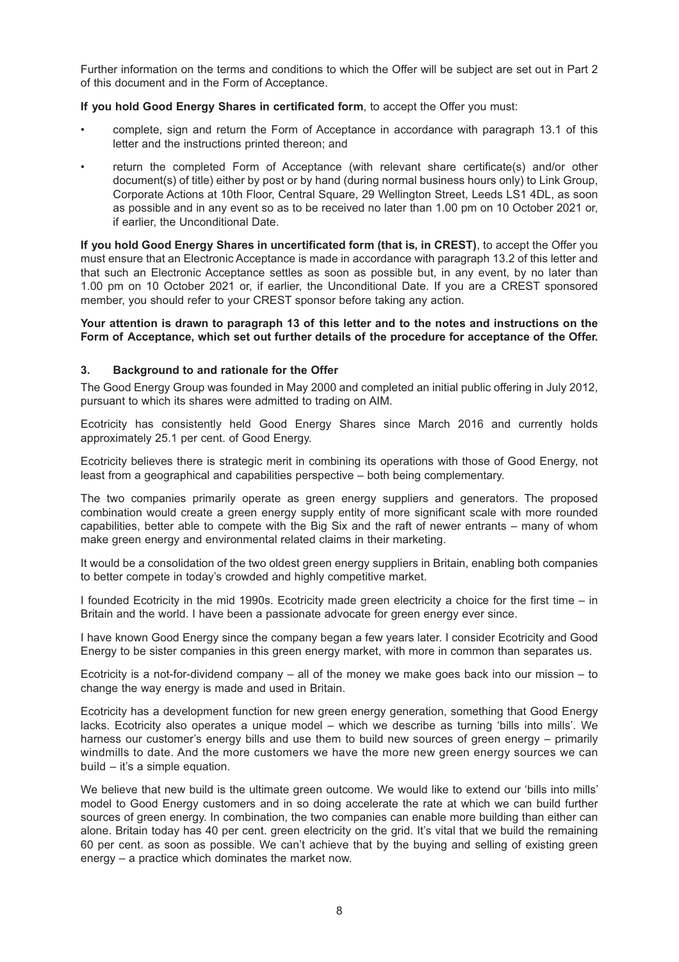Further information on the terms and conditions to which the Offer will be subject are set out in Part 2 of this document and in the Form of Acceptance.

#### **If you hold Good Energy Shares in certificated form**, to accept the Offer you must:

- complete, sign and return the Form of Acceptance in accordance with paragraph 13.1 of this letter and the instructions printed thereon; and
- return the completed Form of Acceptance (with relevant share certificate(s) and/or other document(s) of title) either by post or by hand (during normal business hours only) to Link Group, Corporate Actions at 10th Floor, Central Square, 29 Wellington Street, Leeds LS1 4DL, as soon as possible and in any event so as to be received no later than 1.00 pm on 10 October 2021 or, if earlier, the Unconditional Date.

**If you hold Good Energy Shares in uncertificated form (that is, in CREST)**, to accept the Offer you must ensure that an Electronic Acceptance is made in accordance with paragraph 13.2 of this letter and that such an Electronic Acceptance settles as soon as possible but, in any event, by no later than 1.00 pm on 10 October 2021 or, if earlier, the Unconditional Date. If you are a CREST sponsored member, you should refer to your CREST sponsor before taking any action.

#### **Your attention is drawn to paragraph 13 of this letter and to the notes and instructions on the Form of Acceptance, which set out further details of the procedure for acceptance of the Offer.**

#### **3. Background to and rationale for the Offer**

The Good Energy Group was founded in May 2000 and completed an initial public offering in July 2012, pursuant to which its shares were admitted to trading on AIM.

Ecotricity has consistently held Good Energy Shares since March 2016 and currently holds approximately 25.1 per cent. of Good Energy.

Ecotricity believes there is strategic merit in combining its operations with those of Good Energy, not least from a geographical and capabilities perspective – both being complementary.

The two companies primarily operate as green energy suppliers and generators. The proposed combination would create a green energy supply entity of more significant scale with more rounded capabilities, better able to compete with the Big Six and the raft of newer entrants – many of whom make green energy and environmental related claims in their marketing.

It would be a consolidation of the two oldest green energy suppliers in Britain, enabling both companies to better compete in today's crowded and highly competitive market.

I founded Ecotricity in the mid 1990s. Ecotricity made green electricity a choice for the first time – in Britain and the world. I have been a passionate advocate for green energy ever since.

I have known Good Energy since the company began a few years later. I consider Ecotricity and Good Energy to be sister companies in this green energy market, with more in common than separates us.

Ecotricity is a not-for-dividend company – all of the money we make goes back into our mission – to change the way energy is made and used in Britain.

Ecotricity has a development function for new green energy generation, something that Good Energy lacks. Ecotricity also operates a unique model – which we describe as turning 'bills into mills'. We harness our customer's energy bills and use them to build new sources of green energy – primarily windmills to date. And the more customers we have the more new green energy sources we can build – it's a simple equation.

We believe that new build is the ultimate green outcome. We would like to extend our 'bills into mills' model to Good Energy customers and in so doing accelerate the rate at which we can build further sources of green energy. In combination, the two companies can enable more building than either can alone. Britain today has 40 per cent. green electricity on the grid. It's vital that we build the remaining 60 per cent. as soon as possible. We can't achieve that by the buying and selling of existing green energy – a practice which dominates the market now.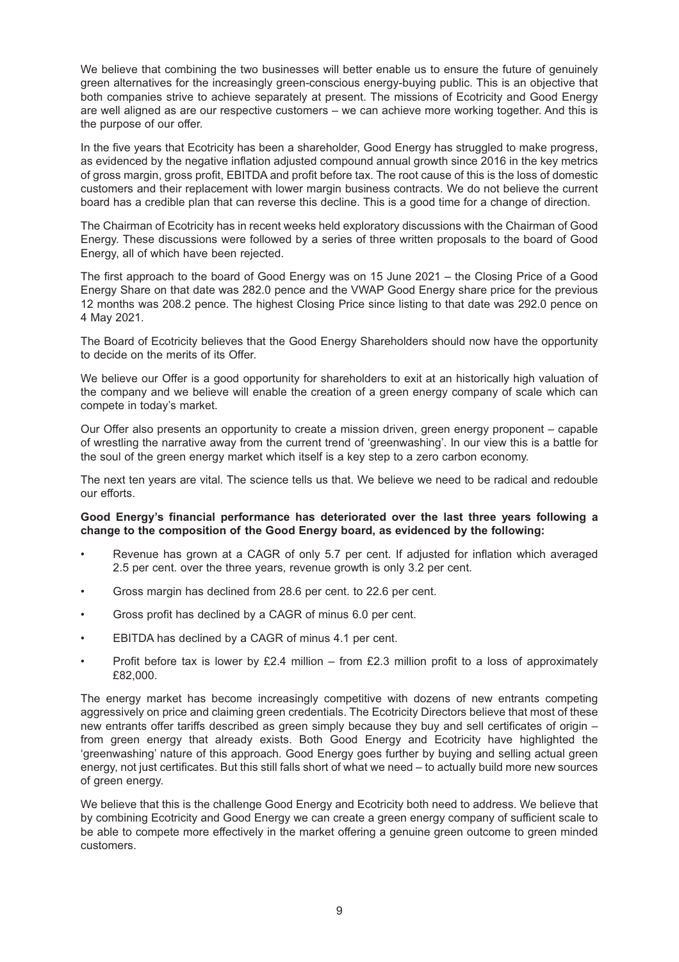We believe that combining the two businesses will better enable us to ensure the future of genuinely green alternatives for the increasingly green-conscious energy-buying public. This is an objective that both companies strive to achieve separately at present. The missions of Ecotricity and Good Energy are well aligned as are our respective customers – we can achieve more working together. And this is the purpose of our offer.

In the five years that Ecotricity has been a shareholder, Good Energy has struggled to make progress, as evidenced by the negative inflation adjusted compound annual growth since 2016 in the key metrics of gross margin, gross profit, EBITDA and profit before tax. The root cause of this is the loss of domestic customers and their replacement with lower margin business contracts. We do not believe the current board has a credible plan that can reverse this decline. This is a good time for a change of direction.

The Chairman of Ecotricity has in recent weeks held exploratory discussions with the Chairman of Good Energy. These discussions were followed by a series of three written proposals to the board of Good Energy, all of which have been rejected.

The first approach to the board of Good Energy was on 15 June 2021 – the Closing Price of a Good Energy Share on that date was 282.0 pence and the VWAP Good Energy share price for the previous 12 months was 208.2 pence. The highest Closing Price since listing to that date was 292.0 pence on 4 May 2021.

The Board of Ecotricity believes that the Good Energy Shareholders should now have the opportunity to decide on the merits of its Offer.

We believe our Offer is a good opportunity for shareholders to exit at an historically high valuation of the company and we believe will enable the creation of a green energy company of scale which can compete in today's market.

Our Offer also presents an opportunity to create a mission driven, green energy proponent – capable of wrestling the narrative away from the current trend of 'greenwashing'. In our view this is a battle for the soul of the green energy market which itself is a key step to a zero carbon economy.

The next ten years are vital. The science tells us that. We believe we need to be radical and redouble our efforts.

#### **Good Energy's financial performance has deteriorated over the last three years following a change to the composition of the Good Energy board, as evidenced by the following:**

- Revenue has grown at a CAGR of only 5.7 per cent. If adjusted for inflation which averaged 2.5 per cent. over the three years, revenue growth is only 3.2 per cent.
- Gross margin has declined from 28.6 per cent. to 22.6 per cent.
- Gross profit has declined by a CAGR of minus 6.0 per cent.
- EBITDA has declined by a CAGR of minus 4.1 per cent.
- Profit before tax is lower by £2.4 million from £2.3 million profit to a loss of approximately £82,000.

The energy market has become increasingly competitive with dozens of new entrants competing aggressively on price and claiming green credentials. The Ecotricity Directors believe that most of these new entrants offer tariffs described as green simply because they buy and sell certificates of origin – from green energy that already exists. Both Good Energy and Ecotricity have highlighted the 'greenwashing' nature of this approach. Good Energy goes further by buying and selling actual green energy, not just certificates. But this still falls short of what we need – to actually build more new sources of green energy.

We believe that this is the challenge Good Energy and Ecotricity both need to address. We believe that by combining Ecotricity and Good Energy we can create a green energy company of sufficient scale to be able to compete more effectively in the market offering a genuine green outcome to green minded customers.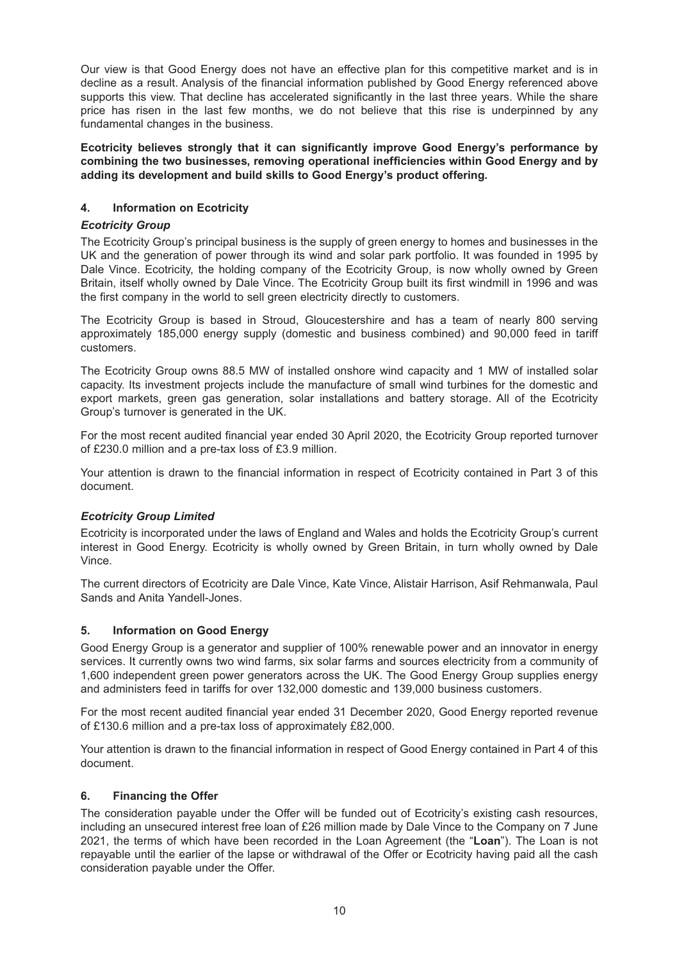Our view is that Good Energy does not have an effective plan for this competitive market and is in decline as a result. Analysis of the financial information published by Good Energy referenced above supports this view. That decline has accelerated significantly in the last three years. While the share price has risen in the last few months, we do not believe that this rise is underpinned by any fundamental changes in the business.

**Ecotricity believes strongly that it can significantly improve Good Energy's performance by combining the two businesses, removing operational inefficiencies within Good Energy and by adding its development and build skills to Good Energy's product offering.**

### **4. Information on Ecotricity**

#### *Ecotricity Group*

The Ecotricity Group's principal business is the supply of green energy to homes and businesses in the UK and the generation of power through its wind and solar park portfolio. It was founded in 1995 by Dale Vince. Ecotricity, the holding company of the Ecotricity Group, is now wholly owned by Green Britain, itself wholly owned by Dale Vince. The Ecotricity Group built its first windmill in 1996 and was the first company in the world to sell green electricity directly to customers.

The Ecotricity Group is based in Stroud, Gloucestershire and has a team of nearly 800 serving approximately 185,000 energy supply (domestic and business combined) and 90,000 feed in tariff customers.

The Ecotricity Group owns 88.5 MW of installed onshore wind capacity and 1 MW of installed solar capacity. Its investment projects include the manufacture of small wind turbines for the domestic and export markets, green gas generation, solar installations and battery storage. All of the Ecotricity Group's turnover is generated in the UK.

For the most recent audited financial year ended 30 April 2020, the Ecotricity Group reported turnover of £230.0 million and a pre-tax loss of £3.9 million.

Your attention is drawn to the financial information in respect of Ecotricity contained in Part 3 of this document.

#### *Ecotricity Group Limited*

Ecotricity is incorporated under the laws of England and Wales and holds the Ecotricity Group's current interest in Good Energy. Ecotricity is wholly owned by Green Britain, in turn wholly owned by Dale Vince.

The current directors of Ecotricity are Dale Vince, Kate Vince, Alistair Harrison, Asif Rehmanwala, Paul Sands and Anita Yandell-Jones.

#### **5. Information on Good Energy**

Good Energy Group is a generator and supplier of 100% renewable power and an innovator in energy services. It currently owns two wind farms, six solar farms and sources electricity from a community of 1,600 independent green power generators across the UK. The Good Energy Group supplies energy and administers feed in tariffs for over 132,000 domestic and 139,000 business customers.

For the most recent audited financial year ended 31 December 2020, Good Energy reported revenue of £130.6 million and a pre-tax loss of approximately £82,000.

Your attention is drawn to the financial information in respect of Good Energy contained in Part 4 of this document.

### **6. Financing the Offer**

The consideration payable under the Offer will be funded out of Ecotricity's existing cash resources, including an unsecured interest free loan of £26 million made by Dale Vince to the Company on 7 June 2021, the terms of which have been recorded in the Loan Agreement (the "**Loan**"). The Loan is not repayable until the earlier of the lapse or withdrawal of the Offer or Ecotricity having paid all the cash consideration payable under the Offer.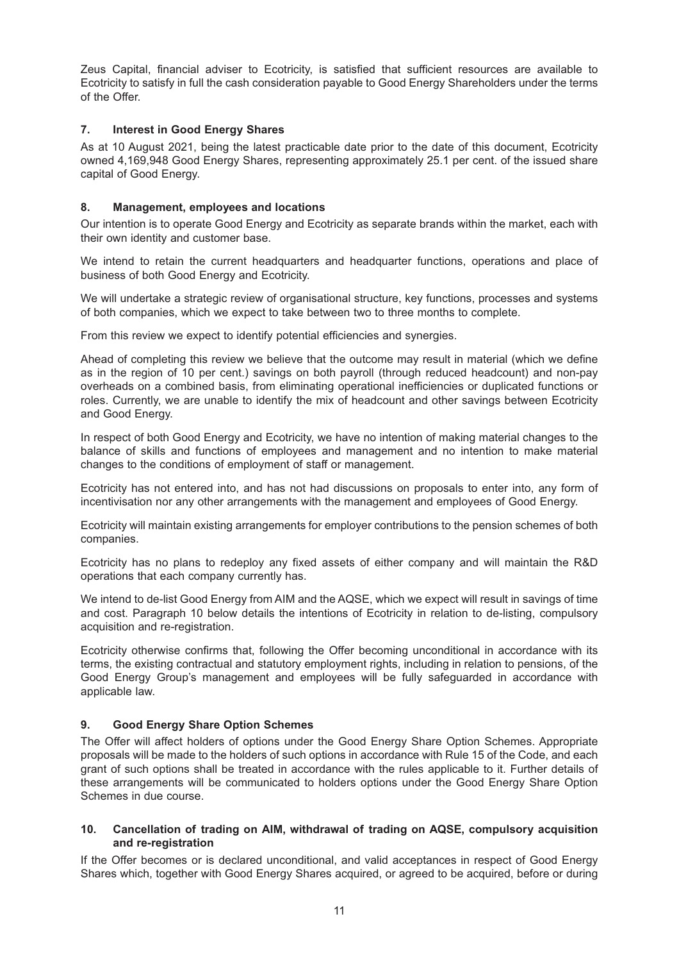Zeus Capital, financial adviser to Ecotricity, is satisfied that sufficient resources are available to Ecotricity to satisfy in full the cash consideration payable to Good Energy Shareholders under the terms of the Offer.

### **7. Interest in Good Energy Shares**

As at 10 August 2021, being the latest practicable date prior to the date of this document, Ecotricity owned 4,169,948 Good Energy Shares, representing approximately 25.1 per cent. of the issued share capital of Good Energy.

### **8. Management, employees and locations**

Our intention is to operate Good Energy and Ecotricity as separate brands within the market, each with their own identity and customer base.

We intend to retain the current headquarters and headquarter functions, operations and place of business of both Good Energy and Ecotricity.

We will undertake a strategic review of organisational structure, key functions, processes and systems of both companies, which we expect to take between two to three months to complete.

From this review we expect to identify potential efficiencies and synergies.

Ahead of completing this review we believe that the outcome may result in material (which we define as in the region of 10 per cent.) savings on both payroll (through reduced headcount) and non-pay overheads on a combined basis, from eliminating operational inefficiencies or duplicated functions or roles. Currently, we are unable to identify the mix of headcount and other savings between Ecotricity and Good Energy.

In respect of both Good Energy and Ecotricity, we have no intention of making material changes to the balance of skills and functions of employees and management and no intention to make material changes to the conditions of employment of staff or management.

Ecotricity has not entered into, and has not had discussions on proposals to enter into, any form of incentivisation nor any other arrangements with the management and employees of Good Energy.

Ecotricity will maintain existing arrangements for employer contributions to the pension schemes of both companies.

Ecotricity has no plans to redeploy any fixed assets of either company and will maintain the R&D operations that each company currently has.

We intend to de-list Good Energy from AIM and the AQSE, which we expect will result in savings of time and cost. Paragraph 10 below details the intentions of Ecotricity in relation to de-listing, compulsory acquisition and re-registration.

Ecotricity otherwise confirms that, following the Offer becoming unconditional in accordance with its terms, the existing contractual and statutory employment rights, including in relation to pensions, of the Good Energy Group's management and employees will be fully safeguarded in accordance with applicable law.

#### **9. Good Energy Share Option Schemes**

The Offer will affect holders of options under the Good Energy Share Option Schemes. Appropriate proposals will be made to the holders of such options in accordance with Rule 15 of the Code, and each grant of such options shall be treated in accordance with the rules applicable to it. Further details of these arrangements will be communicated to holders options under the Good Energy Share Option Schemes in due course.

#### **10. Cancellation of trading on AIM, withdrawal of trading on AQSE, compulsory acquisition and re-registration**

If the Offer becomes or is declared unconditional, and valid acceptances in respect of Good Energy Shares which, together with Good Energy Shares acquired, or agreed to be acquired, before or during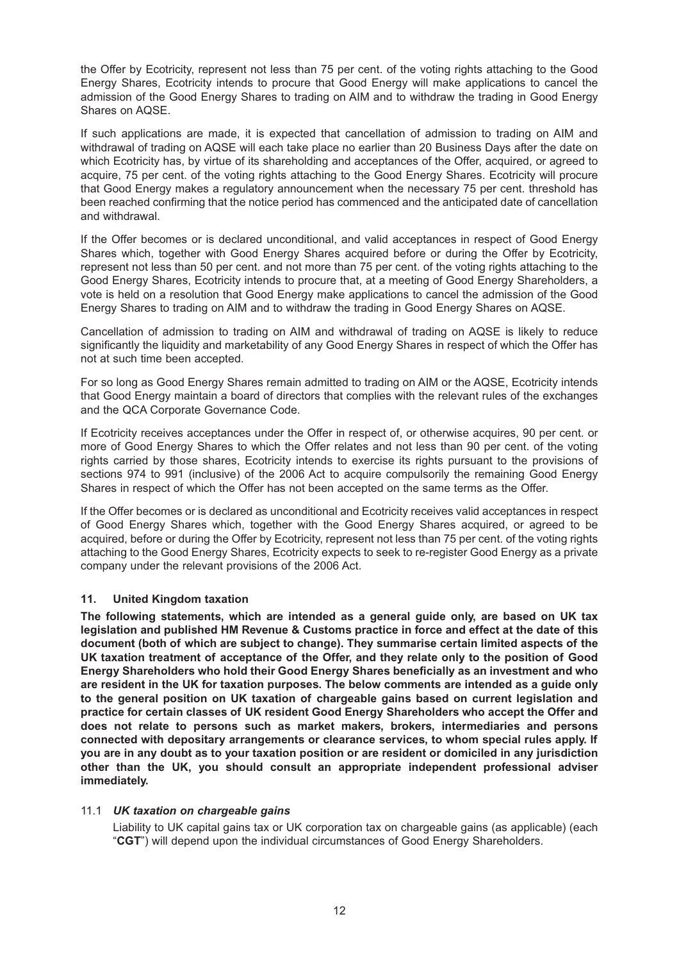the Offer by Ecotricity, represent not less than 75 per cent. of the voting rights attaching to the Good Energy Shares, Ecotricity intends to procure that Good Energy will make applications to cancel the admission of the Good Energy Shares to trading on AIM and to withdraw the trading in Good Energy Shares on AQSE.

If such applications are made, it is expected that cancellation of admission to trading on AIM and withdrawal of trading on AQSE will each take place no earlier than 20 Business Days after the date on which Ecotricity has, by virtue of its shareholding and acceptances of the Offer, acquired, or agreed to acquire, 75 per cent. of the voting rights attaching to the Good Energy Shares. Ecotricity will procure that Good Energy makes a regulatory announcement when the necessary 75 per cent. threshold has been reached confirming that the notice period has commenced and the anticipated date of cancellation and withdrawal.

If the Offer becomes or is declared unconditional, and valid acceptances in respect of Good Energy Shares which, together with Good Energy Shares acquired before or during the Offer by Ecotricity, represent not less than 50 per cent. and not more than 75 per cent. of the voting rights attaching to the Good Energy Shares, Ecotricity intends to procure that, at a meeting of Good Energy Shareholders, a vote is held on a resolution that Good Energy make applications to cancel the admission of the Good Energy Shares to trading on AIM and to withdraw the trading in Good Energy Shares on AQSE.

Cancellation of admission to trading on AIM and withdrawal of trading on AQSE is likely to reduce significantly the liquidity and marketability of any Good Energy Shares in respect of which the Offer has not at such time been accepted.

For so long as Good Energy Shares remain admitted to trading on AIM or the AQSE, Ecotricity intends that Good Energy maintain a board of directors that complies with the relevant rules of the exchanges and the QCA Corporate Governance Code.

If Ecotricity receives acceptances under the Offer in respect of, or otherwise acquires, 90 per cent. or more of Good Energy Shares to which the Offer relates and not less than 90 per cent. of the voting rights carried by those shares, Ecotricity intends to exercise its rights pursuant to the provisions of sections 974 to 991 (inclusive) of the 2006 Act to acquire compulsorily the remaining Good Energy Shares in respect of which the Offer has not been accepted on the same terms as the Offer.

If the Offer becomes or is declared as unconditional and Ecotricity receives valid acceptances in respect of Good Energy Shares which, together with the Good Energy Shares acquired, or agreed to be acquired, before or during the Offer by Ecotricity, represent not less than 75 per cent. of the voting rights attaching to the Good Energy Shares, Ecotricity expects to seek to re-register Good Energy as a private company under the relevant provisions of the 2006 Act.

#### **11. United Kingdom taxation**

**The following statements, which are intended as a general guide only, are based on UK tax legislation and published HM Revenue & Customs practice in force and effect at the date of this document (both of which are subject to change). They summarise certain limited aspects of the UK taxation treatment of acceptance of the Offer, and they relate only to the position of Good Energy Shareholders who hold their Good Energy Shares beneficially as an investment and who are resident in the UK for taxation purposes. The below comments are intended as a guide only to the general position on UK taxation of chargeable gains based on current legislation and practice for certain classes of UK resident Good Energy Shareholders who accept the Offer and does not relate to persons such as market makers, brokers, intermediaries and persons connected with depositary arrangements or clearance services, to whom special rules apply. If you are in any doubt as to your taxation position or are resident or domiciled in any jurisdiction other than the UK, you should consult an appropriate independent professional adviser immediately.**

#### 11.1 *UK taxation on chargeable gains*

Liability to UK capital gains tax or UK corporation tax on chargeable gains (as applicable) (each "**CGT**") will depend upon the individual circumstances of Good Energy Shareholders.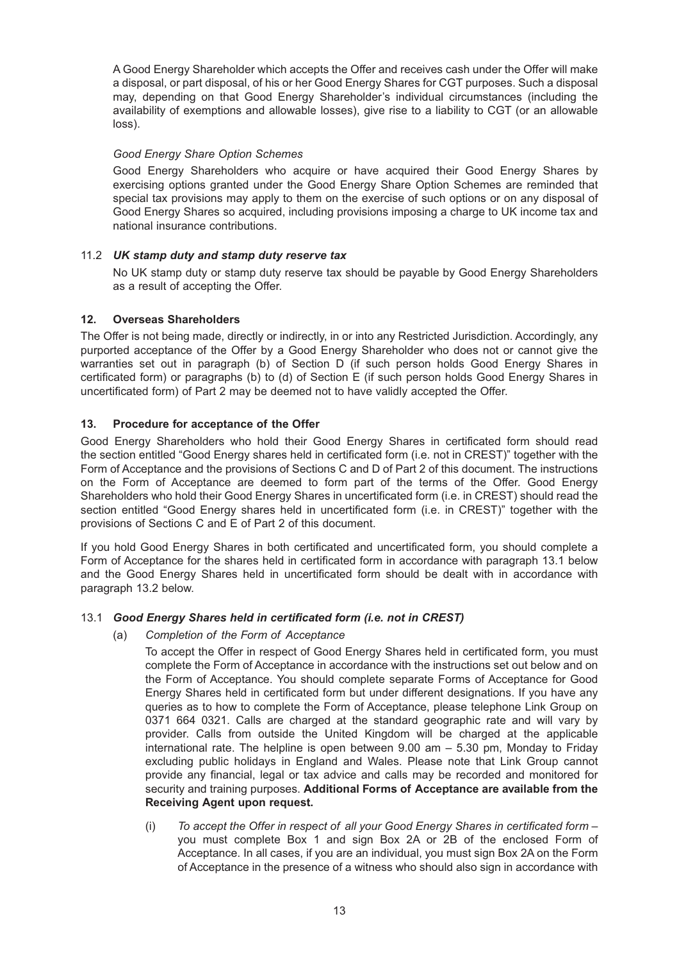A Good Energy Shareholder which accepts the Offer and receives cash under the Offer will make a disposal, or part disposal, of his or her Good Energy Shares for CGT purposes. Such a disposal may, depending on that Good Energy Shareholder's individual circumstances (including the availability of exemptions and allowable losses), give rise to a liability to CGT (or an allowable loss).

### *Good Energy Share Option Schemes*

Good Energy Shareholders who acquire or have acquired their Good Energy Shares by exercising options granted under the Good Energy Share Option Schemes are reminded that special tax provisions may apply to them on the exercise of such options or on any disposal of Good Energy Shares so acquired, including provisions imposing a charge to UK income tax and national insurance contributions.

### 11.2 *UK stamp duty and stamp duty reserve tax*

No UK stamp duty or stamp duty reserve tax should be payable by Good Energy Shareholders as a result of accepting the Offer.

### **12. Overseas Shareholders**

The Offer is not being made, directly or indirectly, in or into any Restricted Jurisdiction. Accordingly, any purported acceptance of the Offer by a Good Energy Shareholder who does not or cannot give the warranties set out in paragraph (b) of Section D (if such person holds Good Energy Shares in certificated form) or paragraphs (b) to (d) of Section E (if such person holds Good Energy Shares in uncertificated form) of Part 2 may be deemed not to have validly accepted the Offer.

### **13. Procedure for acceptance of the Offer**

Good Energy Shareholders who hold their Good Energy Shares in certificated form should read the section entitled "Good Energy shares held in certificated form (i.e. not in CREST)" together with the Form of Acceptance and the provisions of Sections C and D of Part 2 of this document. The instructions on the Form of Acceptance are deemed to form part of the terms of the Offer. Good Energy Shareholders who hold their Good Energy Shares in uncertificated form (i.e. in CREST) should read the section entitled "Good Energy shares held in uncertificated form (i.e. in CREST)" together with the provisions of Sections C and E of Part 2 of this document.

If you hold Good Energy Shares in both certificated and uncertificated form, you should complete a Form of Acceptance for the shares held in certificated form in accordance with paragraph 13.1 below and the Good Energy Shares held in uncertificated form should be dealt with in accordance with paragraph 13.2 below.

#### 13.1 *Good Energy Shares held in certificated form (i.e. not in CREST)*

(a) *Completion of the Form of Acceptance*

To accept the Offer in respect of Good Energy Shares held in certificated form, you must complete the Form of Acceptance in accordance with the instructions set out below and on the Form of Acceptance. You should complete separate Forms of Acceptance for Good Energy Shares held in certificated form but under different designations. If you have any queries as to how to complete the Form of Acceptance, please telephone Link Group on 0371 664 0321. Calls are charged at the standard geographic rate and will vary by provider. Calls from outside the United Kingdom will be charged at the applicable international rate. The helpline is open between 9.00 am – 5.30 pm, Monday to Friday excluding public holidays in England and Wales. Please note that Link Group cannot provide any financial, legal or tax advice and calls may be recorded and monitored for security and training purposes. **Additional Forms of Acceptance are available from the Receiving Agent upon request.**

(i) *To accept the Offer in respect of all your Good Energy Shares in certificated form* – you must complete Box 1 and sign Box 2A or 2B of the enclosed Form of Acceptance. In all cases, if you are an individual, you must sign Box 2A on the Form of Acceptance in the presence of a witness who should also sign in accordance with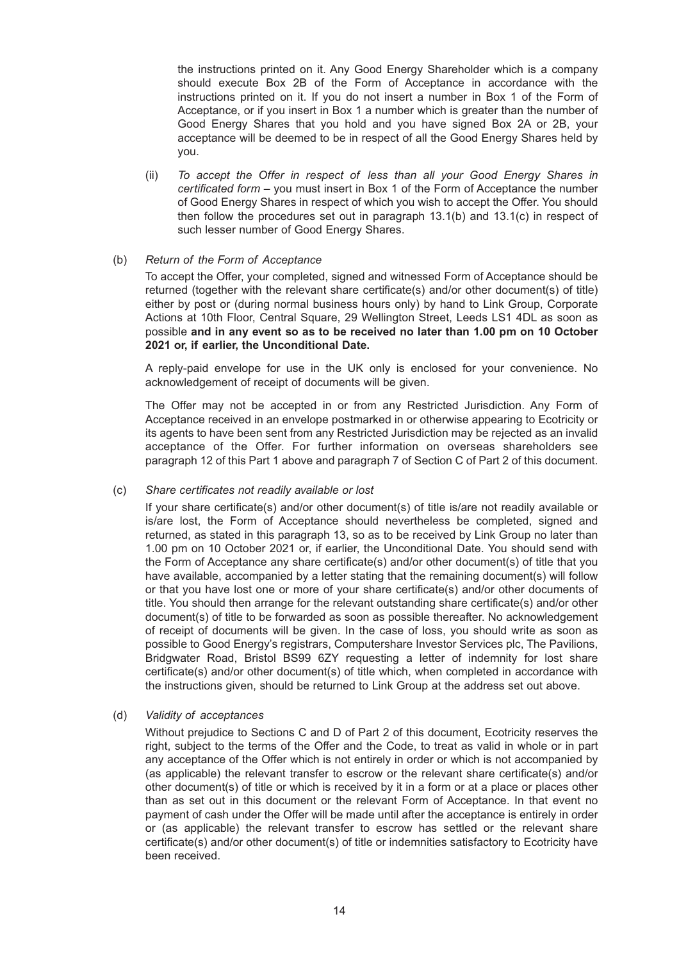the instructions printed on it. Any Good Energy Shareholder which is a company should execute Box 2B of the Form of Acceptance in accordance with the instructions printed on it. If you do not insert a number in Box 1 of the Form of Acceptance, or if you insert in Box 1 a number which is greater than the number of Good Energy Shares that you hold and you have signed Box 2A or 2B, your acceptance will be deemed to be in respect of all the Good Energy Shares held by you.

(ii) *To accept the Offer in respect of less than all your Good Energy Shares in certificated form* – you must insert in Box 1 of the Form of Acceptance the number of Good Energy Shares in respect of which you wish to accept the Offer. You should then follow the procedures set out in paragraph 13.1(b) and 13.1(c) in respect of such lesser number of Good Energy Shares.

#### (b) *Return of the Form of Acceptance*

To accept the Offer, your completed, signed and witnessed Form of Acceptance should be returned (together with the relevant share certificate(s) and/or other document(s) of title) either by post or (during normal business hours only) by hand to Link Group, Corporate Actions at 10th Floor, Central Square, 29 Wellington Street, Leeds LS1 4DL as soon as possible **and in any event so as to be received no later than 1.00 pm on 10 October 2021 or, if earlier, the Unconditional Date.**

A reply-paid envelope for use in the UK only is enclosed for your convenience. No acknowledgement of receipt of documents will be given.

The Offer may not be accepted in or from any Restricted Jurisdiction. Any Form of Acceptance received in an envelope postmarked in or otherwise appearing to Ecotricity or its agents to have been sent from any Restricted Jurisdiction may be rejected as an invalid acceptance of the Offer. For further information on overseas shareholders see paragraph 12 of this Part 1 above and paragraph 7 of Section C of Part 2 of this document.

#### (c) *Share certificates not readily available or lost*

If your share certificate(s) and/or other document(s) of title is/are not readily available or is/are lost, the Form of Acceptance should nevertheless be completed, signed and returned, as stated in this paragraph 13, so as to be received by Link Group no later than 1.00 pm on 10 October 2021 or, if earlier, the Unconditional Date. You should send with the Form of Acceptance any share certificate(s) and/or other document(s) of title that you have available, accompanied by a letter stating that the remaining document(s) will follow or that you have lost one or more of your share certificate(s) and/or other documents of title. You should then arrange for the relevant outstanding share certificate(s) and/or other document(s) of title to be forwarded as soon as possible thereafter. No acknowledgement of receipt of documents will be given. In the case of loss, you should write as soon as possible to Good Energy's registrars, Computershare Investor Services plc, The Pavilions, Bridgwater Road, Bristol BS99 6ZY requesting a letter of indemnity for lost share certificate(s) and/or other document(s) of title which, when completed in accordance with the instructions given, should be returned to Link Group at the address set out above.

#### (d) *Validity of acceptances*

Without prejudice to Sections C and D of Part 2 of this document, Ecotricity reserves the right, subject to the terms of the Offer and the Code, to treat as valid in whole or in part any acceptance of the Offer which is not entirely in order or which is not accompanied by (as applicable) the relevant transfer to escrow or the relevant share certificate(s) and/or other document(s) of title or which is received by it in a form or at a place or places other than as set out in this document or the relevant Form of Acceptance. In that event no payment of cash under the Offer will be made until after the acceptance is entirely in order or (as applicable) the relevant transfer to escrow has settled or the relevant share certificate(s) and/or other document(s) of title or indemnities satisfactory to Ecotricity have been received.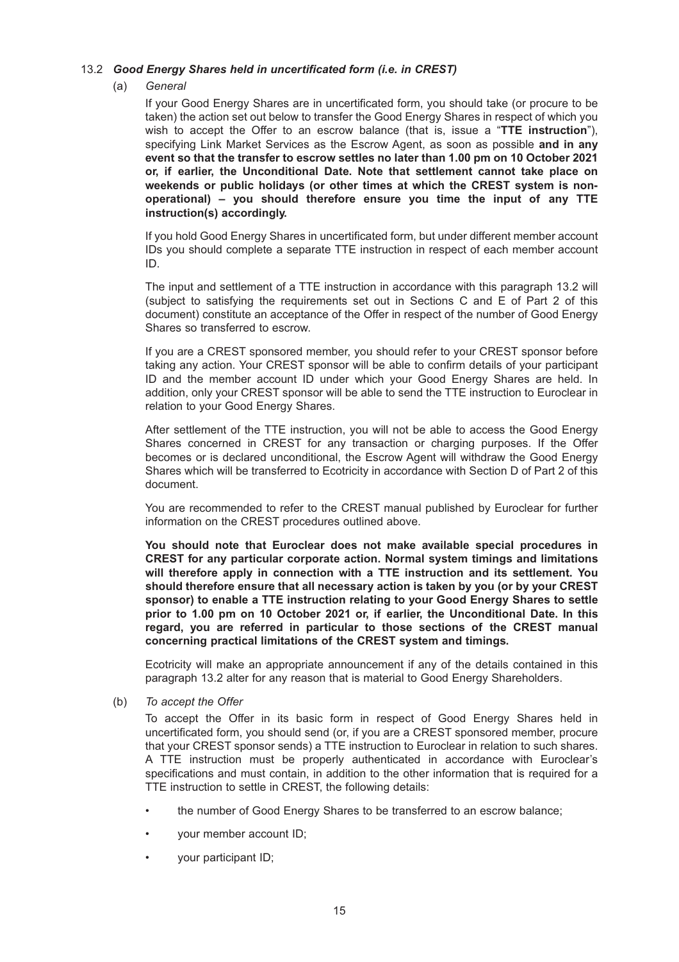#### 13.2 *Good Energy Shares held in uncertificated form (i.e. in CREST)*

#### (a) *General*

If your Good Energy Shares are in uncertificated form, you should take (or procure to be taken) the action set out below to transfer the Good Energy Shares in respect of which you wish to accept the Offer to an escrow balance (that is, issue a "**TTE instruction**"), specifying Link Market Services as the Escrow Agent, as soon as possible **and in any event so that the transfer to escrow settles no later than 1.00 pm on 10 October 2021 or, if earlier, the Unconditional Date. Note that settlement cannot take place on weekends or public holidays (or other times at which the CREST system is nonoperational) – you should therefore ensure you time the input of any TTE instruction(s) accordingly.**

If you hold Good Energy Shares in uncertificated form, but under different member account IDs you should complete a separate TTE instruction in respect of each member account ID.

The input and settlement of a TTE instruction in accordance with this paragraph 13.2 will (subject to satisfying the requirements set out in Sections C and E of Part 2 of this document) constitute an acceptance of the Offer in respect of the number of Good Energy Shares so transferred to escrow.

If you are a CREST sponsored member, you should refer to your CREST sponsor before taking any action. Your CREST sponsor will be able to confirm details of your participant ID and the member account ID under which your Good Energy Shares are held. In addition, only your CREST sponsor will be able to send the TTE instruction to Euroclear in relation to your Good Energy Shares.

After settlement of the TTE instruction, you will not be able to access the Good Energy Shares concerned in CREST for any transaction or charging purposes. If the Offer becomes or is declared unconditional, the Escrow Agent will withdraw the Good Energy Shares which will be transferred to Ecotricity in accordance with Section D of Part 2 of this document.

You are recommended to refer to the CREST manual published by Euroclear for further information on the CREST procedures outlined above.

**You should note that Euroclear does not make available special procedures in CREST for any particular corporate action. Normal system timings and limitations will therefore apply in connection with a TTE instruction and its settlement. You should therefore ensure that all necessary action is taken by you (or by your CREST sponsor) to enable a TTE instruction relating to your Good Energy Shares to settle prior to 1.00 pm on 10 October 2021 or, if earlier, the Unconditional Date. In this regard, you are referred in particular to those sections of the CREST manual concerning practical limitations of the CREST system and timings.**

Ecotricity will make an appropriate announcement if any of the details contained in this paragraph 13.2 alter for any reason that is material to Good Energy Shareholders.

(b) *To accept the Offer*

To accept the Offer in its basic form in respect of Good Energy Shares held in uncertificated form, you should send (or, if you are a CREST sponsored member, procure that your CREST sponsor sends) a TTE instruction to Euroclear in relation to such shares. A TTE instruction must be properly authenticated in accordance with Euroclear's specifications and must contain, in addition to the other information that is required for a TTE instruction to settle in CREST, the following details:

- the number of Good Energy Shares to be transferred to an escrow balance;
- your member account ID;
- your participant ID;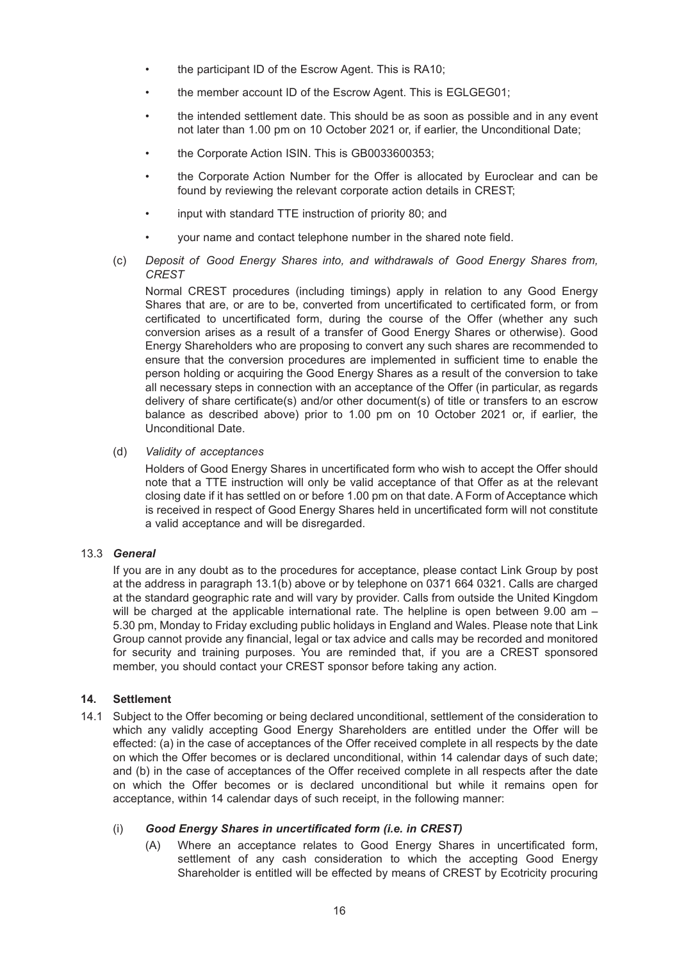- the participant ID of the Escrow Agent. This is RA10;
- the member account ID of the Escrow Agent. This is EGLGEG01;
- the intended settlement date. This should be as soon as possible and in any event not later than 1.00 pm on 10 October 2021 or, if earlier, the Unconditional Date;
- the Corporate Action ISIN. This is GB0033600353;
- the Corporate Action Number for the Offer is allocated by Euroclear and can be found by reviewing the relevant corporate action details in CREST;
- input with standard TTE instruction of priority 80; and
- your name and contact telephone number in the shared note field.
- (c) *Deposit of Good Energy Shares into, and withdrawals of Good Energy Shares from, CREST*

Normal CREST procedures (including timings) apply in relation to any Good Energy Shares that are, or are to be, converted from uncertificated to certificated form, or from certificated to uncertificated form, during the course of the Offer (whether any such conversion arises as a result of a transfer of Good Energy Shares or otherwise). Good Energy Shareholders who are proposing to convert any such shares are recommended to ensure that the conversion procedures are implemented in sufficient time to enable the person holding or acquiring the Good Energy Shares as a result of the conversion to take all necessary steps in connection with an acceptance of the Offer (in particular, as regards delivery of share certificate(s) and/or other document(s) of title or transfers to an escrow balance as described above) prior to 1.00 pm on 10 October 2021 or, if earlier, the Unconditional Date.

(d) *Validity of acceptances*

Holders of Good Energy Shares in uncertificated form who wish to accept the Offer should note that a TTE instruction will only be valid acceptance of that Offer as at the relevant closing date if it has settled on or before 1.00 pm on that date. A Form of Acceptance which is received in respect of Good Energy Shares held in uncertificated form will not constitute a valid acceptance and will be disregarded.

#### 13.3 *General*

If you are in any doubt as to the procedures for acceptance, please contact Link Group by post at the address in paragraph 13.1(b) above or by telephone on 0371 664 0321. Calls are charged at the standard geographic rate and will vary by provider. Calls from outside the United Kingdom will be charged at the applicable international rate. The helpline is open between 9.00 am – 5.30 pm, Monday to Friday excluding public holidays in England and Wales. Please note that Link Group cannot provide any financial, legal or tax advice and calls may be recorded and monitored for security and training purposes. You are reminded that, if you are a CREST sponsored member, you should contact your CREST sponsor before taking any action.

#### **14. Settlement**

14.1 Subject to the Offer becoming or being declared unconditional, settlement of the consideration to which any validly accepting Good Energy Shareholders are entitled under the Offer will be effected: (a) in the case of acceptances of the Offer received complete in all respects by the date on which the Offer becomes or is declared unconditional, within 14 calendar days of such date; and (b) in the case of acceptances of the Offer received complete in all respects after the date on which the Offer becomes or is declared unconditional but while it remains open for acceptance, within 14 calendar days of such receipt, in the following manner:

#### (i) *Good Energy Shares in uncertificated form (i.e. in CREST)*

(A) Where an acceptance relates to Good Energy Shares in uncertificated form, settlement of any cash consideration to which the accepting Good Energy Shareholder is entitled will be effected by means of CREST by Ecotricity procuring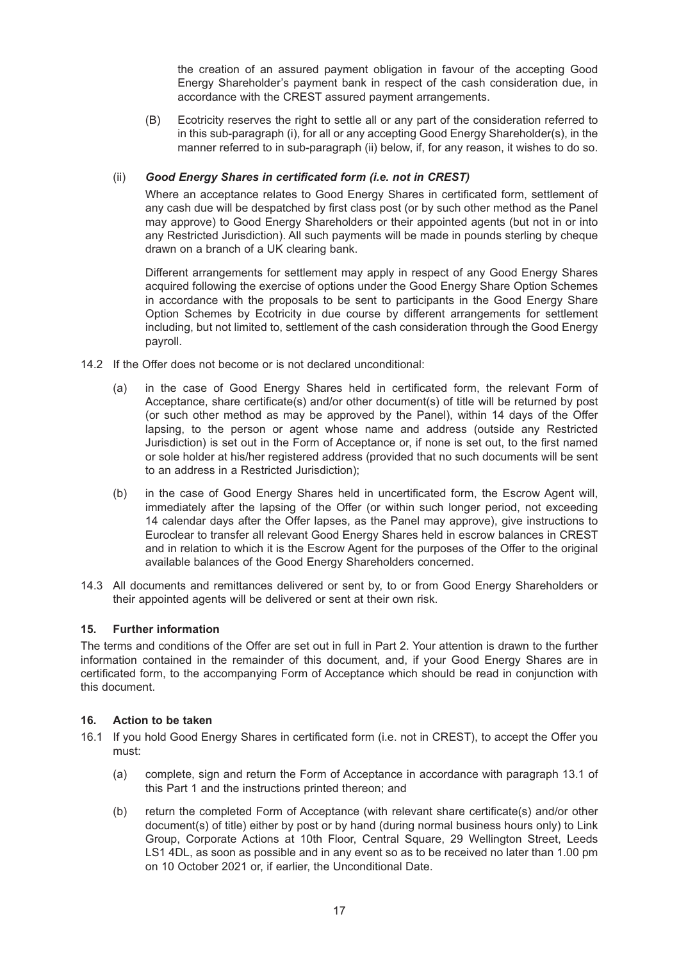the creation of an assured payment obligation in favour of the accepting Good Energy Shareholder's payment bank in respect of the cash consideration due, in accordance with the CREST assured payment arrangements.

(B) Ecotricity reserves the right to settle all or any part of the consideration referred to in this sub-paragraph (i), for all or any accepting Good Energy Shareholder(s), in the manner referred to in sub-paragraph (ii) below, if, for any reason, it wishes to do so.

### (ii) *Good Energy Shares in certificated form (i.e. not in CREST)*

Where an acceptance relates to Good Energy Shares in certificated form, settlement of any cash due will be despatched by first class post (or by such other method as the Panel may approve) to Good Energy Shareholders or their appointed agents (but not in or into any Restricted Jurisdiction). All such payments will be made in pounds sterling by cheque drawn on a branch of a UK clearing bank.

Different arrangements for settlement may apply in respect of any Good Energy Shares acquired following the exercise of options under the Good Energy Share Option Schemes in accordance with the proposals to be sent to participants in the Good Energy Share Option Schemes by Ecotricity in due course by different arrangements for settlement including, but not limited to, settlement of the cash consideration through the Good Energy payroll.

- 14.2 If the Offer does not become or is not declared unconditional:
	- (a) in the case of Good Energy Shares held in certificated form, the relevant Form of Acceptance, share certificate(s) and/or other document(s) of title will be returned by post (or such other method as may be approved by the Panel), within 14 days of the Offer lapsing, to the person or agent whose name and address (outside any Restricted Jurisdiction) is set out in the Form of Acceptance or, if none is set out, to the first named or sole holder at his/her registered address (provided that no such documents will be sent to an address in a Restricted Jurisdiction);
	- (b) in the case of Good Energy Shares held in uncertificated form, the Escrow Agent will, immediately after the lapsing of the Offer (or within such longer period, not exceeding 14 calendar days after the Offer lapses, as the Panel may approve), give instructions to Euroclear to transfer all relevant Good Energy Shares held in escrow balances in CREST and in relation to which it is the Escrow Agent for the purposes of the Offer to the original available balances of the Good Energy Shareholders concerned.
- 14.3 All documents and remittances delivered or sent by, to or from Good Energy Shareholders or their appointed agents will be delivered or sent at their own risk.

#### **15. Further information**

The terms and conditions of the Offer are set out in full in Part 2. Your attention is drawn to the further information contained in the remainder of this document, and, if your Good Energy Shares are in certificated form, to the accompanying Form of Acceptance which should be read in conjunction with this document.

#### **16. Action to be taken**

- 16.1 If you hold Good Energy Shares in certificated form (i.e. not in CREST), to accept the Offer you must:
	- (a) complete, sign and return the Form of Acceptance in accordance with paragraph 13.1 of this Part 1 and the instructions printed thereon; and
	- (b) return the completed Form of Acceptance (with relevant share certificate(s) and/or other document(s) of title) either by post or by hand (during normal business hours only) to Link Group, Corporate Actions at 10th Floor, Central Square, 29 Wellington Street, Leeds LS1 4DL, as soon as possible and in any event so as to be received no later than 1.00 pm on 10 October 2021 or, if earlier, the Unconditional Date.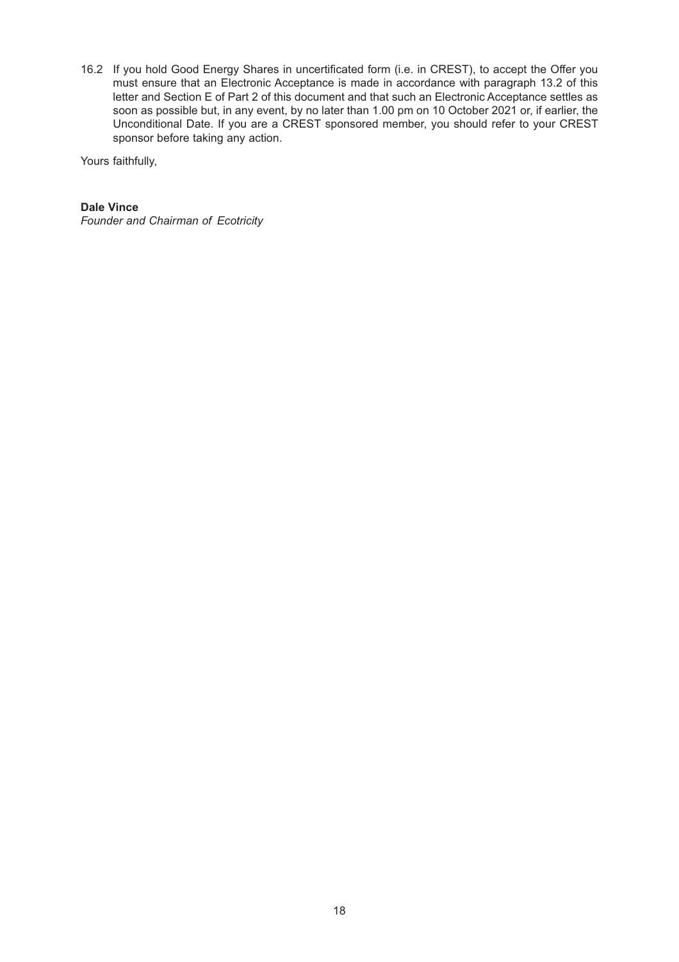16.2 If you hold Good Energy Shares in uncertificated form (i.e. in CREST), to accept the Offer you must ensure that an Electronic Acceptance is made in accordance with paragraph 13.2 of this letter and Section E of Part 2 of this document and that such an Electronic Acceptance settles as soon as possible but, in any event, by no later than 1.00 pm on 10 October 2021 or, if earlier, the Unconditional Date. If you are a CREST sponsored member, you should refer to your CREST sponsor before taking any action.

Yours faithfully,

### **Dale Vince**

*Founder and Chairman of Ecotricity*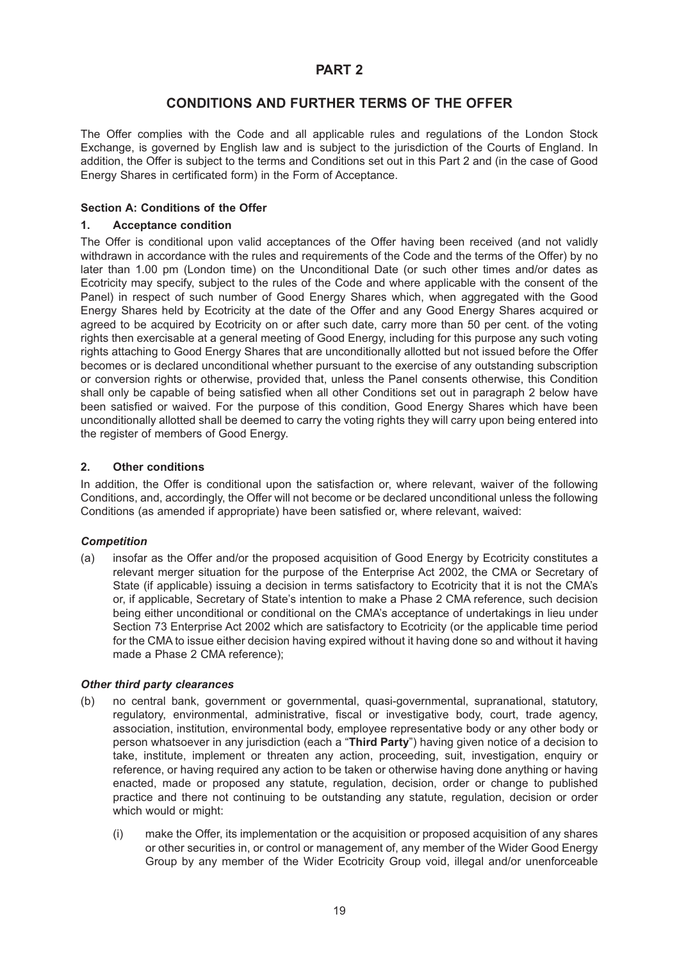## **CONDITIONS AND FURTHER TERMS OF THE OFFER**

The Offer complies with the Code and all applicable rules and regulations of the London Stock Exchange, is governed by English law and is subject to the jurisdiction of the Courts of England. In addition, the Offer is subject to the terms and Conditions set out in this Part 2 and (in the case of Good Energy Shares in certificated form) in the Form of Acceptance.

### **Section A: Conditions of the Offer**

#### **1. Acceptance condition**

The Offer is conditional upon valid acceptances of the Offer having been received (and not validly withdrawn in accordance with the rules and requirements of the Code and the terms of the Offer) by no later than 1.00 pm (London time) on the Unconditional Date (or such other times and/or dates as Ecotricity may specify, subject to the rules of the Code and where applicable with the consent of the Panel) in respect of such number of Good Energy Shares which, when aggregated with the Good Energy Shares held by Ecotricity at the date of the Offer and any Good Energy Shares acquired or agreed to be acquired by Ecotricity on or after such date, carry more than 50 per cent. of the voting rights then exercisable at a general meeting of Good Energy, including for this purpose any such voting rights attaching to Good Energy Shares that are unconditionally allotted but not issued before the Offer becomes or is declared unconditional whether pursuant to the exercise of any outstanding subscription or conversion rights or otherwise, provided that, unless the Panel consents otherwise, this Condition shall only be capable of being satisfied when all other Conditions set out in paragraph 2 below have been satisfied or waived. For the purpose of this condition, Good Energy Shares which have been unconditionally allotted shall be deemed to carry the voting rights they will carry upon being entered into the register of members of Good Energy.

#### **2. Other conditions**

In addition, the Offer is conditional upon the satisfaction or, where relevant, waiver of the following Conditions, and, accordingly, the Offer will not become or be declared unconditional unless the following Conditions (as amended if appropriate) have been satisfied or, where relevant, waived:

#### *Competition*

(a) insofar as the Offer and/or the proposed acquisition of Good Energy by Ecotricity constitutes a relevant merger situation for the purpose of the Enterprise Act 2002, the CMA or Secretary of State (if applicable) issuing a decision in terms satisfactory to Ecotricity that it is not the CMA's or, if applicable, Secretary of State's intention to make a Phase 2 CMA reference, such decision being either unconditional or conditional on the CMA's acceptance of undertakings in lieu under Section 73 Enterprise Act 2002 which are satisfactory to Ecotricity (or the applicable time period for the CMA to issue either decision having expired without it having done so and without it having made a Phase 2 CMA reference);

#### *Other third party clearances*

- (b) no central bank, government or governmental, quasi-governmental, supranational, statutory, regulatory, environmental, administrative, fiscal or investigative body, court, trade agency, association, institution, environmental body, employee representative body or any other body or person whatsoever in any jurisdiction (each a "**Third Party**") having given notice of a decision to take, institute, implement or threaten any action, proceeding, suit, investigation, enquiry or reference, or having required any action to be taken or otherwise having done anything or having enacted, made or proposed any statute, regulation, decision, order or change to published practice and there not continuing to be outstanding any statute, regulation, decision or order which would or might:
	- (i) make the Offer, its implementation or the acquisition or proposed acquisition of any shares or other securities in, or control or management of, any member of the Wider Good Energy Group by any member of the Wider Ecotricity Group void, illegal and/or unenforceable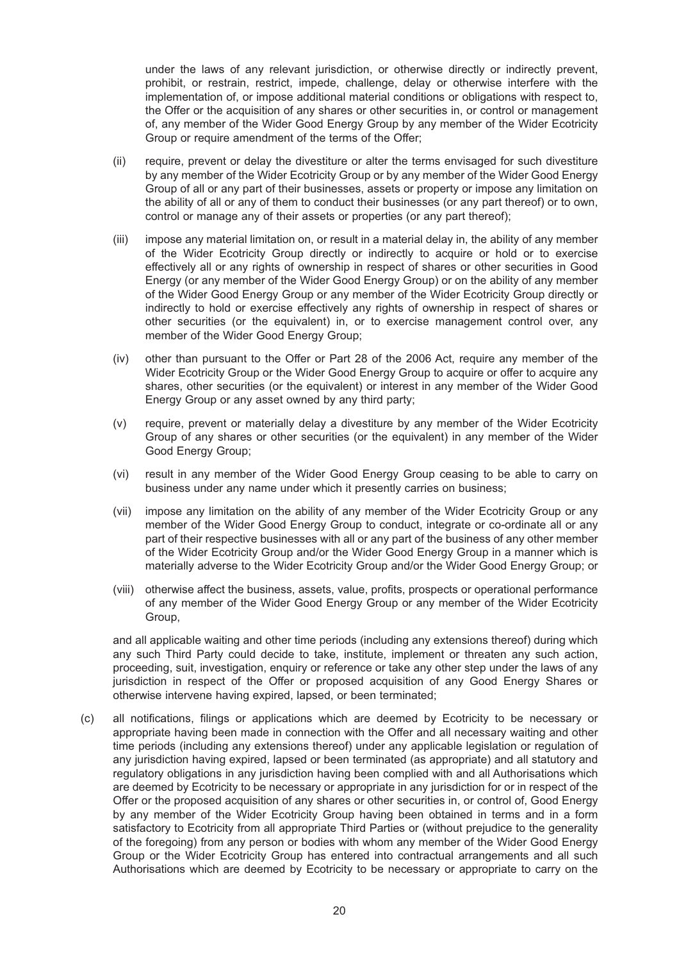under the laws of any relevant jurisdiction, or otherwise directly or indirectly prevent, prohibit, or restrain, restrict, impede, challenge, delay or otherwise interfere with the implementation of, or impose additional material conditions or obligations with respect to, the Offer or the acquisition of any shares or other securities in, or control or management of, any member of the Wider Good Energy Group by any member of the Wider Ecotricity Group or require amendment of the terms of the Offer;

- (ii) require, prevent or delay the divestiture or alter the terms envisaged for such divestiture by any member of the Wider Ecotricity Group or by any member of the Wider Good Energy Group of all or any part of their businesses, assets or property or impose any limitation on the ability of all or any of them to conduct their businesses (or any part thereof) or to own, control or manage any of their assets or properties (or any part thereof);
- (iii) impose any material limitation on, or result in a material delay in, the ability of any member of the Wider Ecotricity Group directly or indirectly to acquire or hold or to exercise effectively all or any rights of ownership in respect of shares or other securities in Good Energy (or any member of the Wider Good Energy Group) or on the ability of any member of the Wider Good Energy Group or any member of the Wider Ecotricity Group directly or indirectly to hold or exercise effectively any rights of ownership in respect of shares or other securities (or the equivalent) in, or to exercise management control over, any member of the Wider Good Energy Group;
- (iv) other than pursuant to the Offer or Part 28 of the 2006 Act, require any member of the Wider Ecotricity Group or the Wider Good Energy Group to acquire or offer to acquire any shares, other securities (or the equivalent) or interest in any member of the Wider Good Energy Group or any asset owned by any third party;
- (v) require, prevent or materially delay a divestiture by any member of the Wider Ecotricity Group of any shares or other securities (or the equivalent) in any member of the Wider Good Energy Group;
- (vi) result in any member of the Wider Good Energy Group ceasing to be able to carry on business under any name under which it presently carries on business;
- (vii) impose any limitation on the ability of any member of the Wider Ecotricity Group or any member of the Wider Good Energy Group to conduct, integrate or co-ordinate all or any part of their respective businesses with all or any part of the business of any other member of the Wider Ecotricity Group and/or the Wider Good Energy Group in a manner which is materially adverse to the Wider Ecotricity Group and/or the Wider Good Energy Group; or
- (viii) otherwise affect the business, assets, value, profits, prospects or operational performance of any member of the Wider Good Energy Group or any member of the Wider Ecotricity Group,

and all applicable waiting and other time periods (including any extensions thereof) during which any such Third Party could decide to take, institute, implement or threaten any such action, proceeding, suit, investigation, enquiry or reference or take any other step under the laws of any jurisdiction in respect of the Offer or proposed acquisition of any Good Energy Shares or otherwise intervene having expired, lapsed, or been terminated;

(c) all notifications, filings or applications which are deemed by Ecotricity to be necessary or appropriate having been made in connection with the Offer and all necessary waiting and other time periods (including any extensions thereof) under any applicable legislation or regulation of any jurisdiction having expired, lapsed or been terminated (as appropriate) and all statutory and regulatory obligations in any jurisdiction having been complied with and all Authorisations which are deemed by Ecotricity to be necessary or appropriate in any jurisdiction for or in respect of the Offer or the proposed acquisition of any shares or other securities in, or control of, Good Energy by any member of the Wider Ecotricity Group having been obtained in terms and in a form satisfactory to Ecotricity from all appropriate Third Parties or (without prejudice to the generality of the foregoing) from any person or bodies with whom any member of the Wider Good Energy Group or the Wider Ecotricity Group has entered into contractual arrangements and all such Authorisations which are deemed by Ecotricity to be necessary or appropriate to carry on the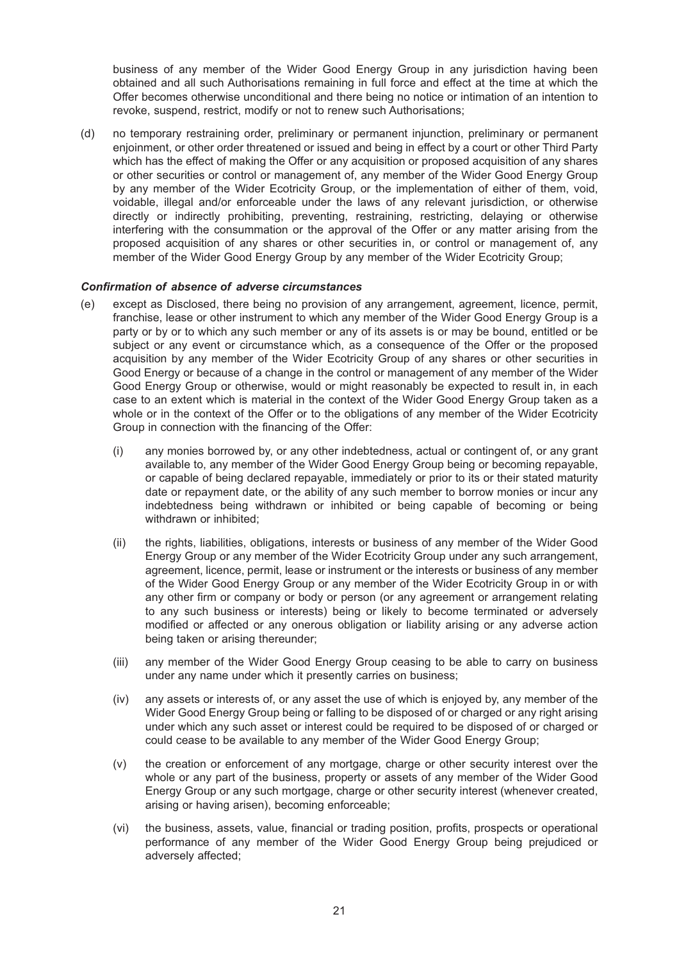business of any member of the Wider Good Energy Group in any jurisdiction having been obtained and all such Authorisations remaining in full force and effect at the time at which the Offer becomes otherwise unconditional and there being no notice or intimation of an intention to revoke, suspend, restrict, modify or not to renew such Authorisations;

(d) no temporary restraining order, preliminary or permanent injunction, preliminary or permanent enjoinment, or other order threatened or issued and being in effect by a court or other Third Party which has the effect of making the Offer or any acquisition or proposed acquisition of any shares or other securities or control or management of, any member of the Wider Good Energy Group by any member of the Wider Ecotricity Group, or the implementation of either of them, void, voidable, illegal and/or enforceable under the laws of any relevant jurisdiction, or otherwise directly or indirectly prohibiting, preventing, restraining, restricting, delaying or otherwise interfering with the consummation or the approval of the Offer or any matter arising from the proposed acquisition of any shares or other securities in, or control or management of, any member of the Wider Good Energy Group by any member of the Wider Ecotricity Group;

#### *Confirmation of absence of adverse circumstances*

- (e) except as Disclosed, there being no provision of any arrangement, agreement, licence, permit, franchise, lease or other instrument to which any member of the Wider Good Energy Group is a party or by or to which any such member or any of its assets is or may be bound, entitled or be subject or any event or circumstance which, as a consequence of the Offer or the proposed acquisition by any member of the Wider Ecotricity Group of any shares or other securities in Good Energy or because of a change in the control or management of any member of the Wider Good Energy Group or otherwise, would or might reasonably be expected to result in, in each case to an extent which is material in the context of the Wider Good Energy Group taken as a whole or in the context of the Offer or to the obligations of any member of the Wider Ecotricity Group in connection with the financing of the Offer:
	- (i) any monies borrowed by, or any other indebtedness, actual or contingent of, or any grant available to, any member of the Wider Good Energy Group being or becoming repayable, or capable of being declared repayable, immediately or prior to its or their stated maturity date or repayment date, or the ability of any such member to borrow monies or incur any indebtedness being withdrawn or inhibited or being capable of becoming or being withdrawn or inhibited;
	- (ii) the rights, liabilities, obligations, interests or business of any member of the Wider Good Energy Group or any member of the Wider Ecotricity Group under any such arrangement, agreement, licence, permit, lease or instrument or the interests or business of any member of the Wider Good Energy Group or any member of the Wider Ecotricity Group in or with any other firm or company or body or person (or any agreement or arrangement relating to any such business or interests) being or likely to become terminated or adversely modified or affected or any onerous obligation or liability arising or any adverse action being taken or arising thereunder;
	- (iii) any member of the Wider Good Energy Group ceasing to be able to carry on business under any name under which it presently carries on business;
	- (iv) any assets or interests of, or any asset the use of which is enjoyed by, any member of the Wider Good Energy Group being or falling to be disposed of or charged or any right arising under which any such asset or interest could be required to be disposed of or charged or could cease to be available to any member of the Wider Good Energy Group;
	- (v) the creation or enforcement of any mortgage, charge or other security interest over the whole or any part of the business, property or assets of any member of the Wider Good Energy Group or any such mortgage, charge or other security interest (whenever created, arising or having arisen), becoming enforceable;
	- (vi) the business, assets, value, financial or trading position, profits, prospects or operational performance of any member of the Wider Good Energy Group being prejudiced or adversely affected;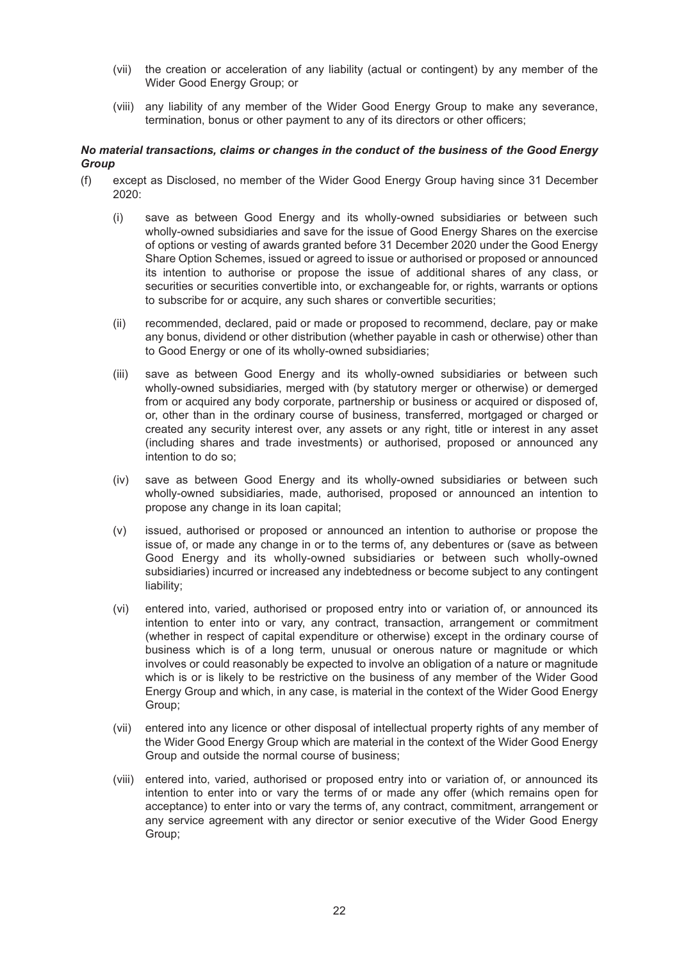- (vii) the creation or acceleration of any liability (actual or contingent) by any member of the Wider Good Energy Group; or
- (viii) any liability of any member of the Wider Good Energy Group to make any severance, termination, bonus or other payment to any of its directors or other officers;

#### *No material transactions, claims or changes in the conduct of the business of the Good Energy Group*

- (f) except as Disclosed, no member of the Wider Good Energy Group having since 31 December 2020:
	- (i) save as between Good Energy and its wholly-owned subsidiaries or between such wholly-owned subsidiaries and save for the issue of Good Energy Shares on the exercise of options or vesting of awards granted before 31 December 2020 under the Good Energy Share Option Schemes, issued or agreed to issue or authorised or proposed or announced its intention to authorise or propose the issue of additional shares of any class, or securities or securities convertible into, or exchangeable for, or rights, warrants or options to subscribe for or acquire, any such shares or convertible securities;
	- (ii) recommended, declared, paid or made or proposed to recommend, declare, pay or make any bonus, dividend or other distribution (whether payable in cash or otherwise) other than to Good Energy or one of its wholly-owned subsidiaries;
	- (iii) save as between Good Energy and its wholly-owned subsidiaries or between such wholly-owned subsidiaries, merged with (by statutory merger or otherwise) or demerged from or acquired any body corporate, partnership or business or acquired or disposed of, or, other than in the ordinary course of business, transferred, mortgaged or charged or created any security interest over, any assets or any right, title or interest in any asset (including shares and trade investments) or authorised, proposed or announced any intention to do so;
	- (iv) save as between Good Energy and its wholly-owned subsidiaries or between such wholly-owned subsidiaries, made, authorised, proposed or announced an intention to propose any change in its loan capital;
	- (v) issued, authorised or proposed or announced an intention to authorise or propose the issue of, or made any change in or to the terms of, any debentures or (save as between Good Energy and its wholly-owned subsidiaries or between such wholly-owned subsidiaries) incurred or increased any indebtedness or become subject to any contingent liability;
	- (vi) entered into, varied, authorised or proposed entry into or variation of, or announced its intention to enter into or vary, any contract, transaction, arrangement or commitment (whether in respect of capital expenditure or otherwise) except in the ordinary course of business which is of a long term, unusual or onerous nature or magnitude or which involves or could reasonably be expected to involve an obligation of a nature or magnitude which is or is likely to be restrictive on the business of any member of the Wider Good Energy Group and which, in any case, is material in the context of the Wider Good Energy Group;
	- (vii) entered into any licence or other disposal of intellectual property rights of any member of the Wider Good Energy Group which are material in the context of the Wider Good Energy Group and outside the normal course of business;
	- (viii) entered into, varied, authorised or proposed entry into or variation of, or announced its intention to enter into or vary the terms of or made any offer (which remains open for acceptance) to enter into or vary the terms of, any contract, commitment, arrangement or any service agreement with any director or senior executive of the Wider Good Energy Group;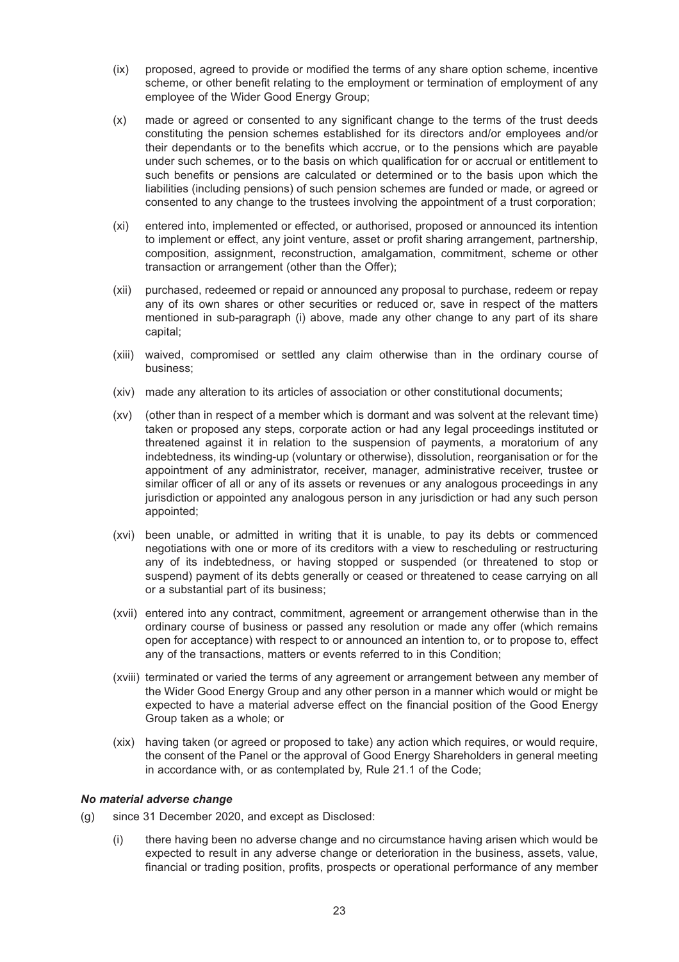- (ix) proposed, agreed to provide or modified the terms of any share option scheme, incentive scheme, or other benefit relating to the employment or termination of employment of any employee of the Wider Good Energy Group;
- (x) made or agreed or consented to any significant change to the terms of the trust deeds constituting the pension schemes established for its directors and/or employees and/or their dependants or to the benefits which accrue, or to the pensions which are payable under such schemes, or to the basis on which qualification for or accrual or entitlement to such benefits or pensions are calculated or determined or to the basis upon which the liabilities (including pensions) of such pension schemes are funded or made, or agreed or consented to any change to the trustees involving the appointment of a trust corporation;
- (xi) entered into, implemented or effected, or authorised, proposed or announced its intention to implement or effect, any joint venture, asset or profit sharing arrangement, partnership, composition, assignment, reconstruction, amalgamation, commitment, scheme or other transaction or arrangement (other than the Offer);
- (xii) purchased, redeemed or repaid or announced any proposal to purchase, redeem or repay any of its own shares or other securities or reduced or, save in respect of the matters mentioned in sub-paragraph (i) above, made any other change to any part of its share capital;
- (xiii) waived, compromised or settled any claim otherwise than in the ordinary course of business;
- (xiv) made any alteration to its articles of association or other constitutional documents;
- (xv) (other than in respect of a member which is dormant and was solvent at the relevant time) taken or proposed any steps, corporate action or had any legal proceedings instituted or threatened against it in relation to the suspension of payments, a moratorium of any indebtedness, its winding-up (voluntary or otherwise), dissolution, reorganisation or for the appointment of any administrator, receiver, manager, administrative receiver, trustee or similar officer of all or any of its assets or revenues or any analogous proceedings in any jurisdiction or appointed any analogous person in any jurisdiction or had any such person appointed;
- (xvi) been unable, or admitted in writing that it is unable, to pay its debts or commenced negotiations with one or more of its creditors with a view to rescheduling or restructuring any of its indebtedness, or having stopped or suspended (or threatened to stop or suspend) payment of its debts generally or ceased or threatened to cease carrying on all or a substantial part of its business;
- (xvii) entered into any contract, commitment, agreement or arrangement otherwise than in the ordinary course of business or passed any resolution or made any offer (which remains open for acceptance) with respect to or announced an intention to, or to propose to, effect any of the transactions, matters or events referred to in this Condition;
- (xviii) terminated or varied the terms of any agreement or arrangement between any member of the Wider Good Energy Group and any other person in a manner which would or might be expected to have a material adverse effect on the financial position of the Good Energy Group taken as a whole; or
- (xix) having taken (or agreed or proposed to take) any action which requires, or would require, the consent of the Panel or the approval of Good Energy Shareholders in general meeting in accordance with, or as contemplated by, Rule 21.1 of the Code;

### *No material adverse change*

- (g) since 31 December 2020, and except as Disclosed:
	- (i) there having been no adverse change and no circumstance having arisen which would be expected to result in any adverse change or deterioration in the business, assets, value, financial or trading position, profits, prospects or operational performance of any member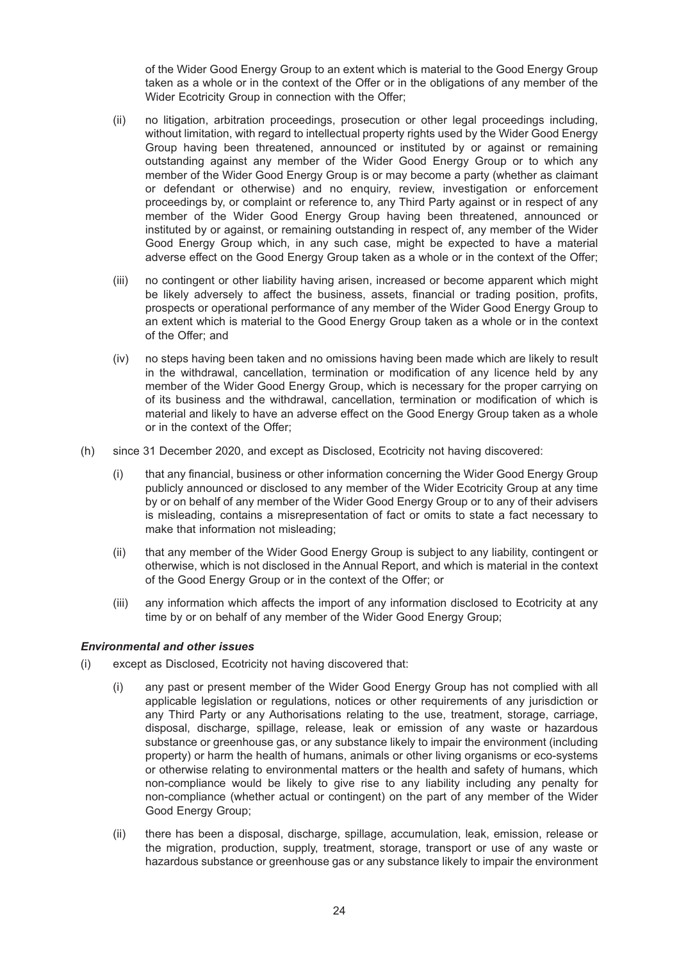of the Wider Good Energy Group to an extent which is material to the Good Energy Group taken as a whole or in the context of the Offer or in the obligations of any member of the Wider Ecotricity Group in connection with the Offer;

- (ii) no litigation, arbitration proceedings, prosecution or other legal proceedings including, without limitation, with regard to intellectual property rights used by the Wider Good Energy Group having been threatened, announced or instituted by or against or remaining outstanding against any member of the Wider Good Energy Group or to which any member of the Wider Good Energy Group is or may become a party (whether as claimant or defendant or otherwise) and no enquiry, review, investigation or enforcement proceedings by, or complaint or reference to, any Third Party against or in respect of any member of the Wider Good Energy Group having been threatened, announced or instituted by or against, or remaining outstanding in respect of, any member of the Wider Good Energy Group which, in any such case, might be expected to have a material adverse effect on the Good Energy Group taken as a whole or in the context of the Offer;
- (iii) no contingent or other liability having arisen, increased or become apparent which might be likely adversely to affect the business, assets, financial or trading position, profits, prospects or operational performance of any member of the Wider Good Energy Group to an extent which is material to the Good Energy Group taken as a whole or in the context of the Offer; and
- (iv) no steps having been taken and no omissions having been made which are likely to result in the withdrawal, cancellation, termination or modification of any licence held by any member of the Wider Good Energy Group, which is necessary for the proper carrying on of its business and the withdrawal, cancellation, termination or modification of which is material and likely to have an adverse effect on the Good Energy Group taken as a whole or in the context of the Offer;
- (h) since 31 December 2020, and except as Disclosed, Ecotricity not having discovered:
	- (i) that any financial, business or other information concerning the Wider Good Energy Group publicly announced or disclosed to any member of the Wider Ecotricity Group at any time by or on behalf of any member of the Wider Good Energy Group or to any of their advisers is misleading, contains a misrepresentation of fact or omits to state a fact necessary to make that information not misleading;
	- (ii) that any member of the Wider Good Energy Group is subject to any liability, contingent or otherwise, which is not disclosed in the Annual Report, and which is material in the context of the Good Energy Group or in the context of the Offer; or
	- (iii) any information which affects the import of any information disclosed to Ecotricity at any time by or on behalf of any member of the Wider Good Energy Group;

#### *Environmental and other issues*

- (i) except as Disclosed, Ecotricity not having discovered that:
	- (i) any past or present member of the Wider Good Energy Group has not complied with all applicable legislation or regulations, notices or other requirements of any jurisdiction or any Third Party or any Authorisations relating to the use, treatment, storage, carriage, disposal, discharge, spillage, release, leak or emission of any waste or hazardous substance or greenhouse gas, or any substance likely to impair the environment (including property) or harm the health of humans, animals or other living organisms or eco-systems or otherwise relating to environmental matters or the health and safety of humans, which non-compliance would be likely to give rise to any liability including any penalty for non-compliance (whether actual or contingent) on the part of any member of the Wider Good Energy Group;
	- (ii) there has been a disposal, discharge, spillage, accumulation, leak, emission, release or the migration, production, supply, treatment, storage, transport or use of any waste or hazardous substance or greenhouse gas or any substance likely to impair the environment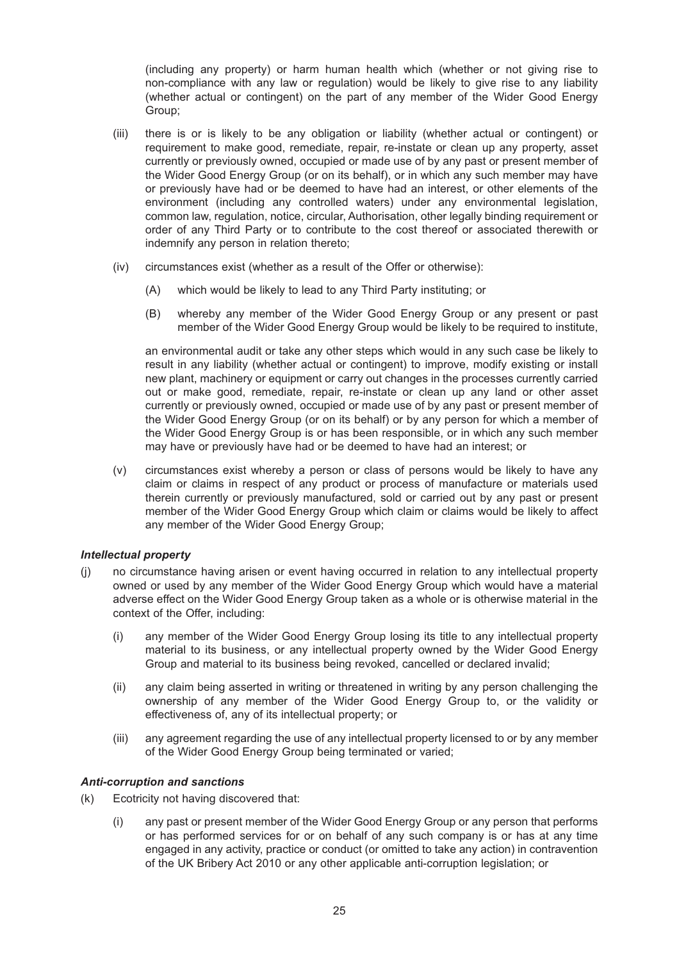(including any property) or harm human health which (whether or not giving rise to non-compliance with any law or regulation) would be likely to give rise to any liability (whether actual or contingent) on the part of any member of the Wider Good Energy Group;

- (iii) there is or is likely to be any obligation or liability (whether actual or contingent) or requirement to make good, remediate, repair, re-instate or clean up any property, asset currently or previously owned, occupied or made use of by any past or present member of the Wider Good Energy Group (or on its behalf), or in which any such member may have or previously have had or be deemed to have had an interest, or other elements of the environment (including any controlled waters) under any environmental legislation, common law, regulation, notice, circular, Authorisation, other legally binding requirement or order of any Third Party or to contribute to the cost thereof or associated therewith or indemnify any person in relation thereto;
- (iv) circumstances exist (whether as a result of the Offer or otherwise):
	- (A) which would be likely to lead to any Third Party instituting; or
	- (B) whereby any member of the Wider Good Energy Group or any present or past member of the Wider Good Energy Group would be likely to be required to institute,

an environmental audit or take any other steps which would in any such case be likely to result in any liability (whether actual or contingent) to improve, modify existing or install new plant, machinery or equipment or carry out changes in the processes currently carried out or make good, remediate, repair, re-instate or clean up any land or other asset currently or previously owned, occupied or made use of by any past or present member of the Wider Good Energy Group (or on its behalf) or by any person for which a member of the Wider Good Energy Group is or has been responsible, or in which any such member may have or previously have had or be deemed to have had an interest; or

(v) circumstances exist whereby a person or class of persons would be likely to have any claim or claims in respect of any product or process of manufacture or materials used therein currently or previously manufactured, sold or carried out by any past or present member of the Wider Good Energy Group which claim or claims would be likely to affect any member of the Wider Good Energy Group;

#### *Intellectual property*

- (j) no circumstance having arisen or event having occurred in relation to any intellectual property owned or used by any member of the Wider Good Energy Group which would have a material adverse effect on the Wider Good Energy Group taken as a whole or is otherwise material in the context of the Offer, including:
	- (i) any member of the Wider Good Energy Group losing its title to any intellectual property material to its business, or any intellectual property owned by the Wider Good Energy Group and material to its business being revoked, cancelled or declared invalid;
	- (ii) any claim being asserted in writing or threatened in writing by any person challenging the ownership of any member of the Wider Good Energy Group to, or the validity or effectiveness of, any of its intellectual property; or
	- (iii) any agreement regarding the use of any intellectual property licensed to or by any member of the Wider Good Energy Group being terminated or varied;

#### *Anti-corruption and sanctions*

- (k) Ecotricity not having discovered that:
	- (i) any past or present member of the Wider Good Energy Group or any person that performs or has performed services for or on behalf of any such company is or has at any time engaged in any activity, practice or conduct (or omitted to take any action) in contravention of the UK Bribery Act 2010 or any other applicable anti-corruption legislation; or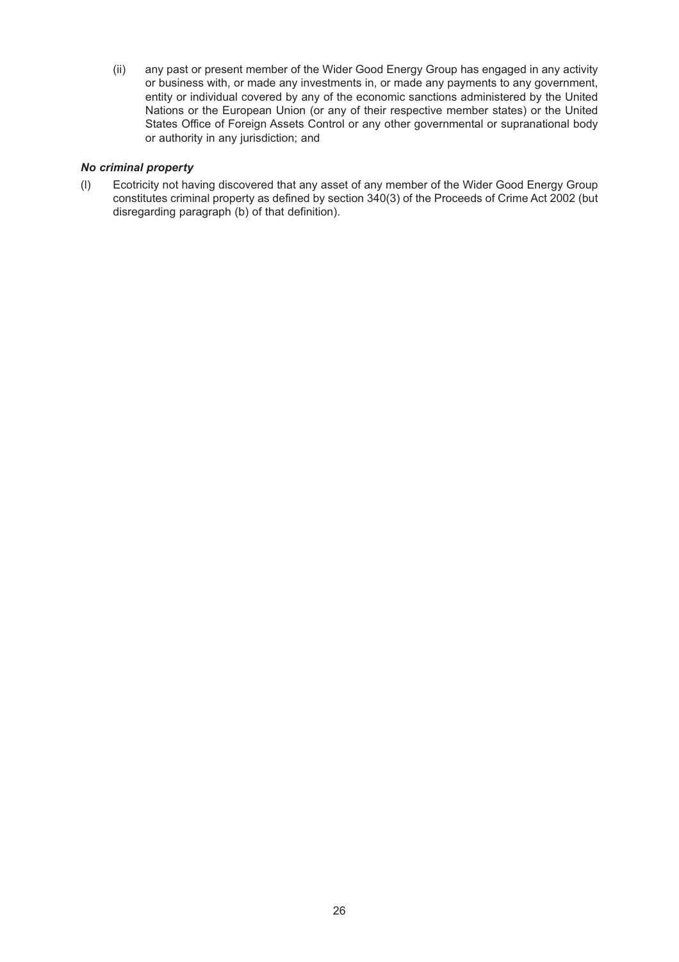(ii) any past or present member of the Wider Good Energy Group has engaged in any activity or business with, or made any investments in, or made any payments to any government, entity or individual covered by any of the economic sanctions administered by the United Nations or the European Union (or any of their respective member states) or the United States Office of Foreign Assets Control or any other governmental or supranational body or authority in any jurisdiction; and

### *No criminal property*

(l) Ecotricity not having discovered that any asset of any member of the Wider Good Energy Group constitutes criminal property as defined by section 340(3) of the Proceeds of Crime Act 2002 (but disregarding paragraph (b) of that definition).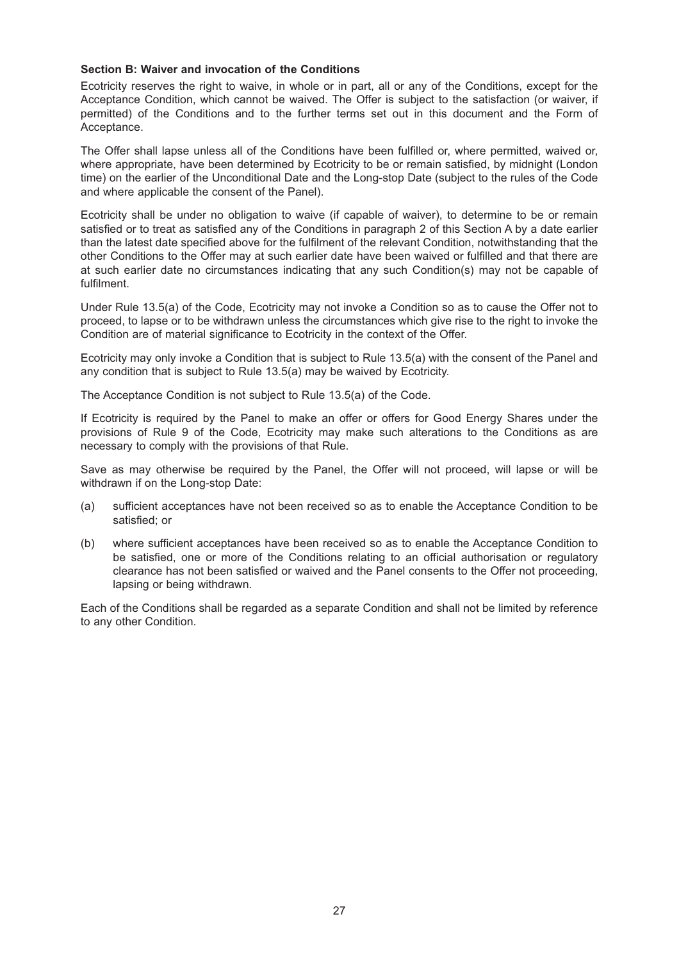#### **Section B: Waiver and invocation of the Conditions**

Ecotricity reserves the right to waive, in whole or in part, all or any of the Conditions, except for the Acceptance Condition, which cannot be waived. The Offer is subject to the satisfaction (or waiver, if permitted) of the Conditions and to the further terms set out in this document and the Form of Acceptance.

The Offer shall lapse unless all of the Conditions have been fulfilled or, where permitted, waived or, where appropriate, have been determined by Ecotricity to be or remain satisfied, by midnight (London time) on the earlier of the Unconditional Date and the Long-stop Date (subject to the rules of the Code and where applicable the consent of the Panel).

Ecotricity shall be under no obligation to waive (if capable of waiver), to determine to be or remain satisfied or to treat as satisfied any of the Conditions in paragraph 2 of this Section A by a date earlier than the latest date specified above for the fulfilment of the relevant Condition, notwithstanding that the other Conditions to the Offer may at such earlier date have been waived or fulfilled and that there are at such earlier date no circumstances indicating that any such Condition(s) may not be capable of fulfilment.

Under Rule 13.5(a) of the Code, Ecotricity may not invoke a Condition so as to cause the Offer not to proceed, to lapse or to be withdrawn unless the circumstances which give rise to the right to invoke the Condition are of material significance to Ecotricity in the context of the Offer.

Ecotricity may only invoke a Condition that is subject to Rule 13.5(a) with the consent of the Panel and any condition that is subject to Rule 13.5(a) may be waived by Ecotricity.

The Acceptance Condition is not subject to Rule 13.5(a) of the Code.

If Ecotricity is required by the Panel to make an offer or offers for Good Energy Shares under the provisions of Rule 9 of the Code, Ecotricity may make such alterations to the Conditions as are necessary to comply with the provisions of that Rule.

Save as may otherwise be required by the Panel, the Offer will not proceed, will lapse or will be withdrawn if on the Long-stop Date:

- (a) sufficient acceptances have not been received so as to enable the Acceptance Condition to be satisfied; or
- (b) where sufficient acceptances have been received so as to enable the Acceptance Condition to be satisfied, one or more of the Conditions relating to an official authorisation or regulatory clearance has not been satisfied or waived and the Panel consents to the Offer not proceeding, lapsing or being withdrawn.

Each of the Conditions shall be regarded as a separate Condition and shall not be limited by reference to any other Condition.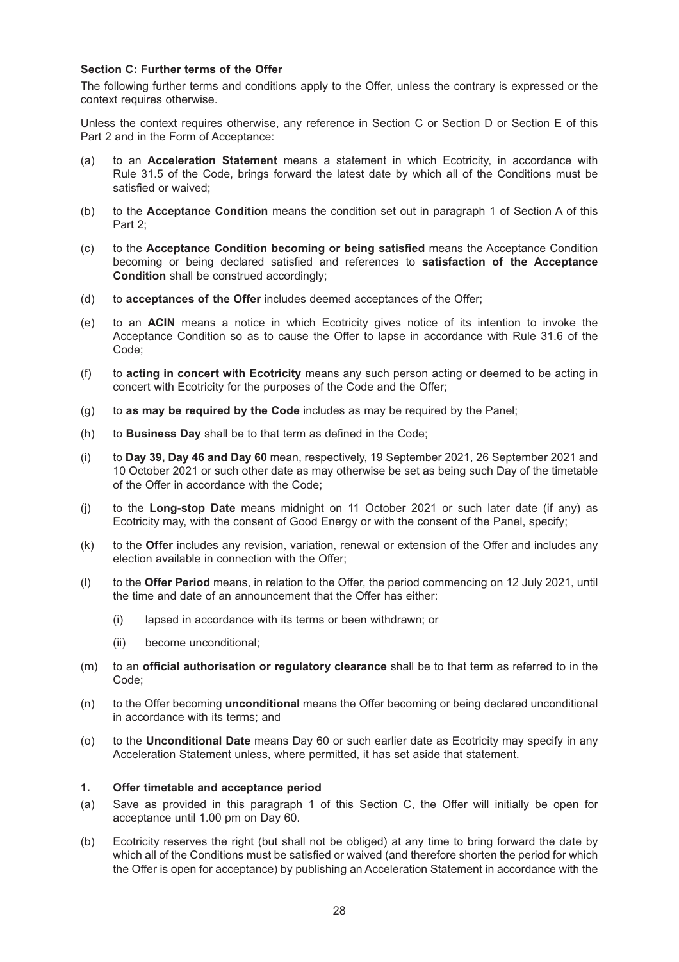#### **Section C: Further terms of the Offer**

The following further terms and conditions apply to the Offer, unless the contrary is expressed or the context requires otherwise.

Unless the context requires otherwise, any reference in Section C or Section D or Section E of this Part 2 and in the Form of Acceptance:

- (a) to an **Acceleration Statement** means a statement in which Ecotricity, in accordance with Rule 31.5 of the Code, brings forward the latest date by which all of the Conditions must be satisfied or waived;
- (b) to the **Acceptance Condition** means the condition set out in paragraph 1 of Section A of this Part 2;
- (c) to the **Acceptance Condition becoming or being satisfied** means the Acceptance Condition becoming or being declared satisfied and references to **satisfaction of the Acceptance Condition** shall be construed accordingly;
- (d) to **acceptances of the Offer** includes deemed acceptances of the Offer;
- (e) to an **ACIN** means a notice in which Ecotricity gives notice of its intention to invoke the Acceptance Condition so as to cause the Offer to lapse in accordance with Rule 31.6 of the Code;
- (f) to **acting in concert with Ecotricity** means any such person acting or deemed to be acting in concert with Ecotricity for the purposes of the Code and the Offer;
- (g) to **as may be required by the Code** includes as may be required by the Panel;
- (h) to **Business Day** shall be to that term as defined in the Code;
- (i) to **Day 39, Day 46 and Day 60** mean, respectively, 19 September 2021, 26 September 2021 and 10 October 2021 or such other date as may otherwise be set as being such Day of the timetable of the Offer in accordance with the Code;
- (j) to the **Long-stop Date** means midnight on 11 October 2021 or such later date (if any) as Ecotricity may, with the consent of Good Energy or with the consent of the Panel, specify;
- (k) to the **Offer** includes any revision, variation, renewal or extension of the Offer and includes any election available in connection with the Offer;
- (l) to the **Offer Period** means, in relation to the Offer, the period commencing on 12 July 2021, until the time and date of an announcement that the Offer has either:
	- (i) lapsed in accordance with its terms or been withdrawn; or
	- (ii) become unconditional;
- (m) to an **official authorisation or regulatory clearance** shall be to that term as referred to in the Code;
- (n) to the Offer becoming **unconditional** means the Offer becoming or being declared unconditional in accordance with its terms; and
- (o) to the **Unconditional Date** means Day 60 or such earlier date as Ecotricity may specify in any Acceleration Statement unless, where permitted, it has set aside that statement.

#### **1. Offer timetable and acceptance period**

- (a) Save as provided in this paragraph 1 of this Section C, the Offer will initially be open for acceptance until 1.00 pm on Day 60.
- (b) Ecotricity reserves the right (but shall not be obliged) at any time to bring forward the date by which all of the Conditions must be satisfied or waived (and therefore shorten the period for which the Offer is open for acceptance) by publishing an Acceleration Statement in accordance with the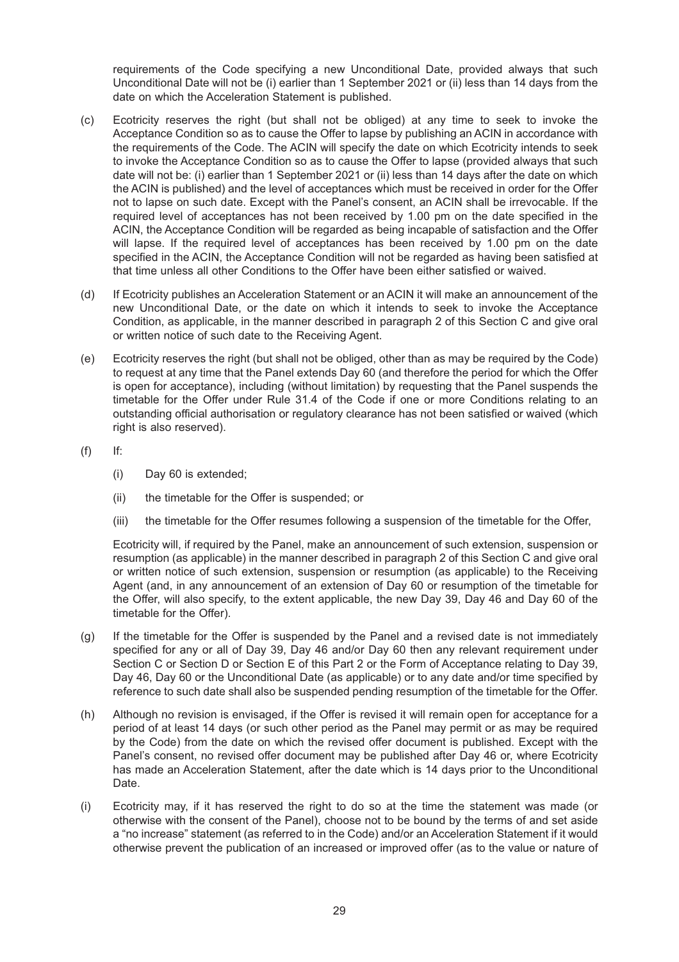requirements of the Code specifying a new Unconditional Date, provided always that such Unconditional Date will not be (i) earlier than 1 September 2021 or (ii) less than 14 days from the date on which the Acceleration Statement is published.

- (c) Ecotricity reserves the right (but shall not be obliged) at any time to seek to invoke the Acceptance Condition so as to cause the Offer to lapse by publishing an ACIN in accordance with the requirements of the Code. The ACIN will specify the date on which Ecotricity intends to seek to invoke the Acceptance Condition so as to cause the Offer to lapse (provided always that such date will not be: (i) earlier than 1 September 2021 or (ii) less than 14 days after the date on which the ACIN is published) and the level of acceptances which must be received in order for the Offer not to lapse on such date. Except with the Panel's consent, an ACIN shall be irrevocable. If the required level of acceptances has not been received by 1.00 pm on the date specified in the ACIN, the Acceptance Condition will be regarded as being incapable of satisfaction and the Offer will lapse. If the required level of acceptances has been received by 1.00 pm on the date specified in the ACIN, the Acceptance Condition will not be regarded as having been satisfied at that time unless all other Conditions to the Offer have been either satisfied or waived.
- (d) If Ecotricity publishes an Acceleration Statement or an ACIN it will make an announcement of the new Unconditional Date, or the date on which it intends to seek to invoke the Acceptance Condition, as applicable, in the manner described in paragraph 2 of this Section C and give oral or written notice of such date to the Receiving Agent.
- (e) Ecotricity reserves the right (but shall not be obliged, other than as may be required by the Code) to request at any time that the Panel extends Day 60 (and therefore the period for which the Offer is open for acceptance), including (without limitation) by requesting that the Panel suspends the timetable for the Offer under Rule 31.4 of the Code if one or more Conditions relating to an outstanding official authorisation or regulatory clearance has not been satisfied or waived (which right is also reserved).
- (f) If:
	- (i) Day 60 is extended;
	- (ii) the timetable for the Offer is suspended; or
	- (iii) the timetable for the Offer resumes following a suspension of the timetable for the Offer,

Ecotricity will, if required by the Panel, make an announcement of such extension, suspension or resumption (as applicable) in the manner described in paragraph 2 of this Section C and give oral or written notice of such extension, suspension or resumption (as applicable) to the Receiving Agent (and, in any announcement of an extension of Day 60 or resumption of the timetable for the Offer, will also specify, to the extent applicable, the new Day 39, Day 46 and Day 60 of the timetable for the Offer).

- (g) If the timetable for the Offer is suspended by the Panel and a revised date is not immediately specified for any or all of Day 39, Day 46 and/or Day 60 then any relevant requirement under Section C or Section D or Section E of this Part 2 or the Form of Acceptance relating to Day 39, Day 46, Day 60 or the Unconditional Date (as applicable) or to any date and/or time specified by reference to such date shall also be suspended pending resumption of the timetable for the Offer.
- (h) Although no revision is envisaged, if the Offer is revised it will remain open for acceptance for a period of at least 14 days (or such other period as the Panel may permit or as may be required by the Code) from the date on which the revised offer document is published. Except with the Panel's consent, no revised offer document may be published after Day 46 or, where Ecotricity has made an Acceleration Statement, after the date which is 14 days prior to the Unconditional Date.
- (i) Ecotricity may, if it has reserved the right to do so at the time the statement was made (or otherwise with the consent of the Panel), choose not to be bound by the terms of and set aside a "no increase" statement (as referred to in the Code) and/or an Acceleration Statement if it would otherwise prevent the publication of an increased or improved offer (as to the value or nature of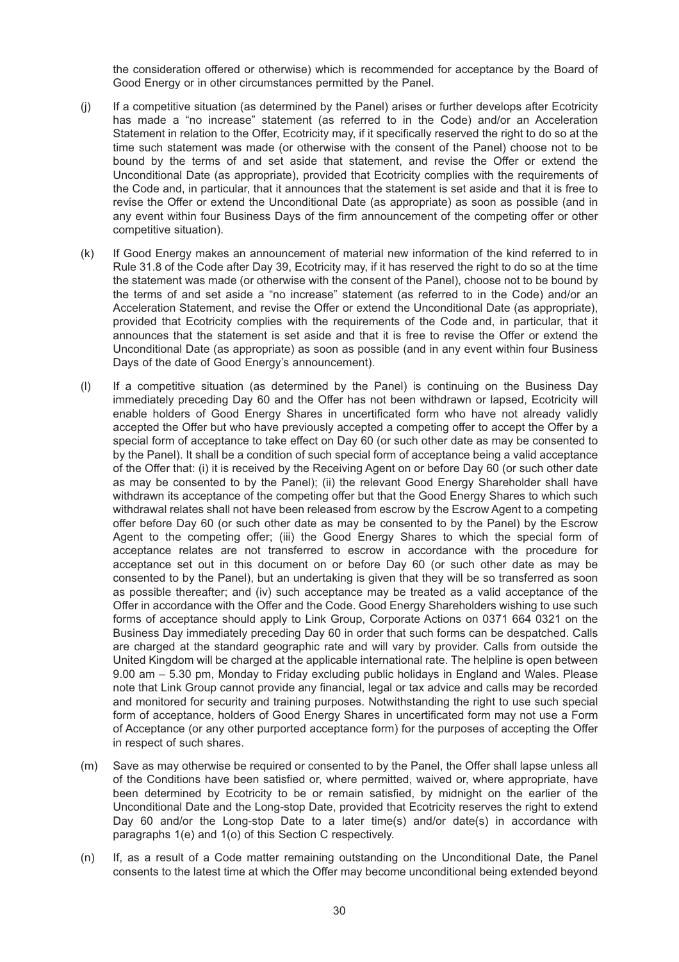the consideration offered or otherwise) which is recommended for acceptance by the Board of Good Energy or in other circumstances permitted by the Panel.

- (j) If a competitive situation (as determined by the Panel) arises or further develops after Ecotricity has made a "no increase" statement (as referred to in the Code) and/or an Acceleration Statement in relation to the Offer, Ecotricity may, if it specifically reserved the right to do so at the time such statement was made (or otherwise with the consent of the Panel) choose not to be bound by the terms of and set aside that statement, and revise the Offer or extend the Unconditional Date (as appropriate), provided that Ecotricity complies with the requirements of the Code and, in particular, that it announces that the statement is set aside and that it is free to revise the Offer or extend the Unconditional Date (as appropriate) as soon as possible (and in any event within four Business Days of the firm announcement of the competing offer or other competitive situation).
- (k) If Good Energy makes an announcement of material new information of the kind referred to in Rule 31.8 of the Code after Day 39, Ecotricity may, if it has reserved the right to do so at the time the statement was made (or otherwise with the consent of the Panel), choose not to be bound by the terms of and set aside a "no increase" statement (as referred to in the Code) and/or an Acceleration Statement, and revise the Offer or extend the Unconditional Date (as appropriate), provided that Ecotricity complies with the requirements of the Code and, in particular, that it announces that the statement is set aside and that it is free to revise the Offer or extend the Unconditional Date (as appropriate) as soon as possible (and in any event within four Business Days of the date of Good Energy's announcement).
- (l) If a competitive situation (as determined by the Panel) is continuing on the Business Day immediately preceding Day 60 and the Offer has not been withdrawn or lapsed, Ecotricity will enable holders of Good Energy Shares in uncertificated form who have not already validly accepted the Offer but who have previously accepted a competing offer to accept the Offer by a special form of acceptance to take effect on Day 60 (or such other date as may be consented to by the Panel). It shall be a condition of such special form of acceptance being a valid acceptance of the Offer that: (i) it is received by the Receiving Agent on or before Day 60 (or such other date as may be consented to by the Panel); (ii) the relevant Good Energy Shareholder shall have withdrawn its acceptance of the competing offer but that the Good Energy Shares to which such withdrawal relates shall not have been released from escrow by the Escrow Agent to a competing offer before Day 60 (or such other date as may be consented to by the Panel) by the Escrow Agent to the competing offer; (iii) the Good Energy Shares to which the special form of acceptance relates are not transferred to escrow in accordance with the procedure for acceptance set out in this document on or before Day 60 (or such other date as may be consented to by the Panel), but an undertaking is given that they will be so transferred as soon as possible thereafter; and (iv) such acceptance may be treated as a valid acceptance of the Offer in accordance with the Offer and the Code. Good Energy Shareholders wishing to use such forms of acceptance should apply to Link Group, Corporate Actions on 0371 664 0321 on the Business Day immediately preceding Day 60 in order that such forms can be despatched. Calls are charged at the standard geographic rate and will vary by provider. Calls from outside the United Kingdom will be charged at the applicable international rate. The helpline is open between 9.00 am – 5.30 pm, Monday to Friday excluding public holidays in England and Wales. Please note that Link Group cannot provide any financial, legal or tax advice and calls may be recorded and monitored for security and training purposes. Notwithstanding the right to use such special form of acceptance, holders of Good Energy Shares in uncertificated form may not use a Form of Acceptance (or any other purported acceptance form) for the purposes of accepting the Offer in respect of such shares.
- (m) Save as may otherwise be required or consented to by the Panel, the Offer shall lapse unless all of the Conditions have been satisfied or, where permitted, waived or, where appropriate, have been determined by Ecotricity to be or remain satisfied, by midnight on the earlier of the Unconditional Date and the Long-stop Date, provided that Ecotricity reserves the right to extend Day 60 and/or the Long-stop Date to a later time(s) and/or date(s) in accordance with paragraphs 1(e) and 1(o) of this Section C respectively.
- (n) If, as a result of a Code matter remaining outstanding on the Unconditional Date, the Panel consents to the latest time at which the Offer may become unconditional being extended beyond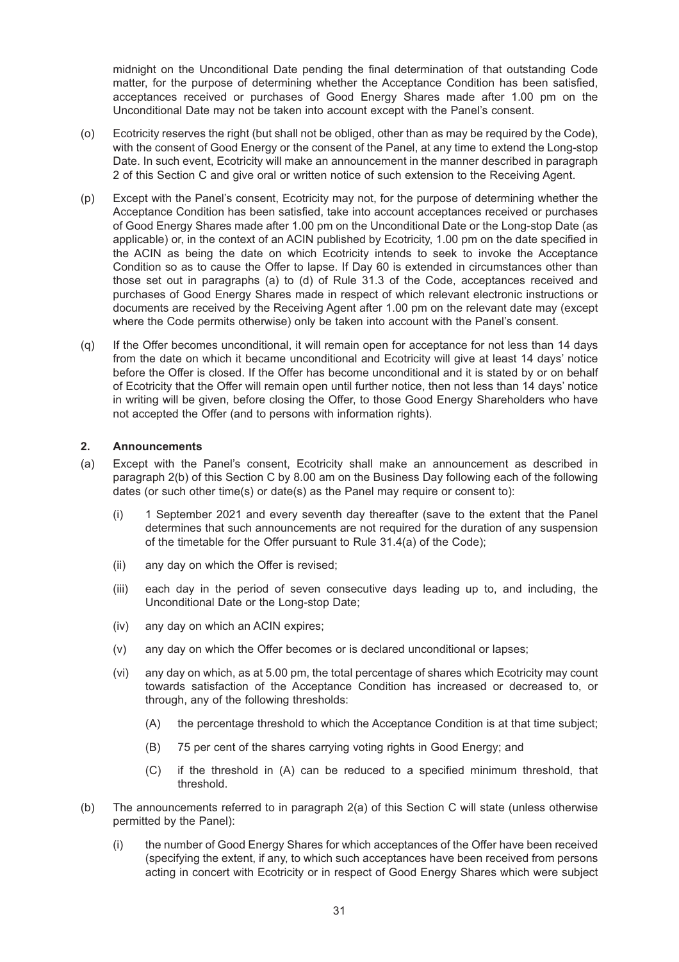midnight on the Unconditional Date pending the final determination of that outstanding Code matter, for the purpose of determining whether the Acceptance Condition has been satisfied, acceptances received or purchases of Good Energy Shares made after 1.00 pm on the Unconditional Date may not be taken into account except with the Panel's consent.

- (o) Ecotricity reserves the right (but shall not be obliged, other than as may be required by the Code), with the consent of Good Energy or the consent of the Panel, at any time to extend the Long-stop Date. In such event, Ecotricity will make an announcement in the manner described in paragraph 2 of this Section C and give oral or written notice of such extension to the Receiving Agent.
- (p) Except with the Panel's consent, Ecotricity may not, for the purpose of determining whether the Acceptance Condition has been satisfied, take into account acceptances received or purchases of Good Energy Shares made after 1.00 pm on the Unconditional Date or the Long-stop Date (as applicable) or, in the context of an ACIN published by Ecotricity, 1.00 pm on the date specified in the ACIN as being the date on which Ecotricity intends to seek to invoke the Acceptance Condition so as to cause the Offer to lapse. If Day 60 is extended in circumstances other than those set out in paragraphs (a) to (d) of Rule 31.3 of the Code, acceptances received and purchases of Good Energy Shares made in respect of which relevant electronic instructions or documents are received by the Receiving Agent after 1.00 pm on the relevant date may (except where the Code permits otherwise) only be taken into account with the Panel's consent.
- (q) If the Offer becomes unconditional, it will remain open for acceptance for not less than 14 days from the date on which it became unconditional and Ecotricity will give at least 14 days' notice before the Offer is closed. If the Offer has become unconditional and it is stated by or on behalf of Ecotricity that the Offer will remain open until further notice, then not less than 14 days' notice in writing will be given, before closing the Offer, to those Good Energy Shareholders who have not accepted the Offer (and to persons with information rights).

#### **2. Announcements**

- (a) Except with the Panel's consent, Ecotricity shall make an announcement as described in paragraph 2(b) of this Section C by 8.00 am on the Business Day following each of the following dates (or such other time(s) or date(s) as the Panel may require or consent to):
	- (i) 1 September 2021 and every seventh day thereafter (save to the extent that the Panel determines that such announcements are not required for the duration of any suspension of the timetable for the Offer pursuant to Rule 31.4(a) of the Code);
	- (ii) any day on which the Offer is revised;
	- (iii) each day in the period of seven consecutive days leading up to, and including, the Unconditional Date or the Long-stop Date;
	- (iv) any day on which an ACIN expires;
	- (v) any day on which the Offer becomes or is declared unconditional or lapses;
	- (vi) any day on which, as at 5.00 pm, the total percentage of shares which Ecotricity may count towards satisfaction of the Acceptance Condition has increased or decreased to, or through, any of the following thresholds:
		- (A) the percentage threshold to which the Acceptance Condition is at that time subject;
		- (B) 75 per cent of the shares carrying voting rights in Good Energy; and
		- (C) if the threshold in (A) can be reduced to a specified minimum threshold, that threshold.
- (b) The announcements referred to in paragraph 2(a) of this Section C will state (unless otherwise permitted by the Panel):
	- (i) the number of Good Energy Shares for which acceptances of the Offer have been received (specifying the extent, if any, to which such acceptances have been received from persons acting in concert with Ecotricity or in respect of Good Energy Shares which were subject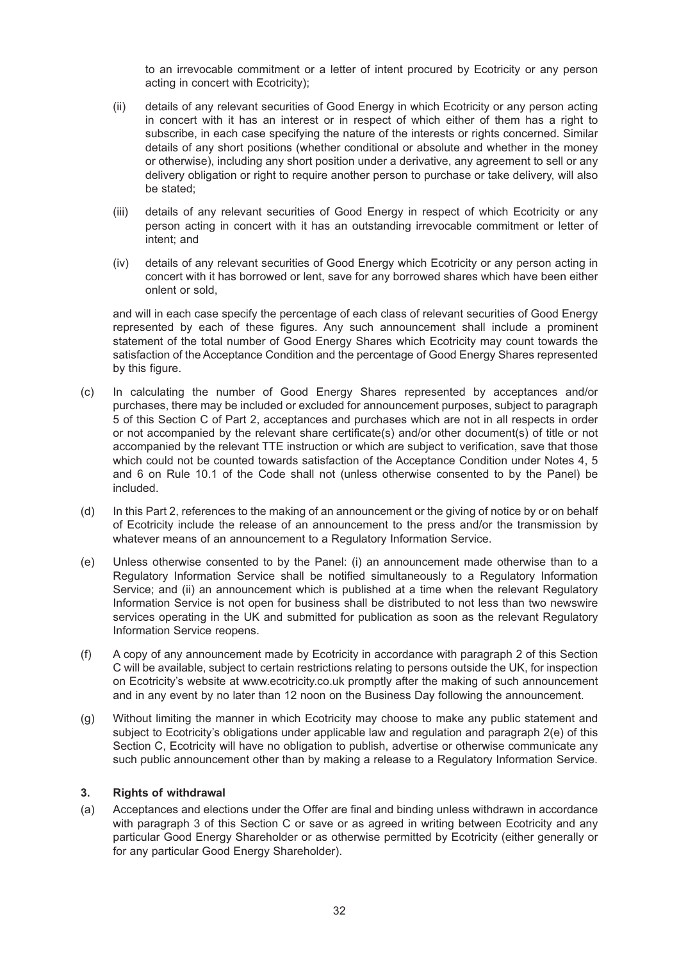to an irrevocable commitment or a letter of intent procured by Ecotricity or any person acting in concert with Ecotricity);

- (ii) details of any relevant securities of Good Energy in which Ecotricity or any person acting in concert with it has an interest or in respect of which either of them has a right to subscribe, in each case specifying the nature of the interests or rights concerned. Similar details of any short positions (whether conditional or absolute and whether in the money or otherwise), including any short position under a derivative, any agreement to sell or any delivery obligation or right to require another person to purchase or take delivery, will also be stated;
- (iii) details of any relevant securities of Good Energy in respect of which Ecotricity or any person acting in concert with it has an outstanding irrevocable commitment or letter of intent; and
- (iv) details of any relevant securities of Good Energy which Ecotricity or any person acting in concert with it has borrowed or lent, save for any borrowed shares which have been either onlent or sold,

and will in each case specify the percentage of each class of relevant securities of Good Energy represented by each of these figures. Any such announcement shall include a prominent statement of the total number of Good Energy Shares which Ecotricity may count towards the satisfaction of the Acceptance Condition and the percentage of Good Energy Shares represented by this figure.

- (c) In calculating the number of Good Energy Shares represented by acceptances and/or purchases, there may be included or excluded for announcement purposes, subject to paragraph 5 of this Section C of Part 2, acceptances and purchases which are not in all respects in order or not accompanied by the relevant share certificate(s) and/or other document(s) of title or not accompanied by the relevant TTE instruction or which are subject to verification, save that those which could not be counted towards satisfaction of the Acceptance Condition under Notes 4, 5 and 6 on Rule 10.1 of the Code shall not (unless otherwise consented to by the Panel) be included.
- (d) In this Part 2, references to the making of an announcement or the giving of notice by or on behalf of Ecotricity include the release of an announcement to the press and/or the transmission by whatever means of an announcement to a Regulatory Information Service.
- (e) Unless otherwise consented to by the Panel: (i) an announcement made otherwise than to a Regulatory Information Service shall be notified simultaneously to a Regulatory Information Service; and (ii) an announcement which is published at a time when the relevant Regulatory Information Service is not open for business shall be distributed to not less than two newswire services operating in the UK and submitted for publication as soon as the relevant Regulatory Information Service reopens.
- (f) A copy of any announcement made by Ecotricity in accordance with paragraph 2 of this Section C will be available, subject to certain restrictions relating to persons outside the UK, for inspection on Ecotricity's website at www.ecotricity.co.uk promptly after the making of such announcement and in any event by no later than 12 noon on the Business Day following the announcement.
- (g) Without limiting the manner in which Ecotricity may choose to make any public statement and subject to Ecotricity's obligations under applicable law and regulation and paragraph 2(e) of this Section C, Ecotricity will have no obligation to publish, advertise or otherwise communicate any such public announcement other than by making a release to a Regulatory Information Service.

#### **3. Rights of withdrawal**

(a) Acceptances and elections under the Offer are final and binding unless withdrawn in accordance with paragraph 3 of this Section C or save or as agreed in writing between Ecotricity and any particular Good Energy Shareholder or as otherwise permitted by Ecotricity (either generally or for any particular Good Energy Shareholder).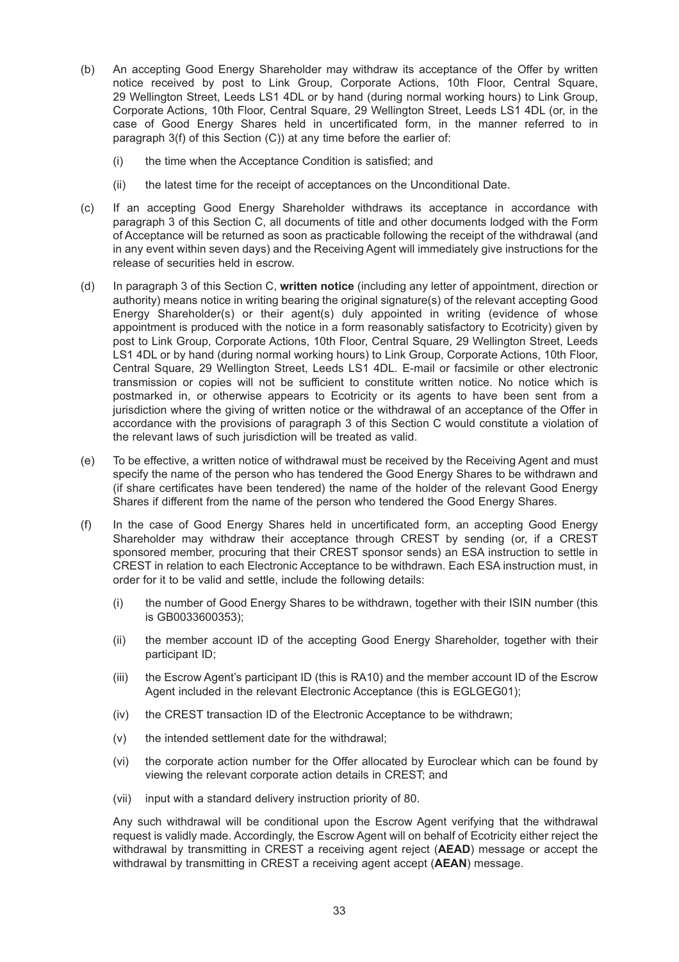- (b) An accepting Good Energy Shareholder may withdraw its acceptance of the Offer by written notice received by post to Link Group, Corporate Actions, 10th Floor, Central Square, 29 Wellington Street, Leeds LS1 4DL or by hand (during normal working hours) to Link Group, Corporate Actions, 10th Floor, Central Square, 29 Wellington Street, Leeds LS1 4DL (or, in the case of Good Energy Shares held in uncertificated form, in the manner referred to in paragraph 3(f) of this Section (C)) at any time before the earlier of:
	- (i) the time when the Acceptance Condition is satisfied; and
	- (ii) the latest time for the receipt of acceptances on the Unconditional Date.
- (c) If an accepting Good Energy Shareholder withdraws its acceptance in accordance with paragraph 3 of this Section C, all documents of title and other documents lodged with the Form of Acceptance will be returned as soon as practicable following the receipt of the withdrawal (and in any event within seven days) and the Receiving Agent will immediately give instructions for the release of securities held in escrow.
- (d) In paragraph 3 of this Section C, **written notice** (including any letter of appointment, direction or authority) means notice in writing bearing the original signature(s) of the relevant accepting Good Energy Shareholder(s) or their agent(s) duly appointed in writing (evidence of whose appointment is produced with the notice in a form reasonably satisfactory to Ecotricity) given by post to Link Group, Corporate Actions, 10th Floor, Central Square, 29 Wellington Street, Leeds LS1 4DL or by hand (during normal working hours) to Link Group, Corporate Actions, 10th Floor, Central Square, 29 Wellington Street, Leeds LS1 4DL. E-mail or facsimile or other electronic transmission or copies will not be sufficient to constitute written notice. No notice which is postmarked in, or otherwise appears to Ecotricity or its agents to have been sent from a jurisdiction where the giving of written notice or the withdrawal of an acceptance of the Offer in accordance with the provisions of paragraph 3 of this Section C would constitute a violation of the relevant laws of such jurisdiction will be treated as valid.
- (e) To be effective, a written notice of withdrawal must be received by the Receiving Agent and must specify the name of the person who has tendered the Good Energy Shares to be withdrawn and (if share certificates have been tendered) the name of the holder of the relevant Good Energy Shares if different from the name of the person who tendered the Good Energy Shares.
- (f) In the case of Good Energy Shares held in uncertificated form, an accepting Good Energy Shareholder may withdraw their acceptance through CREST by sending (or, if a CREST sponsored member, procuring that their CREST sponsor sends) an ESA instruction to settle in CREST in relation to each Electronic Acceptance to be withdrawn. Each ESA instruction must, in order for it to be valid and settle, include the following details:
	- (i) the number of Good Energy Shares to be withdrawn, together with their ISIN number (this is GB0033600353);
	- (ii) the member account ID of the accepting Good Energy Shareholder, together with their participant ID;
	- (iii) the Escrow Agent's participant ID (this is RA10) and the member account ID of the Escrow Agent included in the relevant Electronic Acceptance (this is EGLGEG01);
	- (iv) the CREST transaction ID of the Electronic Acceptance to be withdrawn;
	- (v) the intended settlement date for the withdrawal;
	- (vi) the corporate action number for the Offer allocated by Euroclear which can be found by viewing the relevant corporate action details in CREST; and
	- (vii) input with a standard delivery instruction priority of 80.

Any such withdrawal will be conditional upon the Escrow Agent verifying that the withdrawal request is validly made. Accordingly, the Escrow Agent will on behalf of Ecotricity either reject the withdrawal by transmitting in CREST a receiving agent reject (**AEAD**) message or accept the withdrawal by transmitting in CREST a receiving agent accept (**AEAN**) message.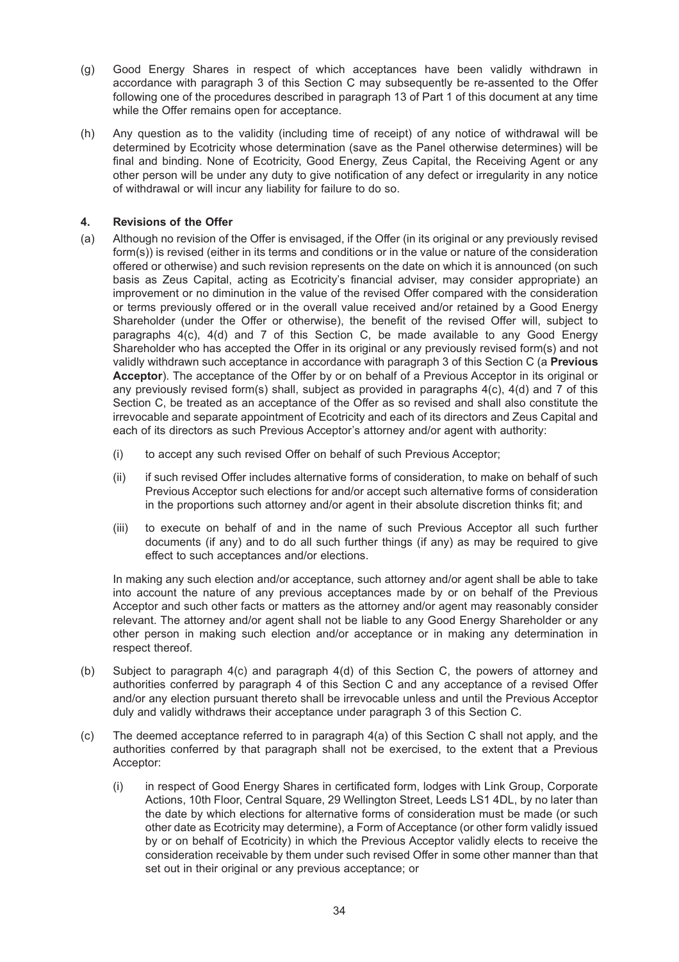- (g) Good Energy Shares in respect of which acceptances have been validly withdrawn in accordance with paragraph 3 of this Section C may subsequently be re-assented to the Offer following one of the procedures described in paragraph 13 of Part 1 of this document at any time while the Offer remains open for acceptance.
- (h) Any question as to the validity (including time of receipt) of any notice of withdrawal will be determined by Ecotricity whose determination (save as the Panel otherwise determines) will be final and binding. None of Ecotricity, Good Energy, Zeus Capital, the Receiving Agent or any other person will be under any duty to give notification of any defect or irregularity in any notice of withdrawal or will incur any liability for failure to do so.

### **4. Revisions of the Offer**

- (a) Although no revision of the Offer is envisaged, if the Offer (in its original or any previously revised form(s)) is revised (either in its terms and conditions or in the value or nature of the consideration offered or otherwise) and such revision represents on the date on which it is announced (on such basis as Zeus Capital, acting as Ecotricity's financial adviser, may consider appropriate) an improvement or no diminution in the value of the revised Offer compared with the consideration or terms previously offered or in the overall value received and/or retained by a Good Energy Shareholder (under the Offer or otherwise), the benefit of the revised Offer will, subject to paragraphs 4(c), 4(d) and 7 of this Section C, be made available to any Good Energy Shareholder who has accepted the Offer in its original or any previously revised form(s) and not validly withdrawn such acceptance in accordance with paragraph 3 of this Section C (a **Previous Acceptor**). The acceptance of the Offer by or on behalf of a Previous Acceptor in its original or any previously revised form(s) shall, subject as provided in paragraphs 4(c), 4(d) and 7 of this Section C, be treated as an acceptance of the Offer as so revised and shall also constitute the irrevocable and separate appointment of Ecotricity and each of its directors and Zeus Capital and each of its directors as such Previous Acceptor's attorney and/or agent with authority:
	- (i) to accept any such revised Offer on behalf of such Previous Acceptor;
	- (ii) if such revised Offer includes alternative forms of consideration, to make on behalf of such Previous Acceptor such elections for and/or accept such alternative forms of consideration in the proportions such attorney and/or agent in their absolute discretion thinks fit; and
	- (iii) to execute on behalf of and in the name of such Previous Acceptor all such further documents (if any) and to do all such further things (if any) as may be required to give effect to such acceptances and/or elections.

In making any such election and/or acceptance, such attorney and/or agent shall be able to take into account the nature of any previous acceptances made by or on behalf of the Previous Acceptor and such other facts or matters as the attorney and/or agent may reasonably consider relevant. The attorney and/or agent shall not be liable to any Good Energy Shareholder or any other person in making such election and/or acceptance or in making any determination in respect thereof.

- (b) Subject to paragraph 4(c) and paragraph 4(d) of this Section C, the powers of attorney and authorities conferred by paragraph 4 of this Section C and any acceptance of a revised Offer and/or any election pursuant thereto shall be irrevocable unless and until the Previous Acceptor duly and validly withdraws their acceptance under paragraph 3 of this Section C.
- (c) The deemed acceptance referred to in paragraph 4(a) of this Section C shall not apply, and the authorities conferred by that paragraph shall not be exercised, to the extent that a Previous Acceptor:
	- (i) in respect of Good Energy Shares in certificated form, lodges with Link Group, Corporate Actions, 10th Floor, Central Square, 29 Wellington Street, Leeds LS1 4DL, by no later than the date by which elections for alternative forms of consideration must be made (or such other date as Ecotricity may determine), a Form of Acceptance (or other form validly issued by or on behalf of Ecotricity) in which the Previous Acceptor validly elects to receive the consideration receivable by them under such revised Offer in some other manner than that set out in their original or any previous acceptance; or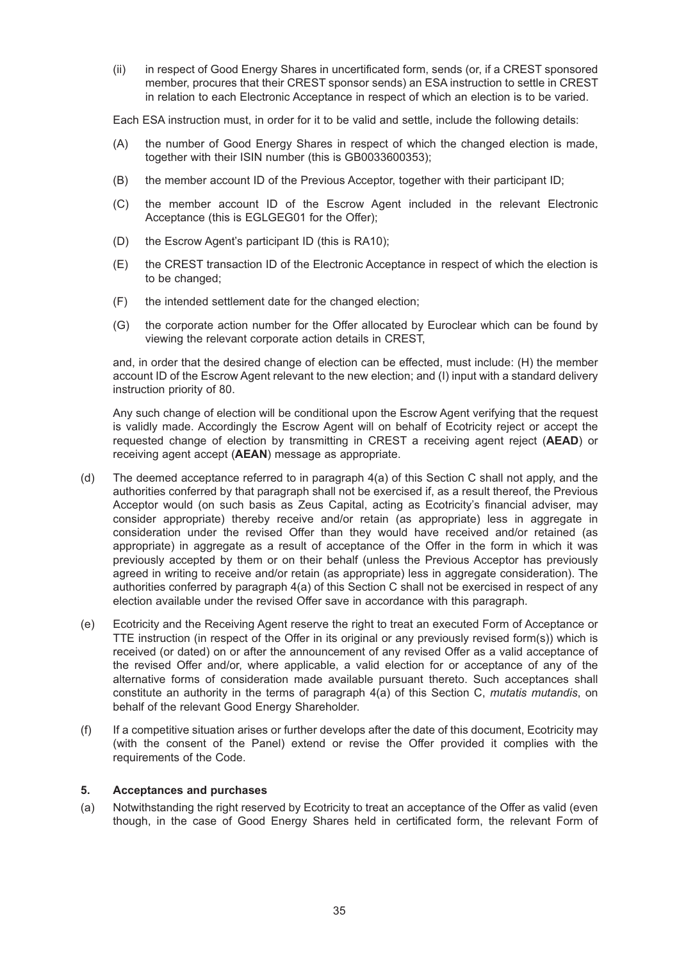(ii) in respect of Good Energy Shares in uncertificated form, sends (or, if a CREST sponsored member, procures that their CREST sponsor sends) an ESA instruction to settle in CREST in relation to each Electronic Acceptance in respect of which an election is to be varied.

Each ESA instruction must, in order for it to be valid and settle, include the following details:

- (A) the number of Good Energy Shares in respect of which the changed election is made, together with their ISIN number (this is GB0033600353);
- (B) the member account ID of the Previous Acceptor, together with their participant ID;
- (C) the member account ID of the Escrow Agent included in the relevant Electronic Acceptance (this is EGLGEG01 for the Offer);
- (D) the Escrow Agent's participant ID (this is RA10);
- (E) the CREST transaction ID of the Electronic Acceptance in respect of which the election is to be changed;
- (F) the intended settlement date for the changed election;
- (G) the corporate action number for the Offer allocated by Euroclear which can be found by viewing the relevant corporate action details in CREST,

and, in order that the desired change of election can be effected, must include: (H) the member account ID of the Escrow Agent relevant to the new election; and (I) input with a standard delivery instruction priority of 80.

Any such change of election will be conditional upon the Escrow Agent verifying that the request is validly made. Accordingly the Escrow Agent will on behalf of Ecotricity reject or accept the requested change of election by transmitting in CREST a receiving agent reject (**AEAD**) or receiving agent accept (**AEAN**) message as appropriate.

- (d) The deemed acceptance referred to in paragraph 4(a) of this Section C shall not apply, and the authorities conferred by that paragraph shall not be exercised if, as a result thereof, the Previous Acceptor would (on such basis as Zeus Capital, acting as Ecotricity's financial adviser, may consider appropriate) thereby receive and/or retain (as appropriate) less in aggregate in consideration under the revised Offer than they would have received and/or retained (as appropriate) in aggregate as a result of acceptance of the Offer in the form in which it was previously accepted by them or on their behalf (unless the Previous Acceptor has previously agreed in writing to receive and/or retain (as appropriate) less in aggregate consideration). The authorities conferred by paragraph 4(a) of this Section C shall not be exercised in respect of any election available under the revised Offer save in accordance with this paragraph.
- (e) Ecotricity and the Receiving Agent reserve the right to treat an executed Form of Acceptance or TTE instruction (in respect of the Offer in its original or any previously revised form(s)) which is received (or dated) on or after the announcement of any revised Offer as a valid acceptance of the revised Offer and/or, where applicable, a valid election for or acceptance of any of the alternative forms of consideration made available pursuant thereto. Such acceptances shall constitute an authority in the terms of paragraph 4(a) of this Section C, *mutatis mutandis*, on behalf of the relevant Good Energy Shareholder.
- (f) If a competitive situation arises or further develops after the date of this document, Ecotricity may (with the consent of the Panel) extend or revise the Offer provided it complies with the requirements of the Code.

#### **5. Acceptances and purchases**

(a) Notwithstanding the right reserved by Ecotricity to treat an acceptance of the Offer as valid (even though, in the case of Good Energy Shares held in certificated form, the relevant Form of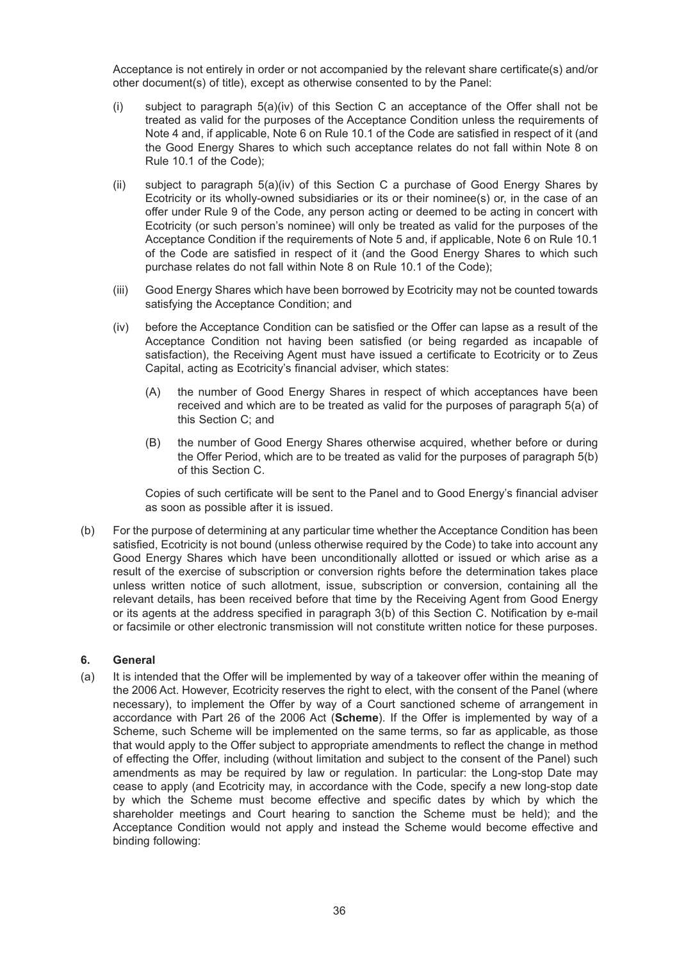Acceptance is not entirely in order or not accompanied by the relevant share certificate(s) and/or other document(s) of title), except as otherwise consented to by the Panel:

- (i) subject to paragraph 5(a)(iv) of this Section C an acceptance of the Offer shall not be treated as valid for the purposes of the Acceptance Condition unless the requirements of Note 4 and, if applicable, Note 6 on Rule 10.1 of the Code are satisfied in respect of it (and the Good Energy Shares to which such acceptance relates do not fall within Note 8 on Rule 10.1 of the Code);
- (ii) subject to paragraph 5(a)(iv) of this Section C a purchase of Good Energy Shares by Ecotricity or its wholly-owned subsidiaries or its or their nominee(s) or, in the case of an offer under Rule 9 of the Code, any person acting or deemed to be acting in concert with Ecotricity (or such person's nominee) will only be treated as valid for the purposes of the Acceptance Condition if the requirements of Note 5 and, if applicable, Note 6 on Rule 10.1 of the Code are satisfied in respect of it (and the Good Energy Shares to which such purchase relates do not fall within Note 8 on Rule 10.1 of the Code);
- (iii) Good Energy Shares which have been borrowed by Ecotricity may not be counted towards satisfying the Acceptance Condition; and
- (iv) before the Acceptance Condition can be satisfied or the Offer can lapse as a result of the Acceptance Condition not having been satisfied (or being regarded as incapable of satisfaction), the Receiving Agent must have issued a certificate to Ecotricity or to Zeus Capital, acting as Ecotricity's financial adviser, which states:
	- (A) the number of Good Energy Shares in respect of which acceptances have been received and which are to be treated as valid for the purposes of paragraph 5(a) of this Section C; and
	- (B) the number of Good Energy Shares otherwise acquired, whether before or during the Offer Period, which are to be treated as valid for the purposes of paragraph 5(b) of this Section C.

Copies of such certificate will be sent to the Panel and to Good Energy's financial adviser as soon as possible after it is issued.

(b) For the purpose of determining at any particular time whether the Acceptance Condition has been satisfied, Ecotricity is not bound (unless otherwise required by the Code) to take into account any Good Energy Shares which have been unconditionally allotted or issued or which arise as a result of the exercise of subscription or conversion rights before the determination takes place unless written notice of such allotment, issue, subscription or conversion, containing all the relevant details, has been received before that time by the Receiving Agent from Good Energy or its agents at the address specified in paragraph 3(b) of this Section C. Notification by e-mail or facsimile or other electronic transmission will not constitute written notice for these purposes.

#### **6. General**

(a) It is intended that the Offer will be implemented by way of a takeover offer within the meaning of the 2006 Act. However, Ecotricity reserves the right to elect, with the consent of the Panel (where necessary), to implement the Offer by way of a Court sanctioned scheme of arrangement in accordance with Part 26 of the 2006 Act (**Scheme**). If the Offer is implemented by way of a Scheme, such Scheme will be implemented on the same terms, so far as applicable, as those that would apply to the Offer subject to appropriate amendments to reflect the change in method of effecting the Offer, including (without limitation and subject to the consent of the Panel) such amendments as may be required by law or regulation. In particular: the Long-stop Date may cease to apply (and Ecotricity may, in accordance with the Code, specify a new long-stop date by which the Scheme must become effective and specific dates by which by which the shareholder meetings and Court hearing to sanction the Scheme must be held); and the Acceptance Condition would not apply and instead the Scheme would become effective and binding following: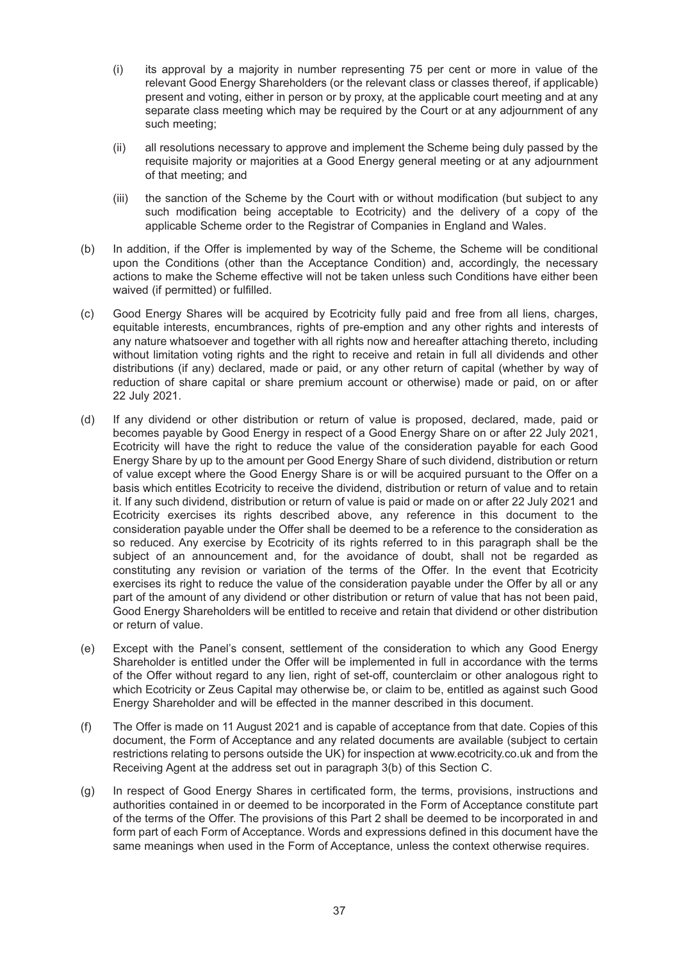- (i) its approval by a majority in number representing 75 per cent or more in value of the relevant Good Energy Shareholders (or the relevant class or classes thereof, if applicable) present and voting, either in person or by proxy, at the applicable court meeting and at any separate class meeting which may be required by the Court or at any adjournment of any such meeting;
- (ii) all resolutions necessary to approve and implement the Scheme being duly passed by the requisite majority or majorities at a Good Energy general meeting or at any adjournment of that meeting; and
- (iii) the sanction of the Scheme by the Court with or without modification (but subject to any such modification being acceptable to Ecotricity) and the delivery of a copy of the applicable Scheme order to the Registrar of Companies in England and Wales.
- (b) In addition, if the Offer is implemented by way of the Scheme, the Scheme will be conditional upon the Conditions (other than the Acceptance Condition) and, accordingly, the necessary actions to make the Scheme effective will not be taken unless such Conditions have either been waived (if permitted) or fulfilled.
- (c) Good Energy Shares will be acquired by Ecotricity fully paid and free from all liens, charges, equitable interests, encumbrances, rights of pre-emption and any other rights and interests of any nature whatsoever and together with all rights now and hereafter attaching thereto, including without limitation voting rights and the right to receive and retain in full all dividends and other distributions (if any) declared, made or paid, or any other return of capital (whether by way of reduction of share capital or share premium account or otherwise) made or paid, on or after 22 July 2021.
- (d) If any dividend or other distribution or return of value is proposed, declared, made, paid or becomes payable by Good Energy in respect of a Good Energy Share on or after 22 July 2021, Ecotricity will have the right to reduce the value of the consideration payable for each Good Energy Share by up to the amount per Good Energy Share of such dividend, distribution or return of value except where the Good Energy Share is or will be acquired pursuant to the Offer on a basis which entitles Ecotricity to receive the dividend, distribution or return of value and to retain it. If any such dividend, distribution or return of value is paid or made on or after 22 July 2021 and Ecotricity exercises its rights described above, any reference in this document to the consideration payable under the Offer shall be deemed to be a reference to the consideration as so reduced. Any exercise by Ecotricity of its rights referred to in this paragraph shall be the subject of an announcement and, for the avoidance of doubt, shall not be regarded as constituting any revision or variation of the terms of the Offer. In the event that Ecotricity exercises its right to reduce the value of the consideration payable under the Offer by all or any part of the amount of any dividend or other distribution or return of value that has not been paid, Good Energy Shareholders will be entitled to receive and retain that dividend or other distribution or return of value.
- (e) Except with the Panel's consent, settlement of the consideration to which any Good Energy Shareholder is entitled under the Offer will be implemented in full in accordance with the terms of the Offer without regard to any lien, right of set-off, counterclaim or other analogous right to which Ecotricity or Zeus Capital may otherwise be, or claim to be, entitled as against such Good Energy Shareholder and will be effected in the manner described in this document.
- (f) The Offer is made on 11 August 2021 and is capable of acceptance from that date. Copies of this document, the Form of Acceptance and any related documents are available (subject to certain restrictions relating to persons outside the UK) for inspection at www.ecotricity.co.uk and from the Receiving Agent at the address set out in paragraph 3(b) of this Section C.
- (g) In respect of Good Energy Shares in certificated form, the terms, provisions, instructions and authorities contained in or deemed to be incorporated in the Form of Acceptance constitute part of the terms of the Offer. The provisions of this Part 2 shall be deemed to be incorporated in and form part of each Form of Acceptance. Words and expressions defined in this document have the same meanings when used in the Form of Acceptance, unless the context otherwise requires.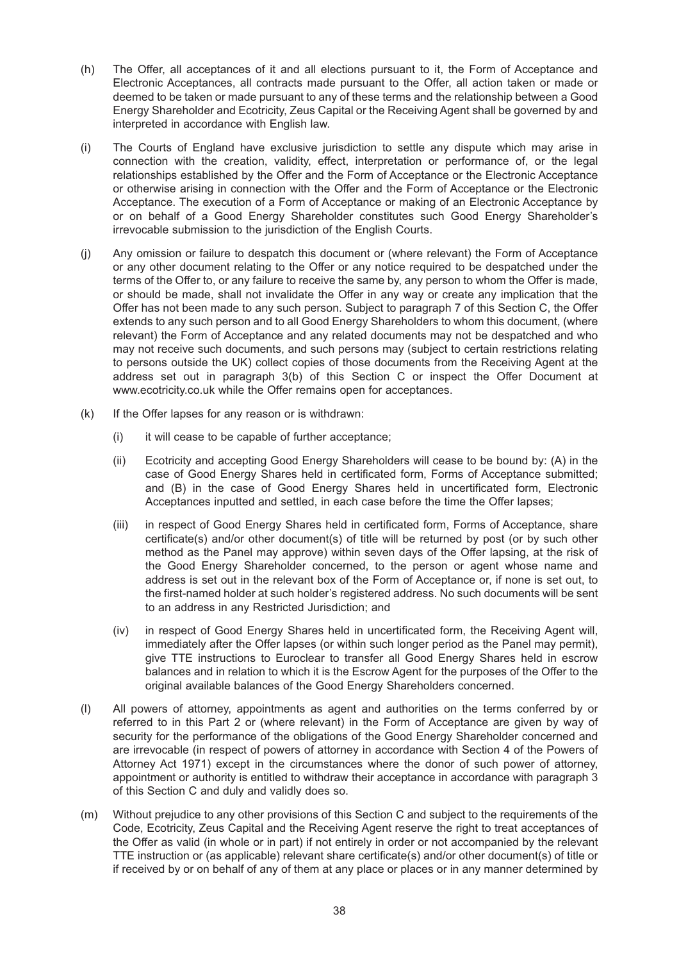- (h) The Offer, all acceptances of it and all elections pursuant to it, the Form of Acceptance and Electronic Acceptances, all contracts made pursuant to the Offer, all action taken or made or deemed to be taken or made pursuant to any of these terms and the relationship between a Good Energy Shareholder and Ecotricity, Zeus Capital or the Receiving Agent shall be governed by and interpreted in accordance with English law.
- (i) The Courts of England have exclusive jurisdiction to settle any dispute which may arise in connection with the creation, validity, effect, interpretation or performance of, or the legal relationships established by the Offer and the Form of Acceptance or the Electronic Acceptance or otherwise arising in connection with the Offer and the Form of Acceptance or the Electronic Acceptance. The execution of a Form of Acceptance or making of an Electronic Acceptance by or on behalf of a Good Energy Shareholder constitutes such Good Energy Shareholder's irrevocable submission to the jurisdiction of the English Courts.
- (j) Any omission or failure to despatch this document or (where relevant) the Form of Acceptance or any other document relating to the Offer or any notice required to be despatched under the terms of the Offer to, or any failure to receive the same by, any person to whom the Offer is made, or should be made, shall not invalidate the Offer in any way or create any implication that the Offer has not been made to any such person. Subject to paragraph 7 of this Section C, the Offer extends to any such person and to all Good Energy Shareholders to whom this document, (where relevant) the Form of Acceptance and any related documents may not be despatched and who may not receive such documents, and such persons may (subject to certain restrictions relating to persons outside the UK) collect copies of those documents from the Receiving Agent at the address set out in paragraph 3(b) of this Section C or inspect the Offer Document at www.ecotricity.co.uk while the Offer remains open for acceptances.
- (k) If the Offer lapses for any reason or is withdrawn:
	- (i) it will cease to be capable of further acceptance;
	- (ii) Ecotricity and accepting Good Energy Shareholders will cease to be bound by: (A) in the case of Good Energy Shares held in certificated form, Forms of Acceptance submitted; and (B) in the case of Good Energy Shares held in uncertificated form, Electronic Acceptances inputted and settled, in each case before the time the Offer lapses;
	- (iii) in respect of Good Energy Shares held in certificated form, Forms of Acceptance, share certificate(s) and/or other document(s) of title will be returned by post (or by such other method as the Panel may approve) within seven days of the Offer lapsing, at the risk of the Good Energy Shareholder concerned, to the person or agent whose name and address is set out in the relevant box of the Form of Acceptance or, if none is set out, to the first-named holder at such holder's registered address. No such documents will be sent to an address in any Restricted Jurisdiction; and
	- (iv) in respect of Good Energy Shares held in uncertificated form, the Receiving Agent will, immediately after the Offer lapses (or within such longer period as the Panel may permit), give TTE instructions to Euroclear to transfer all Good Energy Shares held in escrow balances and in relation to which it is the Escrow Agent for the purposes of the Offer to the original available balances of the Good Energy Shareholders concerned.
- (l) All powers of attorney, appointments as agent and authorities on the terms conferred by or referred to in this Part 2 or (where relevant) in the Form of Acceptance are given by way of security for the performance of the obligations of the Good Energy Shareholder concerned and are irrevocable (in respect of powers of attorney in accordance with Section 4 of the Powers of Attorney Act 1971) except in the circumstances where the donor of such power of attorney, appointment or authority is entitled to withdraw their acceptance in accordance with paragraph 3 of this Section C and duly and validly does so.
- (m) Without prejudice to any other provisions of this Section C and subject to the requirements of the Code, Ecotricity, Zeus Capital and the Receiving Agent reserve the right to treat acceptances of the Offer as valid (in whole or in part) if not entirely in order or not accompanied by the relevant TTE instruction or (as applicable) relevant share certificate(s) and/or other document(s) of title or if received by or on behalf of any of them at any place or places or in any manner determined by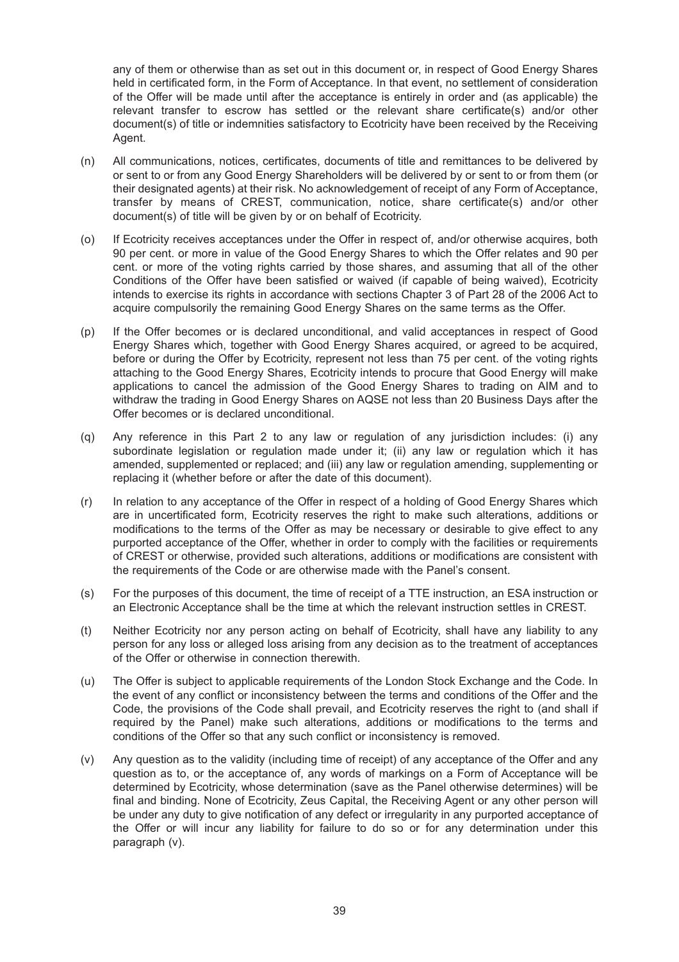any of them or otherwise than as set out in this document or, in respect of Good Energy Shares held in certificated form, in the Form of Acceptance. In that event, no settlement of consideration of the Offer will be made until after the acceptance is entirely in order and (as applicable) the relevant transfer to escrow has settled or the relevant share certificate(s) and/or other document(s) of title or indemnities satisfactory to Ecotricity have been received by the Receiving Agent.

- (n) All communications, notices, certificates, documents of title and remittances to be delivered by or sent to or from any Good Energy Shareholders will be delivered by or sent to or from them (or their designated agents) at their risk. No acknowledgement of receipt of any Form of Acceptance, transfer by means of CREST, communication, notice, share certificate(s) and/or other document(s) of title will be given by or on behalf of Ecotricity.
- (o) If Ecotricity receives acceptances under the Offer in respect of, and/or otherwise acquires, both 90 per cent. or more in value of the Good Energy Shares to which the Offer relates and 90 per cent. or more of the voting rights carried by those shares, and assuming that all of the other Conditions of the Offer have been satisfied or waived (if capable of being waived), Ecotricity intends to exercise its rights in accordance with sections Chapter 3 of Part 28 of the 2006 Act to acquire compulsorily the remaining Good Energy Shares on the same terms as the Offer.
- (p) If the Offer becomes or is declared unconditional, and valid acceptances in respect of Good Energy Shares which, together with Good Energy Shares acquired, or agreed to be acquired, before or during the Offer by Ecotricity, represent not less than 75 per cent. of the voting rights attaching to the Good Energy Shares, Ecotricity intends to procure that Good Energy will make applications to cancel the admission of the Good Energy Shares to trading on AIM and to withdraw the trading in Good Energy Shares on AQSE not less than 20 Business Days after the Offer becomes or is declared unconditional.
- (q) Any reference in this Part 2 to any law or regulation of any jurisdiction includes: (i) any subordinate legislation or regulation made under it; (ii) any law or regulation which it has amended, supplemented or replaced; and (iii) any law or regulation amending, supplementing or replacing it (whether before or after the date of this document).
- (r) In relation to any acceptance of the Offer in respect of a holding of Good Energy Shares which are in uncertificated form, Ecotricity reserves the right to make such alterations, additions or modifications to the terms of the Offer as may be necessary or desirable to give effect to any purported acceptance of the Offer, whether in order to comply with the facilities or requirements of CREST or otherwise, provided such alterations, additions or modifications are consistent with the requirements of the Code or are otherwise made with the Panel's consent.
- (s) For the purposes of this document, the time of receipt of a TTE instruction, an ESA instruction or an Electronic Acceptance shall be the time at which the relevant instruction settles in CREST.
- (t) Neither Ecotricity nor any person acting on behalf of Ecotricity, shall have any liability to any person for any loss or alleged loss arising from any decision as to the treatment of acceptances of the Offer or otherwise in connection therewith.
- (u) The Offer is subject to applicable requirements of the London Stock Exchange and the Code. In the event of any conflict or inconsistency between the terms and conditions of the Offer and the Code, the provisions of the Code shall prevail, and Ecotricity reserves the right to (and shall if required by the Panel) make such alterations, additions or modifications to the terms and conditions of the Offer so that any such conflict or inconsistency is removed.
- (v) Any question as to the validity (including time of receipt) of any acceptance of the Offer and any question as to, or the acceptance of, any words of markings on a Form of Acceptance will be determined by Ecotricity, whose determination (save as the Panel otherwise determines) will be final and binding. None of Ecotricity, Zeus Capital, the Receiving Agent or any other person will be under any duty to give notification of any defect or irregularity in any purported acceptance of the Offer or will incur any liability for failure to do so or for any determination under this paragraph (v).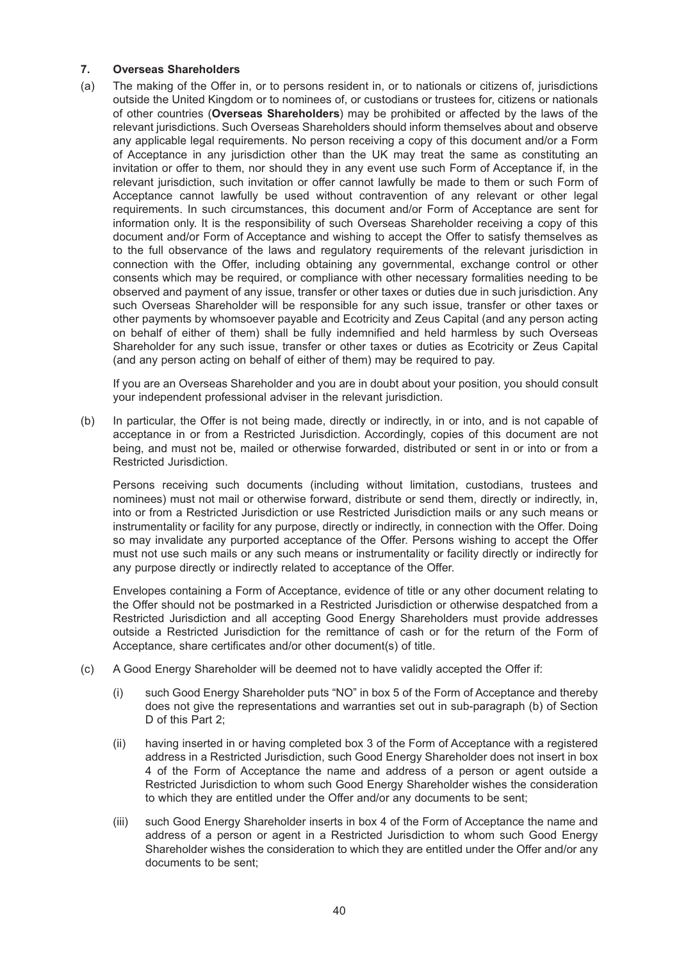#### **7. Overseas Shareholders**

(a) The making of the Offer in, or to persons resident in, or to nationals or citizens of, jurisdictions outside the United Kingdom or to nominees of, or custodians or trustees for, citizens or nationals of other countries (**Overseas Shareholders**) may be prohibited or affected by the laws of the relevant jurisdictions. Such Overseas Shareholders should inform themselves about and observe any applicable legal requirements. No person receiving a copy of this document and/or a Form of Acceptance in any jurisdiction other than the UK may treat the same as constituting an invitation or offer to them, nor should they in any event use such Form of Acceptance if, in the relevant jurisdiction, such invitation or offer cannot lawfully be made to them or such Form of Acceptance cannot lawfully be used without contravention of any relevant or other legal requirements. In such circumstances, this document and/or Form of Acceptance are sent for information only. It is the responsibility of such Overseas Shareholder receiving a copy of this document and/or Form of Acceptance and wishing to accept the Offer to satisfy themselves as to the full observance of the laws and regulatory requirements of the relevant jurisdiction in connection with the Offer, including obtaining any governmental, exchange control or other consents which may be required, or compliance with other necessary formalities needing to be observed and payment of any issue, transfer or other taxes or duties due in such jurisdiction. Any such Overseas Shareholder will be responsible for any such issue, transfer or other taxes or other payments by whomsoever payable and Ecotricity and Zeus Capital (and any person acting on behalf of either of them) shall be fully indemnified and held harmless by such Overseas Shareholder for any such issue, transfer or other taxes or duties as Ecotricity or Zeus Capital (and any person acting on behalf of either of them) may be required to pay.

If you are an Overseas Shareholder and you are in doubt about your position, you should consult your independent professional adviser in the relevant jurisdiction.

(b) In particular, the Offer is not being made, directly or indirectly, in or into, and is not capable of acceptance in or from a Restricted Jurisdiction. Accordingly, copies of this document are not being, and must not be, mailed or otherwise forwarded, distributed or sent in or into or from a Restricted Jurisdiction.

Persons receiving such documents (including without limitation, custodians, trustees and nominees) must not mail or otherwise forward, distribute or send them, directly or indirectly, in, into or from a Restricted Jurisdiction or use Restricted Jurisdiction mails or any such means or instrumentality or facility for any purpose, directly or indirectly, in connection with the Offer. Doing so may invalidate any purported acceptance of the Offer. Persons wishing to accept the Offer must not use such mails or any such means or instrumentality or facility directly or indirectly for any purpose directly or indirectly related to acceptance of the Offer.

Envelopes containing a Form of Acceptance, evidence of title or any other document relating to the Offer should not be postmarked in a Restricted Jurisdiction or otherwise despatched from a Restricted Jurisdiction and all accepting Good Energy Shareholders must provide addresses outside a Restricted Jurisdiction for the remittance of cash or for the return of the Form of Acceptance, share certificates and/or other document(s) of title.

- (c) A Good Energy Shareholder will be deemed not to have validly accepted the Offer if:
	- (i) such Good Energy Shareholder puts "NO" in box 5 of the Form of Acceptance and thereby does not give the representations and warranties set out in sub-paragraph (b) of Section D of this Part 2:
	- (ii) having inserted in or having completed box 3 of the Form of Acceptance with a registered address in a Restricted Jurisdiction, such Good Energy Shareholder does not insert in box 4 of the Form of Acceptance the name and address of a person or agent outside a Restricted Jurisdiction to whom such Good Energy Shareholder wishes the consideration to which they are entitled under the Offer and/or any documents to be sent;
	- (iii) such Good Energy Shareholder inserts in box 4 of the Form of Acceptance the name and address of a person or agent in a Restricted Jurisdiction to whom such Good Energy Shareholder wishes the consideration to which they are entitled under the Offer and/or any documents to be sent;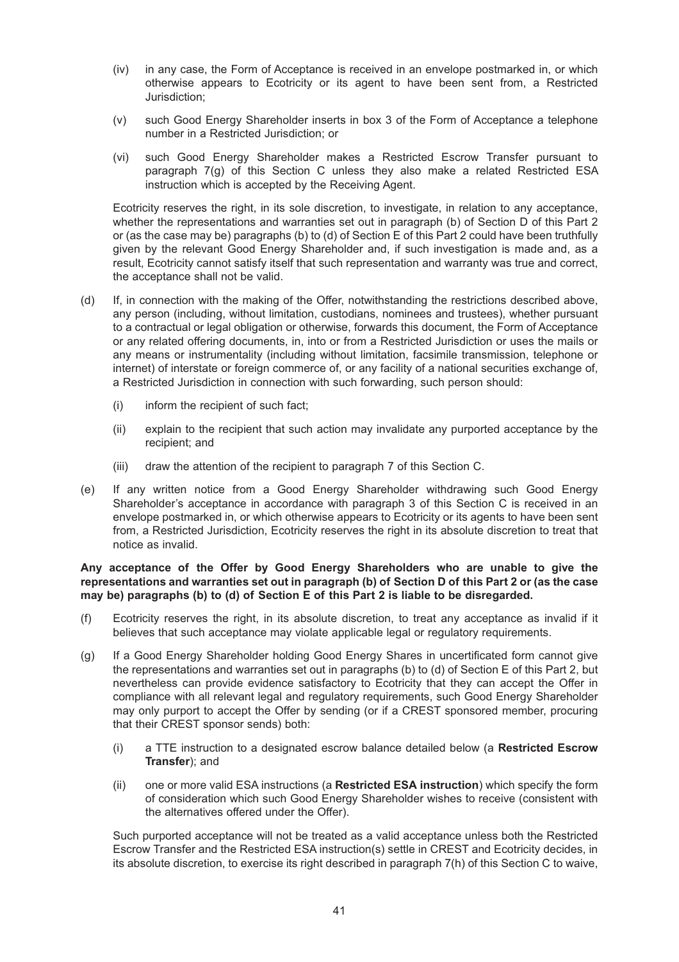- (iv) in any case, the Form of Acceptance is received in an envelope postmarked in, or which otherwise appears to Ecotricity or its agent to have been sent from, a Restricted Jurisdiction;
- (v) such Good Energy Shareholder inserts in box 3 of the Form of Acceptance a telephone number in a Restricted Jurisdiction; or
- (vi) such Good Energy Shareholder makes a Restricted Escrow Transfer pursuant to paragraph 7(g) of this Section C unless they also make a related Restricted ESA instruction which is accepted by the Receiving Agent.

Ecotricity reserves the right, in its sole discretion, to investigate, in relation to any acceptance, whether the representations and warranties set out in paragraph (b) of Section D of this Part 2 or (as the case may be) paragraphs (b) to (d) of Section E of this Part 2 could have been truthfully given by the relevant Good Energy Shareholder and, if such investigation is made and, as a result, Ecotricity cannot satisfy itself that such representation and warranty was true and correct, the acceptance shall not be valid.

- (d) If, in connection with the making of the Offer, notwithstanding the restrictions described above, any person (including, without limitation, custodians, nominees and trustees), whether pursuant to a contractual or legal obligation or otherwise, forwards this document, the Form of Acceptance or any related offering documents, in, into or from a Restricted Jurisdiction or uses the mails or any means or instrumentality (including without limitation, facsimile transmission, telephone or internet) of interstate or foreign commerce of, or any facility of a national securities exchange of, a Restricted Jurisdiction in connection with such forwarding, such person should:
	- (i) inform the recipient of such fact;
	- (ii) explain to the recipient that such action may invalidate any purported acceptance by the recipient; and
	- (iii) draw the attention of the recipient to paragraph 7 of this Section C.
- (e) If any written notice from a Good Energy Shareholder withdrawing such Good Energy Shareholder's acceptance in accordance with paragraph 3 of this Section C is received in an envelope postmarked in, or which otherwise appears to Ecotricity or its agents to have been sent from, a Restricted Jurisdiction, Ecotricity reserves the right in its absolute discretion to treat that notice as invalid.

#### **Any acceptance of the Offer by Good Energy Shareholders who are unable to give the representations and warranties set out in paragraph (b) of Section D of this Part 2 or (as the case may be) paragraphs (b) to (d) of Section E of this Part 2 is liable to be disregarded.**

- (f) Ecotricity reserves the right, in its absolute discretion, to treat any acceptance as invalid if it believes that such acceptance may violate applicable legal or regulatory requirements.
- (g) If a Good Energy Shareholder holding Good Energy Shares in uncertificated form cannot give the representations and warranties set out in paragraphs (b) to (d) of Section E of this Part 2, but nevertheless can provide evidence satisfactory to Ecotricity that they can accept the Offer in compliance with all relevant legal and regulatory requirements, such Good Energy Shareholder may only purport to accept the Offer by sending (or if a CREST sponsored member, procuring that their CREST sponsor sends) both:
	- (i) a TTE instruction to a designated escrow balance detailed below (a **Restricted Escrow Transfer**); and
	- (ii) one or more valid ESA instructions (a **Restricted ESA instruction**) which specify the form of consideration which such Good Energy Shareholder wishes to receive (consistent with the alternatives offered under the Offer).

Such purported acceptance will not be treated as a valid acceptance unless both the Restricted Escrow Transfer and the Restricted ESA instruction(s) settle in CREST and Ecotricity decides, in its absolute discretion, to exercise its right described in paragraph 7(h) of this Section C to waive,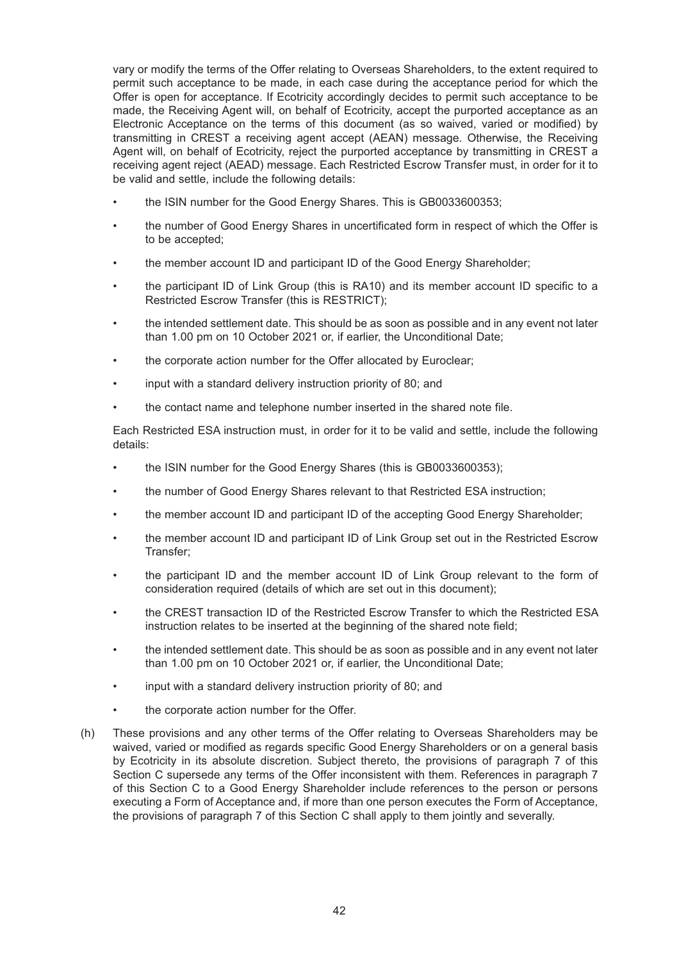vary or modify the terms of the Offer relating to Overseas Shareholders, to the extent required to permit such acceptance to be made, in each case during the acceptance period for which the Offer is open for acceptance. If Ecotricity accordingly decides to permit such acceptance to be made, the Receiving Agent will, on behalf of Ecotricity, accept the purported acceptance as an Electronic Acceptance on the terms of this document (as so waived, varied or modified) by transmitting in CREST a receiving agent accept (AEAN) message. Otherwise, the Receiving Agent will, on behalf of Ecotricity, reject the purported acceptance by transmitting in CREST a receiving agent reject (AEAD) message. Each Restricted Escrow Transfer must, in order for it to be valid and settle, include the following details:

- the ISIN number for the Good Energy Shares. This is GB0033600353;
- the number of Good Energy Shares in uncertificated form in respect of which the Offer is to be accepted;
- the member account ID and participant ID of the Good Energy Shareholder;
- the participant ID of Link Group (this is RA10) and its member account ID specific to a Restricted Escrow Transfer (this is RESTRICT);
- the intended settlement date. This should be as soon as possible and in any event not later than 1.00 pm on 10 October 2021 or, if earlier, the Unconditional Date;
- the corporate action number for the Offer allocated by Euroclear;
- input with a standard delivery instruction priority of 80; and
- the contact name and telephone number inserted in the shared note file.

Each Restricted ESA instruction must, in order for it to be valid and settle, include the following details:

- the ISIN number for the Good Energy Shares (this is GB0033600353);
- the number of Good Energy Shares relevant to that Restricted ESA instruction;
- the member account ID and participant ID of the accepting Good Energy Shareholder;
- the member account ID and participant ID of Link Group set out in the Restricted Escrow Transfer;
- the participant ID and the member account ID of Link Group relevant to the form of consideration required (details of which are set out in this document);
- the CREST transaction ID of the Restricted Escrow Transfer to which the Restricted ESA instruction relates to be inserted at the beginning of the shared note field;
- the intended settlement date. This should be as soon as possible and in any event not later than 1.00 pm on 10 October 2021 or, if earlier, the Unconditional Date;
- input with a standard delivery instruction priority of 80; and
- the corporate action number for the Offer.
- (h) These provisions and any other terms of the Offer relating to Overseas Shareholders may be waived, varied or modified as regards specific Good Energy Shareholders or on a general basis by Ecotricity in its absolute discretion. Subject thereto, the provisions of paragraph 7 of this Section C supersede any terms of the Offer inconsistent with them. References in paragraph 7 of this Section C to a Good Energy Shareholder include references to the person or persons executing a Form of Acceptance and, if more than one person executes the Form of Acceptance, the provisions of paragraph 7 of this Section C shall apply to them jointly and severally.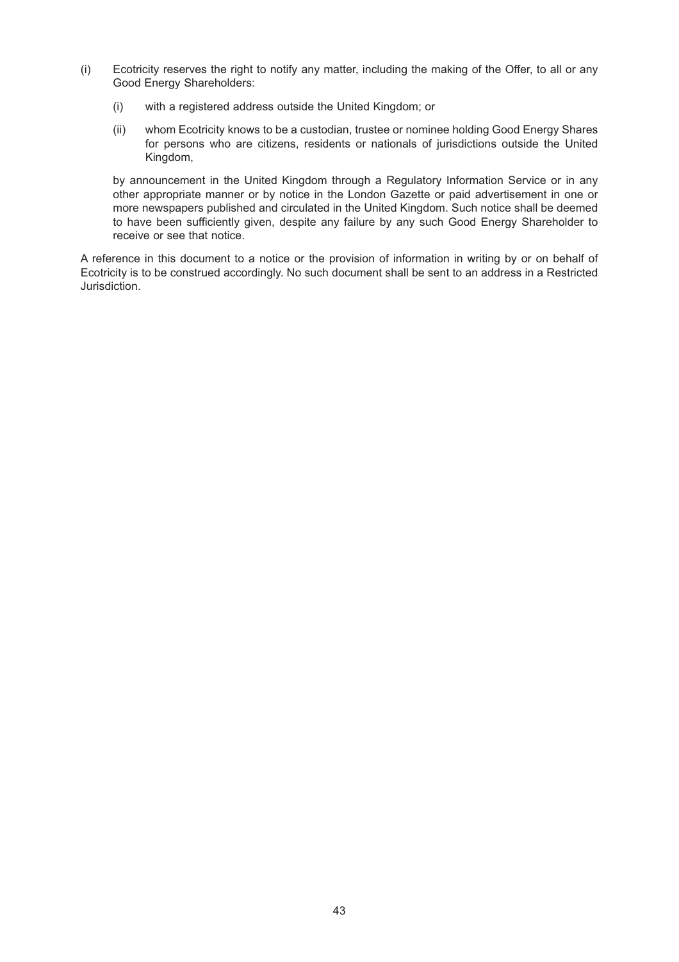- (i) Ecotricity reserves the right to notify any matter, including the making of the Offer, to all or any Good Energy Shareholders:
	- (i) with a registered address outside the United Kingdom; or
	- (ii) whom Ecotricity knows to be a custodian, trustee or nominee holding Good Energy Shares for persons who are citizens, residents or nationals of jurisdictions outside the United Kingdom,

by announcement in the United Kingdom through a Regulatory Information Service or in any other appropriate manner or by notice in the London Gazette or paid advertisement in one or more newspapers published and circulated in the United Kingdom. Such notice shall be deemed to have been sufficiently given, despite any failure by any such Good Energy Shareholder to receive or see that notice.

A reference in this document to a notice or the provision of information in writing by or on behalf of Ecotricity is to be construed accordingly. No such document shall be sent to an address in a Restricted Jurisdiction.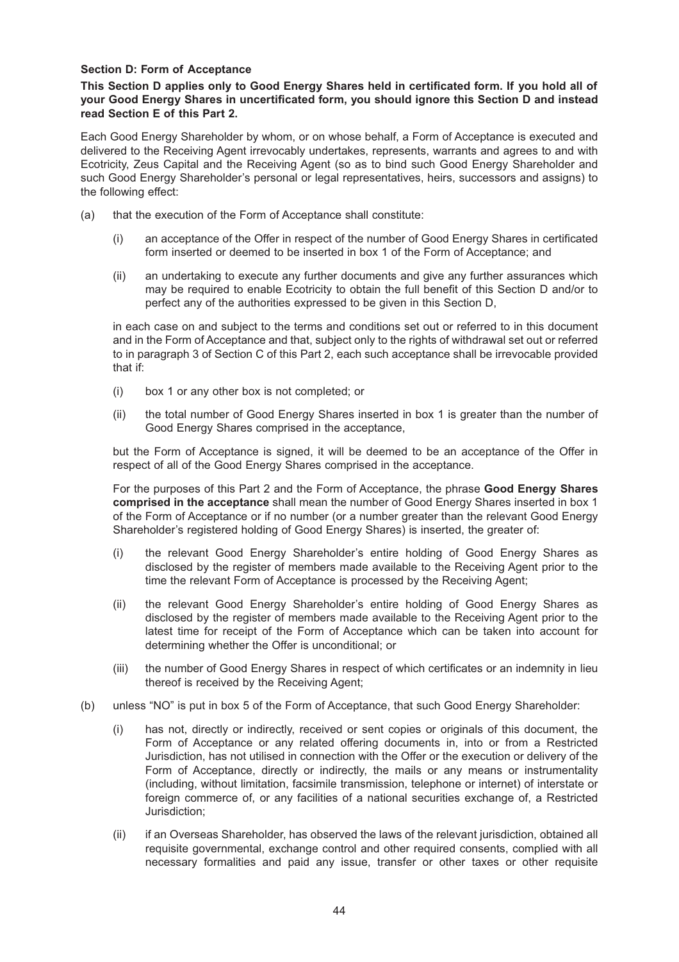#### **Section D: Form of Acceptance**

**This Section D applies only to Good Energy Shares held in certificated form. If you hold all of your Good Energy Shares in uncertificated form, you should ignore this Section D and instead read Section E of this Part 2.**

Each Good Energy Shareholder by whom, or on whose behalf, a Form of Acceptance is executed and delivered to the Receiving Agent irrevocably undertakes, represents, warrants and agrees to and with Ecotricity, Zeus Capital and the Receiving Agent (so as to bind such Good Energy Shareholder and such Good Energy Shareholder's personal or legal representatives, heirs, successors and assigns) to the following effect:

- (a) that the execution of the Form of Acceptance shall constitute:
	- (i) an acceptance of the Offer in respect of the number of Good Energy Shares in certificated form inserted or deemed to be inserted in box 1 of the Form of Acceptance; and
	- (ii) an undertaking to execute any further documents and give any further assurances which may be required to enable Ecotricity to obtain the full benefit of this Section D and/or to perfect any of the authorities expressed to be given in this Section D,

in each case on and subject to the terms and conditions set out or referred to in this document and in the Form of Acceptance and that, subject only to the rights of withdrawal set out or referred to in paragraph 3 of Section C of this Part 2, each such acceptance shall be irrevocable provided that if:

- (i) box 1 or any other box is not completed; or
- (ii) the total number of Good Energy Shares inserted in box 1 is greater than the number of Good Energy Shares comprised in the acceptance,

but the Form of Acceptance is signed, it will be deemed to be an acceptance of the Offer in respect of all of the Good Energy Shares comprised in the acceptance.

For the purposes of this Part 2 and the Form of Acceptance, the phrase **Good Energy Shares comprised in the acceptance** shall mean the number of Good Energy Shares inserted in box 1 of the Form of Acceptance or if no number (or a number greater than the relevant Good Energy Shareholder's registered holding of Good Energy Shares) is inserted, the greater of:

- (i) the relevant Good Energy Shareholder's entire holding of Good Energy Shares as disclosed by the register of members made available to the Receiving Agent prior to the time the relevant Form of Acceptance is processed by the Receiving Agent;
- (ii) the relevant Good Energy Shareholder's entire holding of Good Energy Shares as disclosed by the register of members made available to the Receiving Agent prior to the latest time for receipt of the Form of Acceptance which can be taken into account for determining whether the Offer is unconditional; or
- (iii) the number of Good Energy Shares in respect of which certificates or an indemnity in lieu thereof is received by the Receiving Agent;
- (b) unless "NO" is put in box 5 of the Form of Acceptance, that such Good Energy Shareholder:
	- (i) has not, directly or indirectly, received or sent copies or originals of this document, the Form of Acceptance or any related offering documents in, into or from a Restricted Jurisdiction, has not utilised in connection with the Offer or the execution or delivery of the Form of Acceptance, directly or indirectly, the mails or any means or instrumentality (including, without limitation, facsimile transmission, telephone or internet) of interstate or foreign commerce of, or any facilities of a national securities exchange of, a Restricted Jurisdiction;
	- (ii) if an Overseas Shareholder, has observed the laws of the relevant jurisdiction, obtained all requisite governmental, exchange control and other required consents, complied with all necessary formalities and paid any issue, transfer or other taxes or other requisite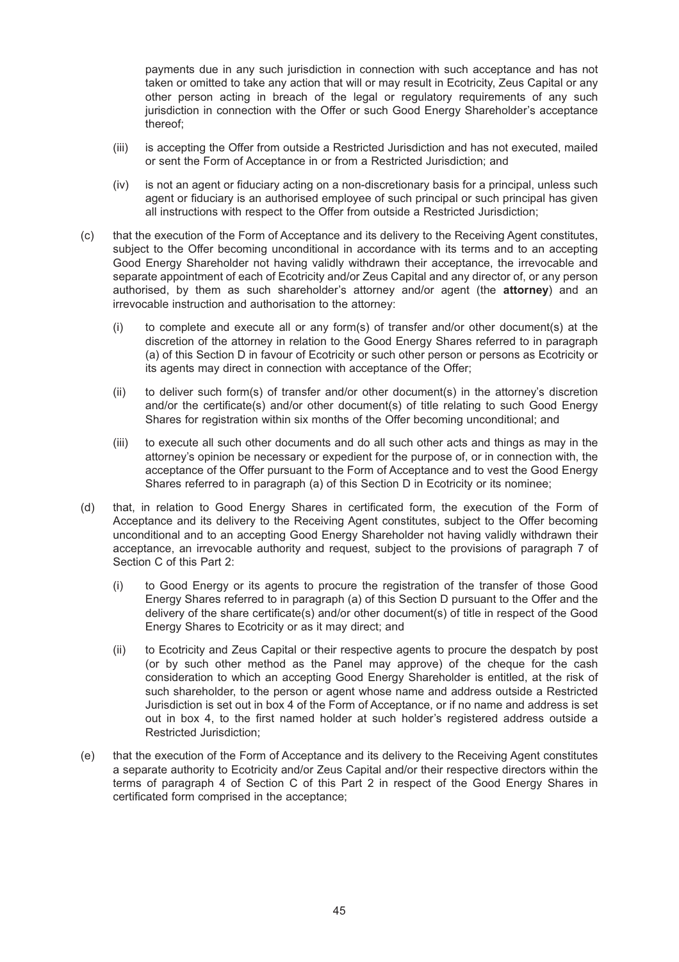payments due in any such jurisdiction in connection with such acceptance and has not taken or omitted to take any action that will or may result in Ecotricity, Zeus Capital or any other person acting in breach of the legal or regulatory requirements of any such jurisdiction in connection with the Offer or such Good Energy Shareholder's acceptance thereof;

- (iii) is accepting the Offer from outside a Restricted Jurisdiction and has not executed, mailed or sent the Form of Acceptance in or from a Restricted Jurisdiction; and
- (iv) is not an agent or fiduciary acting on a non-discretionary basis for a principal, unless such agent or fiduciary is an authorised employee of such principal or such principal has given all instructions with respect to the Offer from outside a Restricted Jurisdiction;
- (c) that the execution of the Form of Acceptance and its delivery to the Receiving Agent constitutes, subject to the Offer becoming unconditional in accordance with its terms and to an accepting Good Energy Shareholder not having validly withdrawn their acceptance, the irrevocable and separate appointment of each of Ecotricity and/or Zeus Capital and any director of, or any person authorised, by them as such shareholder's attorney and/or agent (the **attorney**) and an irrevocable instruction and authorisation to the attorney:
	- (i) to complete and execute all or any form(s) of transfer and/or other document(s) at the discretion of the attorney in relation to the Good Energy Shares referred to in paragraph (a) of this Section D in favour of Ecotricity or such other person or persons as Ecotricity or its agents may direct in connection with acceptance of the Offer;
	- (ii) to deliver such form(s) of transfer and/or other document(s) in the attorney's discretion and/or the certificate(s) and/or other document(s) of title relating to such Good Energy Shares for registration within six months of the Offer becoming unconditional; and
	- (iii) to execute all such other documents and do all such other acts and things as may in the attorney's opinion be necessary or expedient for the purpose of, or in connection with, the acceptance of the Offer pursuant to the Form of Acceptance and to vest the Good Energy Shares referred to in paragraph (a) of this Section D in Ecotricity or its nominee;
- (d) that, in relation to Good Energy Shares in certificated form, the execution of the Form of Acceptance and its delivery to the Receiving Agent constitutes, subject to the Offer becoming unconditional and to an accepting Good Energy Shareholder not having validly withdrawn their acceptance, an irrevocable authority and request, subject to the provisions of paragraph 7 of Section C of this Part 2:
	- (i) to Good Energy or its agents to procure the registration of the transfer of those Good Energy Shares referred to in paragraph (a) of this Section D pursuant to the Offer and the delivery of the share certificate(s) and/or other document(s) of title in respect of the Good Energy Shares to Ecotricity or as it may direct; and
	- (ii) to Ecotricity and Zeus Capital or their respective agents to procure the despatch by post (or by such other method as the Panel may approve) of the cheque for the cash consideration to which an accepting Good Energy Shareholder is entitled, at the risk of such shareholder, to the person or agent whose name and address outside a Restricted Jurisdiction is set out in box 4 of the Form of Acceptance, or if no name and address is set out in box 4, to the first named holder at such holder's registered address outside a Restricted Jurisdiction;
- (e) that the execution of the Form of Acceptance and its delivery to the Receiving Agent constitutes a separate authority to Ecotricity and/or Zeus Capital and/or their respective directors within the terms of paragraph 4 of Section C of this Part 2 in respect of the Good Energy Shares in certificated form comprised in the acceptance;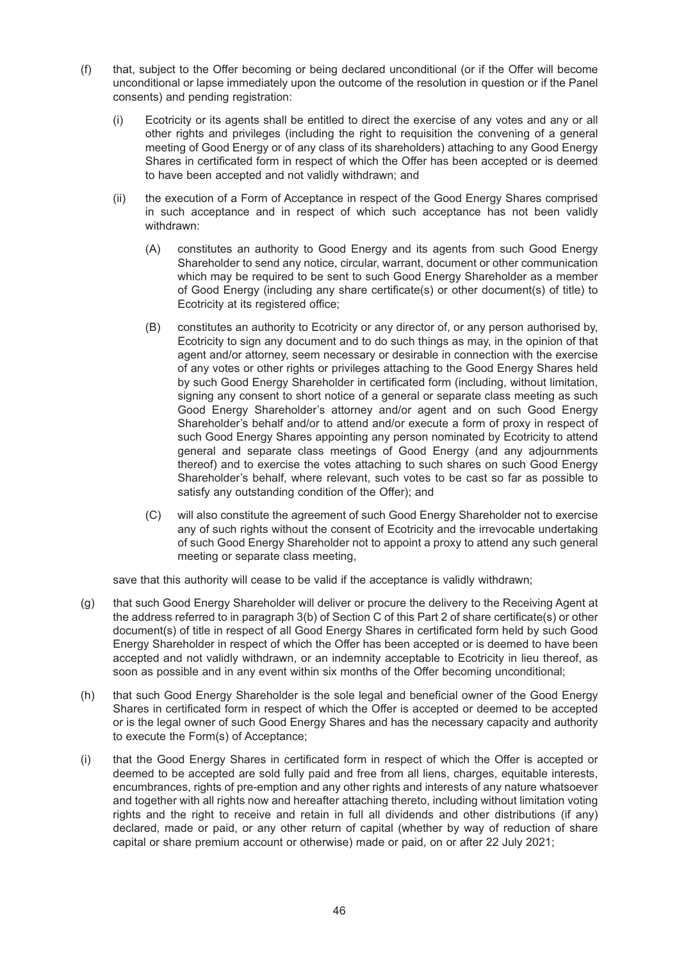- (f) that, subject to the Offer becoming or being declared unconditional (or if the Offer will become unconditional or lapse immediately upon the outcome of the resolution in question or if the Panel consents) and pending registration:
	- (i) Ecotricity or its agents shall be entitled to direct the exercise of any votes and any or all other rights and privileges (including the right to requisition the convening of a general meeting of Good Energy or of any class of its shareholders) attaching to any Good Energy Shares in certificated form in respect of which the Offer has been accepted or is deemed to have been accepted and not validly withdrawn; and
	- (ii) the execution of a Form of Acceptance in respect of the Good Energy Shares comprised in such acceptance and in respect of which such acceptance has not been validly withdrawn:
		- (A) constitutes an authority to Good Energy and its agents from such Good Energy Shareholder to send any notice, circular, warrant, document or other communication which may be required to be sent to such Good Energy Shareholder as a member of Good Energy (including any share certificate(s) or other document(s) of title) to Ecotricity at its registered office;
		- (B) constitutes an authority to Ecotricity or any director of, or any person authorised by, Ecotricity to sign any document and to do such things as may, in the opinion of that agent and/or attorney, seem necessary or desirable in connection with the exercise of any votes or other rights or privileges attaching to the Good Energy Shares held by such Good Energy Shareholder in certificated form (including, without limitation, signing any consent to short notice of a general or separate class meeting as such Good Energy Shareholder's attorney and/or agent and on such Good Energy Shareholder's behalf and/or to attend and/or execute a form of proxy in respect of such Good Energy Shares appointing any person nominated by Ecotricity to attend general and separate class meetings of Good Energy (and any adjournments thereof) and to exercise the votes attaching to such shares on such Good Energy Shareholder's behalf, where relevant, such votes to be cast so far as possible to satisfy any outstanding condition of the Offer); and
		- (C) will also constitute the agreement of such Good Energy Shareholder not to exercise any of such rights without the consent of Ecotricity and the irrevocable undertaking of such Good Energy Shareholder not to appoint a proxy to attend any such general meeting or separate class meeting,

save that this authority will cease to be valid if the acceptance is validly withdrawn;

- (g) that such Good Energy Shareholder will deliver or procure the delivery to the Receiving Agent at the address referred to in paragraph 3(b) of Section C of this Part 2 of share certificate(s) or other document(s) of title in respect of all Good Energy Shares in certificated form held by such Good Energy Shareholder in respect of which the Offer has been accepted or is deemed to have been accepted and not validly withdrawn, or an indemnity acceptable to Ecotricity in lieu thereof, as soon as possible and in any event within six months of the Offer becoming unconditional;
- (h) that such Good Energy Shareholder is the sole legal and beneficial owner of the Good Energy Shares in certificated form in respect of which the Offer is accepted or deemed to be accepted or is the legal owner of such Good Energy Shares and has the necessary capacity and authority to execute the Form(s) of Acceptance;
- (i) that the Good Energy Shares in certificated form in respect of which the Offer is accepted or deemed to be accepted are sold fully paid and free from all liens, charges, equitable interests, encumbrances, rights of pre-emption and any other rights and interests of any nature whatsoever and together with all rights now and hereafter attaching thereto, including without limitation voting rights and the right to receive and retain in full all dividends and other distributions (if any) declared, made or paid, or any other return of capital (whether by way of reduction of share capital or share premium account or otherwise) made or paid, on or after 22 July 2021;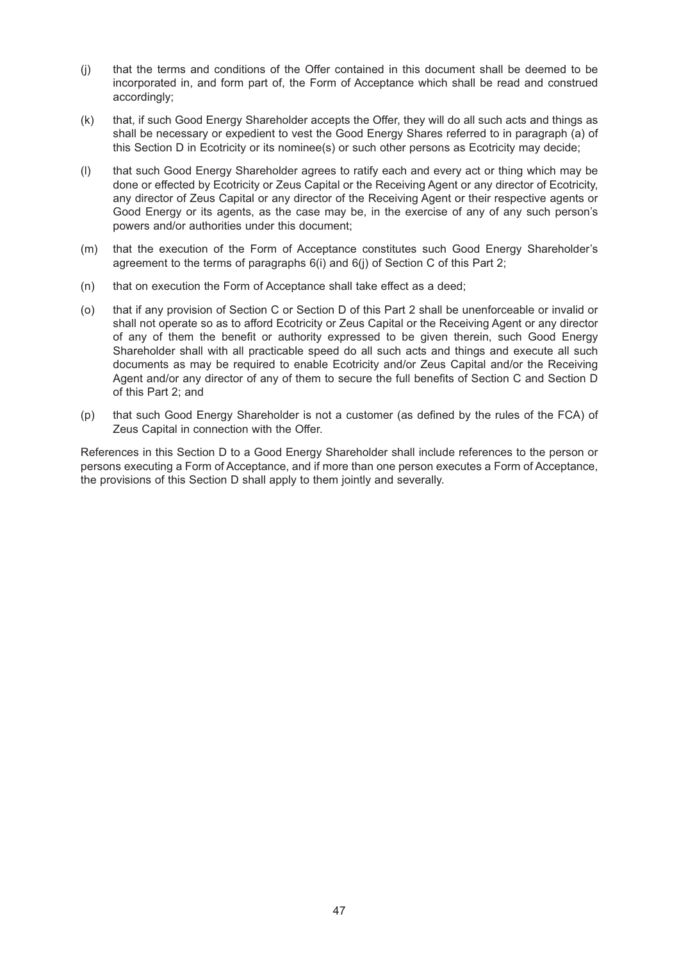- (j) that the terms and conditions of the Offer contained in this document shall be deemed to be incorporated in, and form part of, the Form of Acceptance which shall be read and construed accordingly;
- (k) that, if such Good Energy Shareholder accepts the Offer, they will do all such acts and things as shall be necessary or expedient to vest the Good Energy Shares referred to in paragraph (a) of this Section D in Ecotricity or its nominee(s) or such other persons as Ecotricity may decide;
- (l) that such Good Energy Shareholder agrees to ratify each and every act or thing which may be done or effected by Ecotricity or Zeus Capital or the Receiving Agent or any director of Ecotricity, any director of Zeus Capital or any director of the Receiving Agent or their respective agents or Good Energy or its agents, as the case may be, in the exercise of any of any such person's powers and/or authorities under this document;
- (m) that the execution of the Form of Acceptance constitutes such Good Energy Shareholder's agreement to the terms of paragraphs 6(i) and 6(j) of Section C of this Part 2;
- (n) that on execution the Form of Acceptance shall take effect as a deed;
- (o) that if any provision of Section C or Section D of this Part 2 shall be unenforceable or invalid or shall not operate so as to afford Ecotricity or Zeus Capital or the Receiving Agent or any director of any of them the benefit or authority expressed to be given therein, such Good Energy Shareholder shall with all practicable speed do all such acts and things and execute all such documents as may be required to enable Ecotricity and/or Zeus Capital and/or the Receiving Agent and/or any director of any of them to secure the full benefits of Section C and Section D of this Part 2; and
- (p) that such Good Energy Shareholder is not a customer (as defined by the rules of the FCA) of Zeus Capital in connection with the Offer.

References in this Section D to a Good Energy Shareholder shall include references to the person or persons executing a Form of Acceptance, and if more than one person executes a Form of Acceptance, the provisions of this Section D shall apply to them jointly and severally.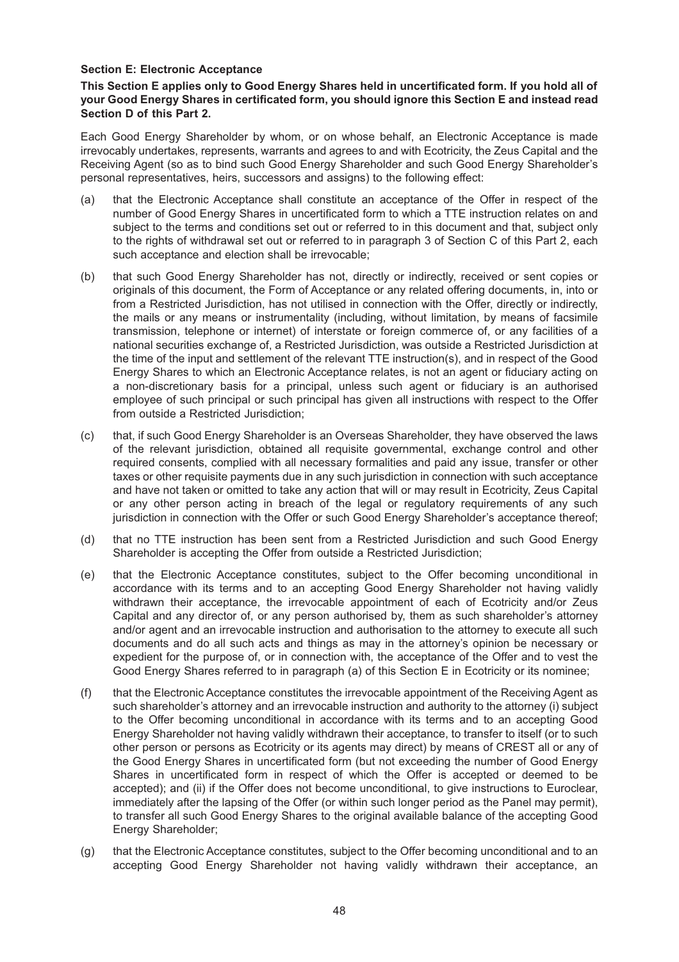#### **Section E: Electronic Acceptance**

#### **This Section E applies only to Good Energy Shares held in uncertificated form. If you hold all of your Good Energy Shares in certificated form, you should ignore this Section E and instead read Section D of this Part 2.**

Each Good Energy Shareholder by whom, or on whose behalf, an Electronic Acceptance is made irrevocably undertakes, represents, warrants and agrees to and with Ecotricity, the Zeus Capital and the Receiving Agent (so as to bind such Good Energy Shareholder and such Good Energy Shareholder's personal representatives, heirs, successors and assigns) to the following effect:

- (a) that the Electronic Acceptance shall constitute an acceptance of the Offer in respect of the number of Good Energy Shares in uncertificated form to which a TTE instruction relates on and subject to the terms and conditions set out or referred to in this document and that, subject only to the rights of withdrawal set out or referred to in paragraph 3 of Section C of this Part 2, each such acceptance and election shall be irrevocable;
- (b) that such Good Energy Shareholder has not, directly or indirectly, received or sent copies or originals of this document, the Form of Acceptance or any related offering documents, in, into or from a Restricted Jurisdiction, has not utilised in connection with the Offer, directly or indirectly, the mails or any means or instrumentality (including, without limitation, by means of facsimile transmission, telephone or internet) of interstate or foreign commerce of, or any facilities of a national securities exchange of, a Restricted Jurisdiction, was outside a Restricted Jurisdiction at the time of the input and settlement of the relevant TTE instruction(s), and in respect of the Good Energy Shares to which an Electronic Acceptance relates, is not an agent or fiduciary acting on a non-discretionary basis for a principal, unless such agent or fiduciary is an authorised employee of such principal or such principal has given all instructions with respect to the Offer from outside a Restricted Jurisdiction;
- (c) that, if such Good Energy Shareholder is an Overseas Shareholder, they have observed the laws of the relevant jurisdiction, obtained all requisite governmental, exchange control and other required consents, complied with all necessary formalities and paid any issue, transfer or other taxes or other requisite payments due in any such jurisdiction in connection with such acceptance and have not taken or omitted to take any action that will or may result in Ecotricity, Zeus Capital or any other person acting in breach of the legal or regulatory requirements of any such jurisdiction in connection with the Offer or such Good Energy Shareholder's acceptance thereof;
- (d) that no TTE instruction has been sent from a Restricted Jurisdiction and such Good Energy Shareholder is accepting the Offer from outside a Restricted Jurisdiction;
- (e) that the Electronic Acceptance constitutes, subject to the Offer becoming unconditional in accordance with its terms and to an accepting Good Energy Shareholder not having validly withdrawn their acceptance, the irrevocable appointment of each of Ecotricity and/or Zeus Capital and any director of, or any person authorised by, them as such shareholder's attorney and/or agent and an irrevocable instruction and authorisation to the attorney to execute all such documents and do all such acts and things as may in the attorney's opinion be necessary or expedient for the purpose of, or in connection with, the acceptance of the Offer and to vest the Good Energy Shares referred to in paragraph (a) of this Section E in Ecotricity or its nominee;
- (f) that the Electronic Acceptance constitutes the irrevocable appointment of the Receiving Agent as such shareholder's attorney and an irrevocable instruction and authority to the attorney (i) subject to the Offer becoming unconditional in accordance with its terms and to an accepting Good Energy Shareholder not having validly withdrawn their acceptance, to transfer to itself (or to such other person or persons as Ecotricity or its agents may direct) by means of CREST all or any of the Good Energy Shares in uncertificated form (but not exceeding the number of Good Energy Shares in uncertificated form in respect of which the Offer is accepted or deemed to be accepted); and (ii) if the Offer does not become unconditional, to give instructions to Euroclear, immediately after the lapsing of the Offer (or within such longer period as the Panel may permit), to transfer all such Good Energy Shares to the original available balance of the accepting Good Energy Shareholder;
- (g) that the Electronic Acceptance constitutes, subject to the Offer becoming unconditional and to an accepting Good Energy Shareholder not having validly withdrawn their acceptance, an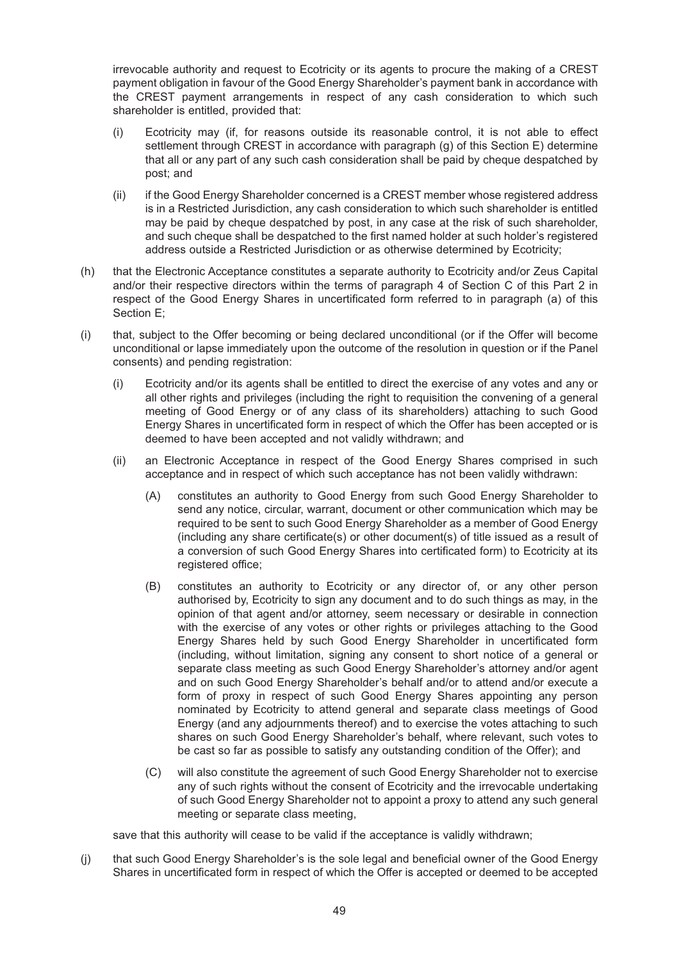irrevocable authority and request to Ecotricity or its agents to procure the making of a CREST payment obligation in favour of the Good Energy Shareholder's payment bank in accordance with the CREST payment arrangements in respect of any cash consideration to which such shareholder is entitled, provided that:

- (i) Ecotricity may (if, for reasons outside its reasonable control, it is not able to effect settlement through CREST in accordance with paragraph (g) of this Section E) determine that all or any part of any such cash consideration shall be paid by cheque despatched by post; and
- (ii) if the Good Energy Shareholder concerned is a CREST member whose registered address is in a Restricted Jurisdiction, any cash consideration to which such shareholder is entitled may be paid by cheque despatched by post, in any case at the risk of such shareholder, and such cheque shall be despatched to the first named holder at such holder's registered address outside a Restricted Jurisdiction or as otherwise determined by Ecotricity;
- (h) that the Electronic Acceptance constitutes a separate authority to Ecotricity and/or Zeus Capital and/or their respective directors within the terms of paragraph 4 of Section C of this Part 2 in respect of the Good Energy Shares in uncertificated form referred to in paragraph (a) of this Section E;
- (i) that, subject to the Offer becoming or being declared unconditional (or if the Offer will become unconditional or lapse immediately upon the outcome of the resolution in question or if the Panel consents) and pending registration:
	- (i) Ecotricity and/or its agents shall be entitled to direct the exercise of any votes and any or all other rights and privileges (including the right to requisition the convening of a general meeting of Good Energy or of any class of its shareholders) attaching to such Good Energy Shares in uncertificated form in respect of which the Offer has been accepted or is deemed to have been accepted and not validly withdrawn; and
	- (ii) an Electronic Acceptance in respect of the Good Energy Shares comprised in such acceptance and in respect of which such acceptance has not been validly withdrawn:
		- (A) constitutes an authority to Good Energy from such Good Energy Shareholder to send any notice, circular, warrant, document or other communication which may be required to be sent to such Good Energy Shareholder as a member of Good Energy (including any share certificate(s) or other document(s) of title issued as a result of a conversion of such Good Energy Shares into certificated form) to Ecotricity at its registered office;
		- (B) constitutes an authority to Ecotricity or any director of, or any other person authorised by, Ecotricity to sign any document and to do such things as may, in the opinion of that agent and/or attorney, seem necessary or desirable in connection with the exercise of any votes or other rights or privileges attaching to the Good Energy Shares held by such Good Energy Shareholder in uncertificated form (including, without limitation, signing any consent to short notice of a general or separate class meeting as such Good Energy Shareholder's attorney and/or agent and on such Good Energy Shareholder's behalf and/or to attend and/or execute a form of proxy in respect of such Good Energy Shares appointing any person nominated by Ecotricity to attend general and separate class meetings of Good Energy (and any adjournments thereof) and to exercise the votes attaching to such shares on such Good Energy Shareholder's behalf, where relevant, such votes to be cast so far as possible to satisfy any outstanding condition of the Offer); and
		- (C) will also constitute the agreement of such Good Energy Shareholder not to exercise any of such rights without the consent of Ecotricity and the irrevocable undertaking of such Good Energy Shareholder not to appoint a proxy to attend any such general meeting or separate class meeting,

save that this authority will cease to be valid if the acceptance is validly withdrawn;

(j) that such Good Energy Shareholder's is the sole legal and beneficial owner of the Good Energy Shares in uncertificated form in respect of which the Offer is accepted or deemed to be accepted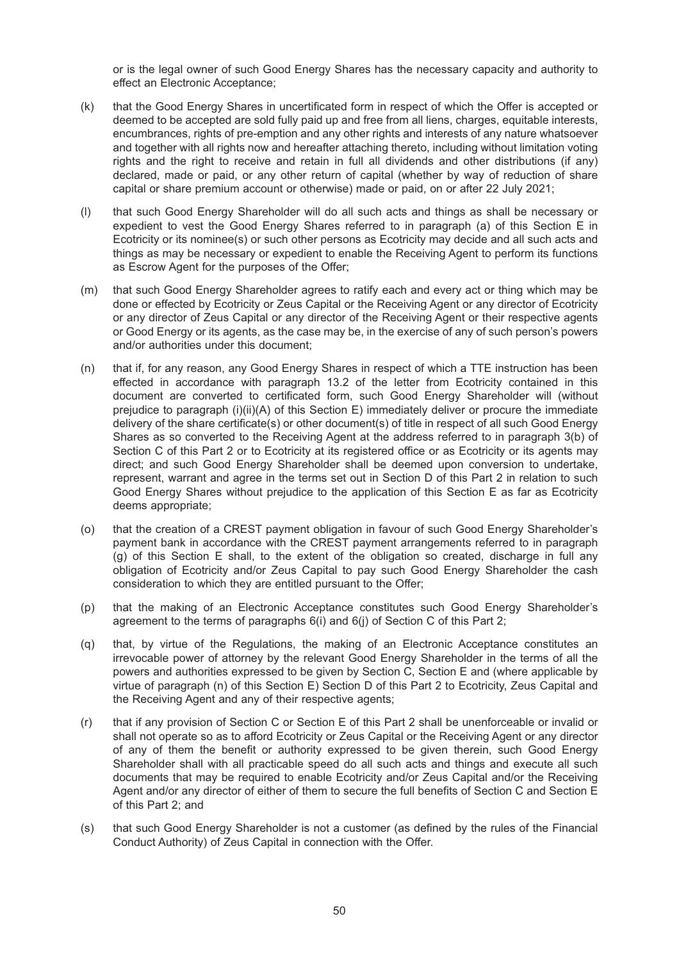or is the legal owner of such Good Energy Shares has the necessary capacity and authority to effect an Electronic Acceptance;

- (k) that the Good Energy Shares in uncertificated form in respect of which the Offer is accepted or deemed to be accepted are sold fully paid up and free from all liens, charges, equitable interests, encumbrances, rights of pre-emption and any other rights and interests of any nature whatsoever and together with all rights now and hereafter attaching thereto, including without limitation voting rights and the right to receive and retain in full all dividends and other distributions (if any) declared, made or paid, or any other return of capital (whether by way of reduction of share capital or share premium account or otherwise) made or paid, on or after 22 July 2021;
- (l) that such Good Energy Shareholder will do all such acts and things as shall be necessary or expedient to vest the Good Energy Shares referred to in paragraph (a) of this Section E in Ecotricity or its nominee(s) or such other persons as Ecotricity may decide and all such acts and things as may be necessary or expedient to enable the Receiving Agent to perform its functions as Escrow Agent for the purposes of the Offer;
- (m) that such Good Energy Shareholder agrees to ratify each and every act or thing which may be done or effected by Ecotricity or Zeus Capital or the Receiving Agent or any director of Ecotricity or any director of Zeus Capital or any director of the Receiving Agent or their respective agents or Good Energy or its agents, as the case may be, in the exercise of any of such person's powers and/or authorities under this document;
- (n) that if, for any reason, any Good Energy Shares in respect of which a TTE instruction has been effected in accordance with paragraph 13.2 of the letter from Ecotricity contained in this document are converted to certificated form, such Good Energy Shareholder will (without prejudice to paragraph (i)(ii)(A) of this Section E) immediately deliver or procure the immediate delivery of the share certificate(s) or other document(s) of title in respect of all such Good Energy Shares as so converted to the Receiving Agent at the address referred to in paragraph 3(b) of Section C of this Part 2 or to Ecotricity at its registered office or as Ecotricity or its agents may direct; and such Good Energy Shareholder shall be deemed upon conversion to undertake, represent, warrant and agree in the terms set out in Section D of this Part 2 in relation to such Good Energy Shares without prejudice to the application of this Section E as far as Ecotricity deems appropriate;
- (o) that the creation of a CREST payment obligation in favour of such Good Energy Shareholder's payment bank in accordance with the CREST payment arrangements referred to in paragraph (g) of this Section E shall, to the extent of the obligation so created, discharge in full any obligation of Ecotricity and/or Zeus Capital to pay such Good Energy Shareholder the cash consideration to which they are entitled pursuant to the Offer;
- (p) that the making of an Electronic Acceptance constitutes such Good Energy Shareholder's agreement to the terms of paragraphs 6(i) and 6(j) of Section C of this Part 2;
- (q) that, by virtue of the Regulations, the making of an Electronic Acceptance constitutes an irrevocable power of attorney by the relevant Good Energy Shareholder in the terms of all the powers and authorities expressed to be given by Section C, Section E and (where applicable by virtue of paragraph (n) of this Section E) Section D of this Part 2 to Ecotricity, Zeus Capital and the Receiving Agent and any of their respective agents;
- (r) that if any provision of Section C or Section E of this Part 2 shall be unenforceable or invalid or shall not operate so as to afford Ecotricity or Zeus Capital or the Receiving Agent or any director of any of them the benefit or authority expressed to be given therein, such Good Energy Shareholder shall with all practicable speed do all such acts and things and execute all such documents that may be required to enable Ecotricity and/or Zeus Capital and/or the Receiving Agent and/or any director of either of them to secure the full benefits of Section C and Section E of this Part 2; and
- (s) that such Good Energy Shareholder is not a customer (as defined by the rules of the Financial Conduct Authority) of Zeus Capital in connection with the Offer.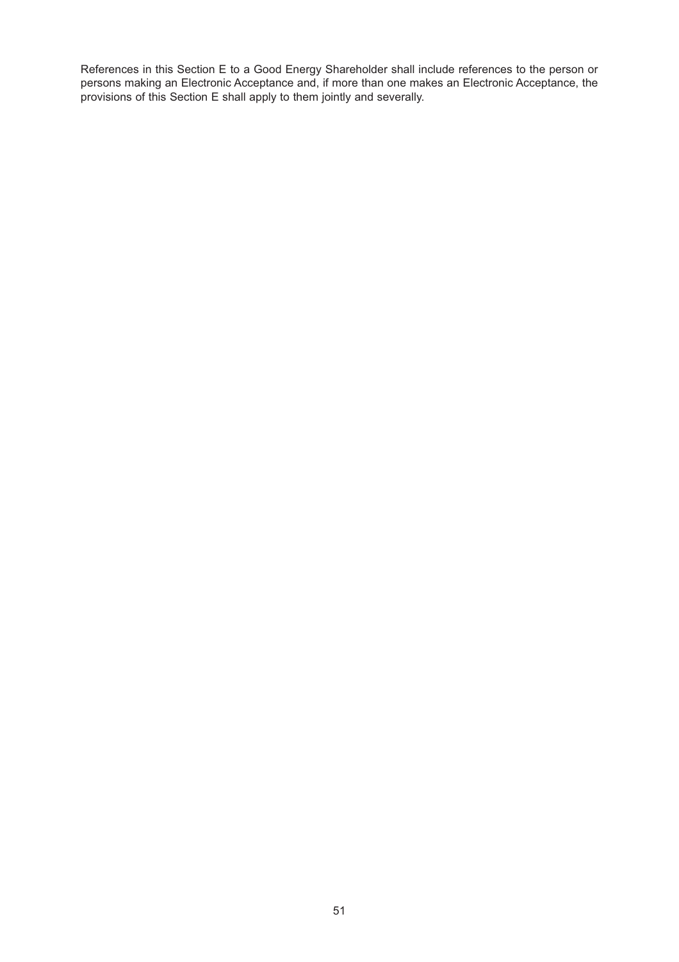References in this Section E to a Good Energy Shareholder shall include references to the person or persons making an Electronic Acceptance and, if more than one makes an Electronic Acceptance, the provisions of this Section E shall apply to them jointly and severally.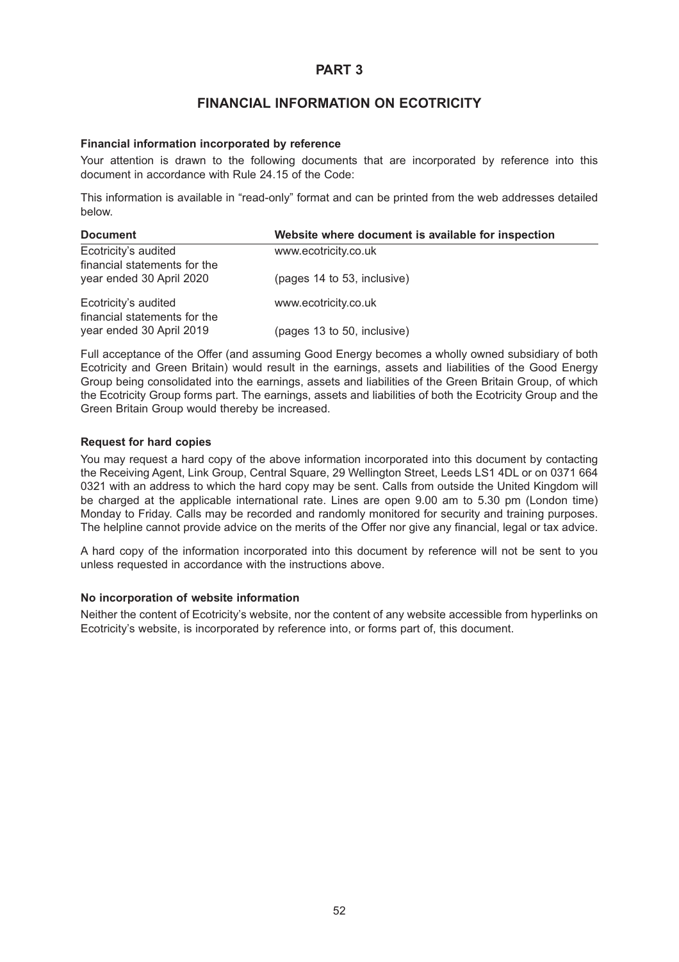## **FINANCIAL INFORMATION ON ECOTRICITY**

#### **Financial information incorporated by reference**

Your attention is drawn to the following documents that are incorporated by reference into this document in accordance with Rule 24.15 of the Code:

This information is available in "read-only" format and can be printed from the web addresses detailed below.

| <b>Document</b>                                      | Website where document is available for inspection |
|------------------------------------------------------|----------------------------------------------------|
| Ecotricity's audited<br>financial statements for the | www.ecotricity.co.uk                               |
| year ended 30 April 2020                             | (pages 14 to 53, inclusive)                        |
| Ecotricity's audited<br>financial statements for the | www.ecotricity.co.uk                               |
| year ended 30 April 2019                             | (pages 13 to 50, inclusive)                        |

Full acceptance of the Offer (and assuming Good Energy becomes a wholly owned subsidiary of both Ecotricity and Green Britain) would result in the earnings, assets and liabilities of the Good Energy Group being consolidated into the earnings, assets and liabilities of the Green Britain Group, of which the Ecotricity Group forms part. The earnings, assets and liabilities of both the Ecotricity Group and the Green Britain Group would thereby be increased.

#### **Request for hard copies**

You may request a hard copy of the above information incorporated into this document by contacting the Receiving Agent, Link Group, Central Square, 29 Wellington Street, Leeds LS1 4DL or on 0371 664 0321 with an address to which the hard copy may be sent. Calls from outside the United Kingdom will be charged at the applicable international rate. Lines are open 9.00 am to 5.30 pm (London time) Monday to Friday. Calls may be recorded and randomly monitored for security and training purposes. The helpline cannot provide advice on the merits of the Offer nor give any financial, legal or tax advice.

A hard copy of the information incorporated into this document by reference will not be sent to you unless requested in accordance with the instructions above.

#### **No incorporation of website information**

Neither the content of Ecotricity's website, nor the content of any website accessible from hyperlinks on Ecotricity's website, is incorporated by reference into, or forms part of, this document.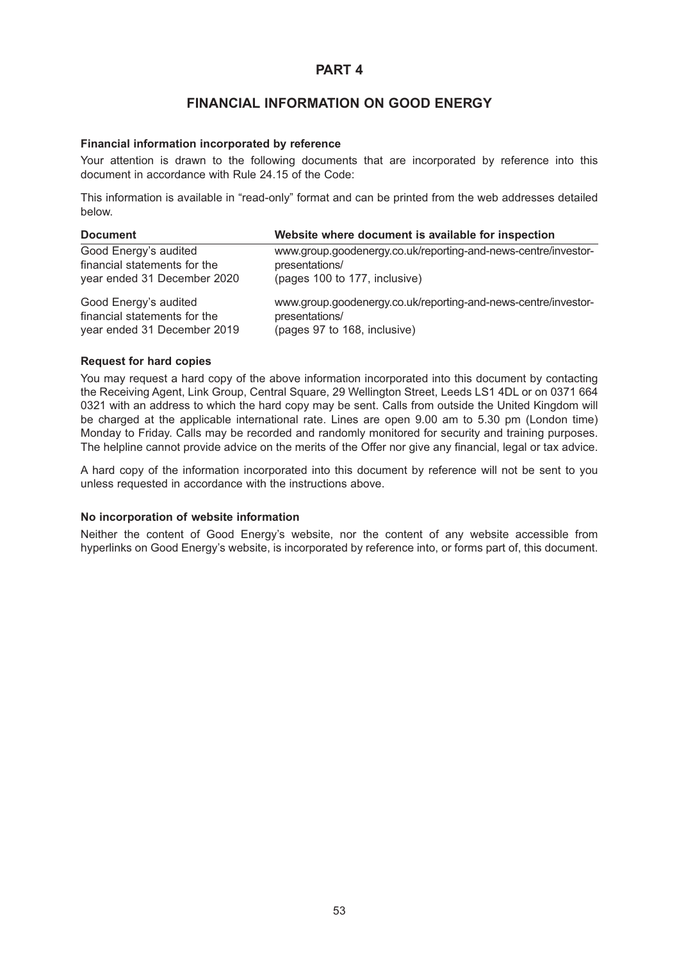## **FINANCIAL INFORMATION ON GOOD ENERGY**

#### **Financial information incorporated by reference**

Your attention is drawn to the following documents that are incorporated by reference into this document in accordance with Rule 24.15 of the Code:

This information is available in "read-only" format and can be printed from the web addresses detailed below.

| <b>Document</b>              | Website where document is available for inspection             |
|------------------------------|----------------------------------------------------------------|
| Good Energy's audited        | www.group.goodenergy.co.uk/reporting-and-news-centre/investor- |
| financial statements for the | presentations/                                                 |
| year ended 31 December 2020  | (pages 100 to 177, inclusive)                                  |
| Good Energy's audited        | www.group.goodenergy.co.uk/reporting-and-news-centre/investor- |
| financial statements for the | presentations/                                                 |
| year ended 31 December 2019  | (pages 97 to 168, inclusive)                                   |

#### **Request for hard copies**

You may request a hard copy of the above information incorporated into this document by contacting the Receiving Agent, Link Group, Central Square, 29 Wellington Street, Leeds LS1 4DL or on 0371 664 0321 with an address to which the hard copy may be sent. Calls from outside the United Kingdom will be charged at the applicable international rate. Lines are open 9.00 am to 5.30 pm (London time) Monday to Friday. Calls may be recorded and randomly monitored for security and training purposes. The helpline cannot provide advice on the merits of the Offer nor give any financial, legal or tax advice.

A hard copy of the information incorporated into this document by reference will not be sent to you unless requested in accordance with the instructions above.

#### **No incorporation of website information**

Neither the content of Good Energy's website, nor the content of any website accessible from hyperlinks on Good Energy's website, is incorporated by reference into, or forms part of, this document.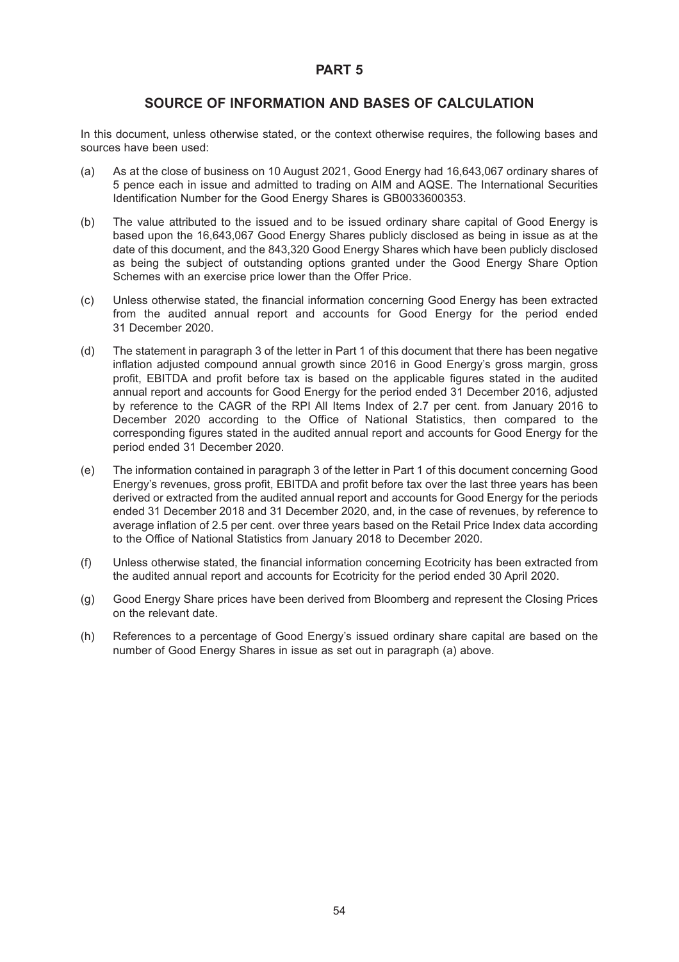## **SOURCE OF INFORMATION AND BASES OF CALCULATION**

In this document, unless otherwise stated, or the context otherwise requires, the following bases and sources have been used:

- (a) As at the close of business on 10 August 2021, Good Energy had 16,643,067 ordinary shares of 5 pence each in issue and admitted to trading on AIM and AQSE. The International Securities Identification Number for the Good Energy Shares is GB0033600353.
- (b) The value attributed to the issued and to be issued ordinary share capital of Good Energy is based upon the 16,643,067 Good Energy Shares publicly disclosed as being in issue as at the date of this document, and the 843,320 Good Energy Shares which have been publicly disclosed as being the subject of outstanding options granted under the Good Energy Share Option Schemes with an exercise price lower than the Offer Price.
- (c) Unless otherwise stated, the financial information concerning Good Energy has been extracted from the audited annual report and accounts for Good Energy for the period ended 31 December 2020.
- (d) The statement in paragraph 3 of the letter in Part 1 of this document that there has been negative inflation adjusted compound annual growth since 2016 in Good Energy's gross margin, gross profit, EBITDA and profit before tax is based on the applicable figures stated in the audited annual report and accounts for Good Energy for the period ended 31 December 2016, adjusted by reference to the CAGR of the RPI All Items Index of 2.7 per cent. from January 2016 to December 2020 according to the Office of National Statistics, then compared to the corresponding figures stated in the audited annual report and accounts for Good Energy for the period ended 31 December 2020.
- (e) The information contained in paragraph 3 of the letter in Part 1 of this document concerning Good Energy's revenues, gross profit, EBITDA and profit before tax over the last three years has been derived or extracted from the audited annual report and accounts for Good Energy for the periods ended 31 December 2018 and 31 December 2020, and, in the case of revenues, by reference to average inflation of 2.5 per cent. over three years based on the Retail Price Index data according to the Office of National Statistics from January 2018 to December 2020.
- (f) Unless otherwise stated, the financial information concerning Ecotricity has been extracted from the audited annual report and accounts for Ecotricity for the period ended 30 April 2020.
- (g) Good Energy Share prices have been derived from Bloomberg and represent the Closing Prices on the relevant date.
- (h) References to a percentage of Good Energy's issued ordinary share capital are based on the number of Good Energy Shares in issue as set out in paragraph (a) above.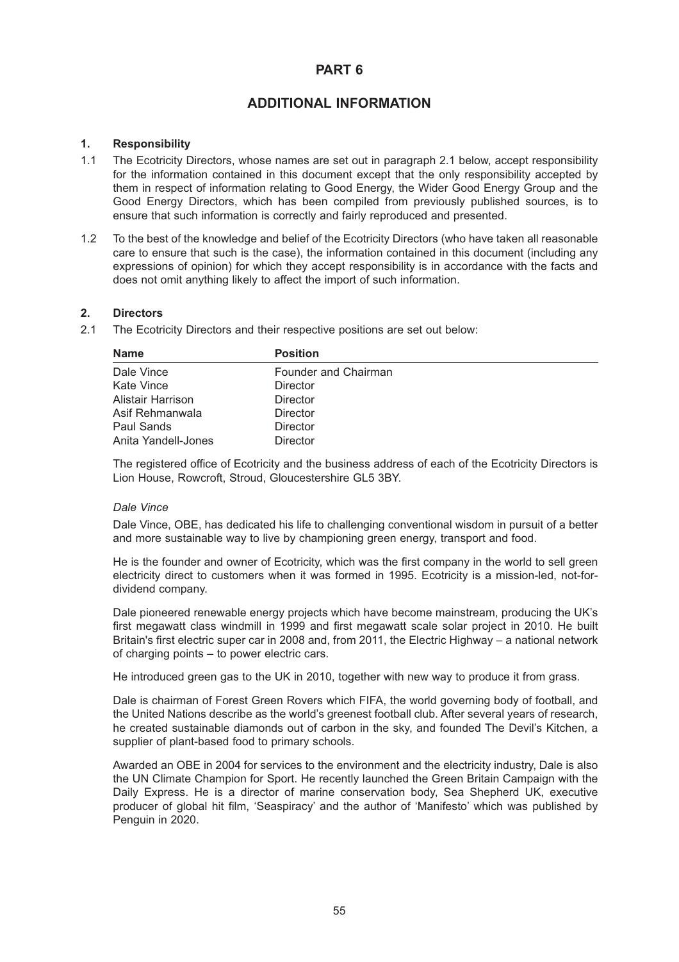## **ADDITIONAL INFORMATION**

#### **1. Responsibility**

- 1.1 The Ecotricity Directors, whose names are set out in paragraph 2.1 below, accept responsibility for the information contained in this document except that the only responsibility accepted by them in respect of information relating to Good Energy, the Wider Good Energy Group and the Good Energy Directors, which has been compiled from previously published sources, is to ensure that such information is correctly and fairly reproduced and presented.
- 1.2 To the best of the knowledge and belief of the Ecotricity Directors (who have taken all reasonable care to ensure that such is the case), the information contained in this document (including any expressions of opinion) for which they accept responsibility is in accordance with the facts and does not omit anything likely to affect the import of such information.

#### **2. Directors**

2.1 The Ecotricity Directors and their respective positions are set out below:

| <b>Name</b>         | <b>Position</b>      |
|---------------------|----------------------|
| Dale Vince          | Founder and Chairman |
| Kate Vince          | Director             |
| Alistair Harrison   | <b>Director</b>      |
| Asif Rehmanwala     | <b>Director</b>      |
| Paul Sands          | <b>Director</b>      |
| Anita Yandell-Jones | <b>Director</b>      |

The registered office of Ecotricity and the business address of each of the Ecotricity Directors is Lion House, Rowcroft, Stroud, Gloucestershire GL5 3BY.

#### *Dale Vince*

Dale Vince, OBE, has dedicated his life to challenging conventional wisdom in pursuit of a better and more sustainable way to live by championing green energy, transport and food.

He is the founder and owner of Ecotricity, which was the first company in the world to sell green electricity direct to customers when it was formed in 1995. Ecotricity is a mission-led, not-fordividend company.

Dale pioneered renewable energy projects which have become mainstream, producing the UK's first megawatt class windmill in 1999 and first megawatt scale solar project in 2010. He built Britain's first electric super car in 2008 and, from 2011, the Electric Highway – a national network of charging points – to power electric cars.

He introduced green gas to the UK in 2010, together with new way to produce it from grass.

Dale is chairman of Forest Green Rovers which FIFA, the world governing body of football, and the United Nations describe as the world's greenest football club. After several years of research, he created sustainable diamonds out of carbon in the sky, and founded The Devil's Kitchen, a supplier of plant-based food to primary schools.

Awarded an OBE in 2004 for services to the environment and the electricity industry, Dale is also the UN Climate Champion for Sport. He recently launched the Green Britain Campaign with the Daily Express. He is a director of marine conservation body, Sea Shepherd UK, executive producer of global hit film, 'Seaspiracy' and the author of 'Manifesto' which was published by Penguin in 2020.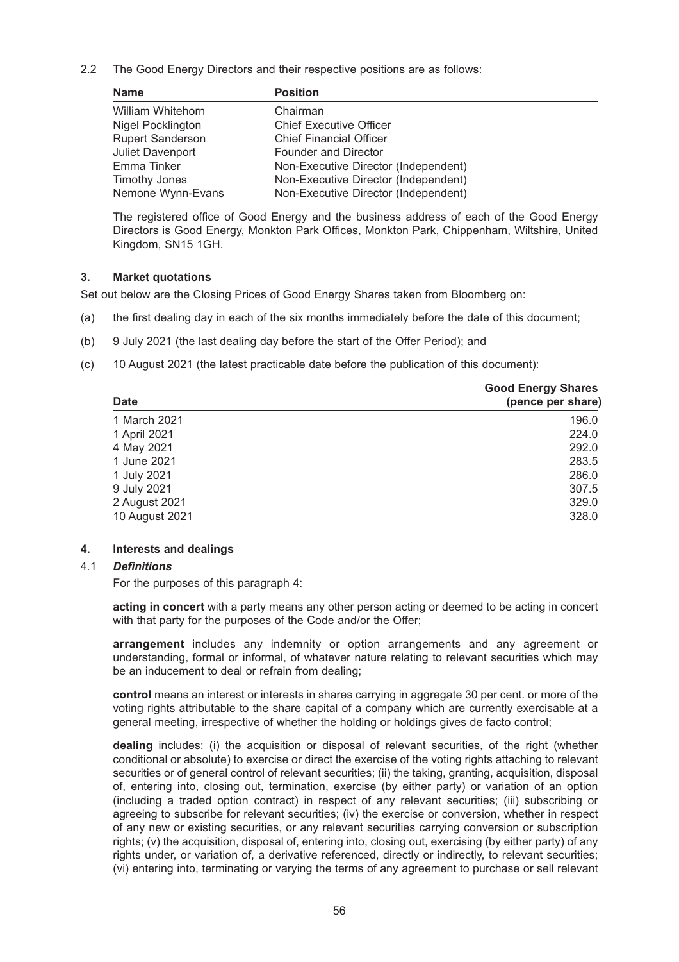2.2 The Good Energy Directors and their respective positions are as follows:

| <b>Name</b>             | <b>Position</b>                      |
|-------------------------|--------------------------------------|
| William Whitehorn       | Chairman                             |
| Nigel Pocklington       | <b>Chief Executive Officer</b>       |
| <b>Rupert Sanderson</b> | <b>Chief Financial Officer</b>       |
| <b>Juliet Davenport</b> | <b>Founder and Director</b>          |
| Emma Tinker             | Non-Executive Director (Independent) |
| Timothy Jones           | Non-Executive Director (Independent) |
| Nemone Wynn-Evans       | Non-Executive Director (Independent) |

The registered office of Good Energy and the business address of each of the Good Energy Directors is Good Energy, Monkton Park Offices, Monkton Park, Chippenham, Wiltshire, United Kingdom, SN15 1GH.

#### **3. Market quotations**

Set out below are the Closing Prices of Good Energy Shares taken from Bloomberg on:

- (a) the first dealing day in each of the six months immediately before the date of this document;
- (b) 9 July 2021 (the last dealing day before the start of the Offer Period); and
- (c) 10 August 2021 (the latest practicable date before the publication of this document):

| <b>Date</b>    | <b>Good Energy Shares</b><br>(pence per share) |
|----------------|------------------------------------------------|
| 1 March 2021   | 196.0                                          |
| 1 April 2021   | 224.0                                          |
| 4 May 2021     | 292.0                                          |
| 1 June 2021    | 283.5                                          |
| 1 July 2021    | 286.0                                          |
| 9 July 2021    | 307.5                                          |
| 2 August 2021  | 329.0                                          |
| 10 August 2021 | 328.0                                          |

#### **4. Interests and dealings**

#### 4.1 *Definitions*

For the purposes of this paragraph 4:

**acting in concert** with a party means any other person acting or deemed to be acting in concert with that party for the purposes of the Code and/or the Offer;

**arrangement** includes any indemnity or option arrangements and any agreement or understanding, formal or informal, of whatever nature relating to relevant securities which may be an inducement to deal or refrain from dealing;

**control** means an interest or interests in shares carrying in aggregate 30 per cent. or more of the voting rights attributable to the share capital of a company which are currently exercisable at a general meeting, irrespective of whether the holding or holdings gives de facto control;

**dealing** includes: (i) the acquisition or disposal of relevant securities, of the right (whether conditional or absolute) to exercise or direct the exercise of the voting rights attaching to relevant securities or of general control of relevant securities; (ii) the taking, granting, acquisition, disposal of, entering into, closing out, termination, exercise (by either party) or variation of an option (including a traded option contract) in respect of any relevant securities; (iii) subscribing or agreeing to subscribe for relevant securities; (iv) the exercise or conversion, whether in respect of any new or existing securities, or any relevant securities carrying conversion or subscription rights; (v) the acquisition, disposal of, entering into, closing out, exercising (by either party) of any rights under, or variation of, a derivative referenced, directly or indirectly, to relevant securities; (vi) entering into, terminating or varying the terms of any agreement to purchase or sell relevant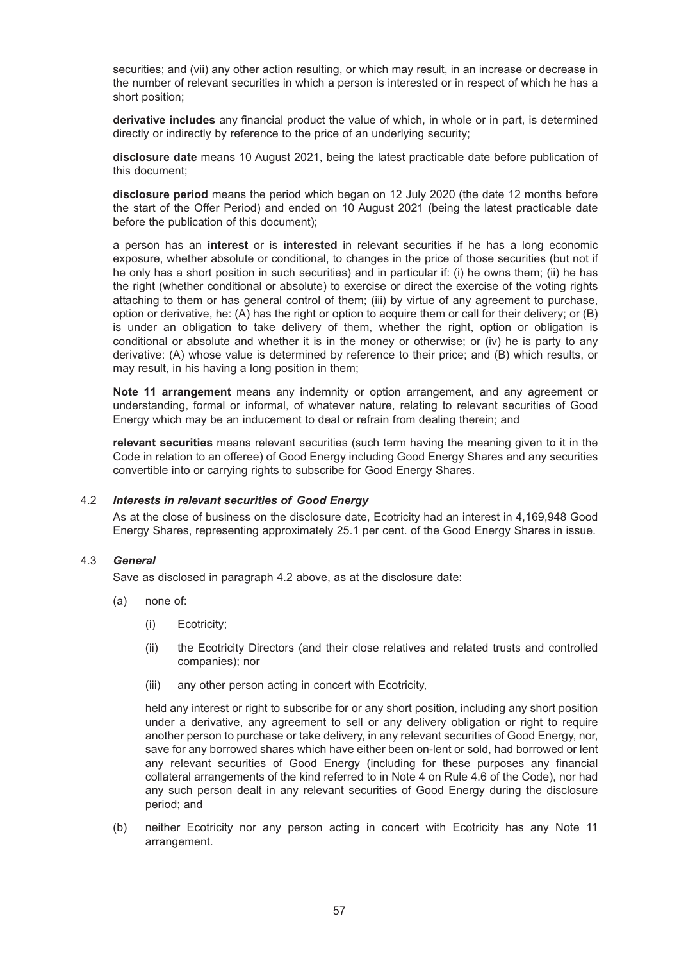securities; and (vii) any other action resulting, or which may result, in an increase or decrease in the number of relevant securities in which a person is interested or in respect of which he has a short position;

**derivative includes** any financial product the value of which, in whole or in part, is determined directly or indirectly by reference to the price of an underlying security;

**disclosure date** means 10 August 2021, being the latest practicable date before publication of this document;

**disclosure period** means the period which began on 12 July 2020 (the date 12 months before the start of the Offer Period) and ended on 10 August 2021 (being the latest practicable date before the publication of this document);

a person has an **interest** or is **interested** in relevant securities if he has a long economic exposure, whether absolute or conditional, to changes in the price of those securities (but not if he only has a short position in such securities) and in particular if: (i) he owns them; (ii) he has the right (whether conditional or absolute) to exercise or direct the exercise of the voting rights attaching to them or has general control of them; (iii) by virtue of any agreement to purchase, option or derivative, he: (A) has the right or option to acquire them or call for their delivery; or (B) is under an obligation to take delivery of them, whether the right, option or obligation is conditional or absolute and whether it is in the money or otherwise; or (iv) he is party to any derivative: (A) whose value is determined by reference to their price; and (B) which results, or may result, in his having a long position in them;

**Note 11 arrangement** means any indemnity or option arrangement, and any agreement or understanding, formal or informal, of whatever nature, relating to relevant securities of Good Energy which may be an inducement to deal or refrain from dealing therein; and

**relevant securities** means relevant securities (such term having the meaning given to it in the Code in relation to an offeree) of Good Energy including Good Energy Shares and any securities convertible into or carrying rights to subscribe for Good Energy Shares.

#### 4.2 *Interests in relevant securities of Good Energy*

As at the close of business on the disclosure date, Ecotricity had an interest in 4,169,948 Good Energy Shares, representing approximately 25.1 per cent. of the Good Energy Shares in issue.

#### 4.3 *General*

Save as disclosed in paragraph 4.2 above, as at the disclosure date:

- (a) none of:
	- (i) Ecotricity;
	- (ii) the Ecotricity Directors (and their close relatives and related trusts and controlled companies); nor
	- (iii) any other person acting in concert with Ecotricity,

held any interest or right to subscribe for or any short position, including any short position under a derivative, any agreement to sell or any delivery obligation or right to require another person to purchase or take delivery, in any relevant securities of Good Energy, nor, save for any borrowed shares which have either been on-lent or sold, had borrowed or lent any relevant securities of Good Energy (including for these purposes any financial collateral arrangements of the kind referred to in Note 4 on Rule 4.6 of the Code), nor had any such person dealt in any relevant securities of Good Energy during the disclosure period; and

(b) neither Ecotricity nor any person acting in concert with Ecotricity has any Note 11 arrangement.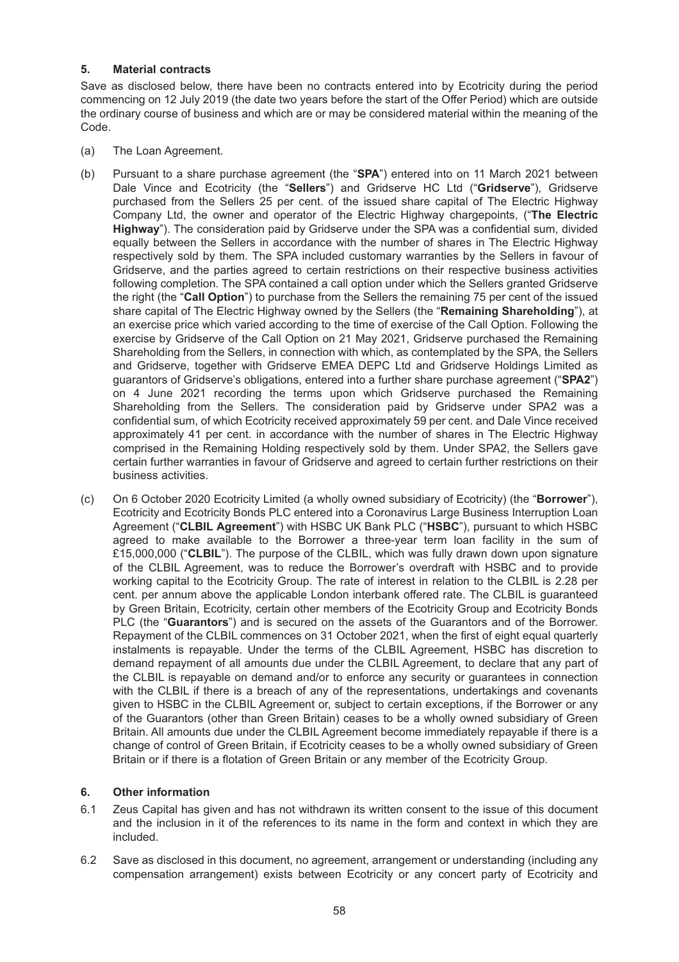### **5. Material contracts**

Save as disclosed below, there have been no contracts entered into by Ecotricity during the period commencing on 12 July 2019 (the date two years before the start of the Offer Period) which are outside the ordinary course of business and which are or may be considered material within the meaning of the Code.

- (a) The Loan Agreement.
- (b) Pursuant to a share purchase agreement (the "**SPA**") entered into on 11 March 2021 between Dale Vince and Ecotricity (the "**Sellers**") and Gridserve HC Ltd ("**Gridserve**"), Gridserve purchased from the Sellers 25 per cent. of the issued share capital of The Electric Highway Company Ltd, the owner and operator of the Electric Highway chargepoints, ("**The Electric Highway**"). The consideration paid by Gridserve under the SPA was a confidential sum, divided equally between the Sellers in accordance with the number of shares in The Electric Highway respectively sold by them. The SPA included customary warranties by the Sellers in favour of Gridserve, and the parties agreed to certain restrictions on their respective business activities following completion. The SPA contained a call option under which the Sellers granted Gridserve the right (the "**Call Option**") to purchase from the Sellers the remaining 75 per cent of the issued share capital of The Electric Highway owned by the Sellers (the "**Remaining Shareholding**"), at an exercise price which varied according to the time of exercise of the Call Option. Following the exercise by Gridserve of the Call Option on 21 May 2021, Gridserve purchased the Remaining Shareholding from the Sellers, in connection with which, as contemplated by the SPA, the Sellers and Gridserve, together with Gridserve EMEA DEPC Ltd and Gridserve Holdings Limited as guarantors of Gridserve's obligations, entered into a further share purchase agreement ("**SPA2**") on 4 June 2021 recording the terms upon which Gridserve purchased the Remaining Shareholding from the Sellers. The consideration paid by Gridserve under SPA2 was a confidential sum, of which Ecotricity received approximately 59 per cent. and Dale Vince received approximately 41 per cent. in accordance with the number of shares in The Electric Highway comprised in the Remaining Holding respectively sold by them. Under SPA2, the Sellers gave certain further warranties in favour of Gridserve and agreed to certain further restrictions on their business activities.
- (c) On 6 October 2020 Ecotricity Limited (a wholly owned subsidiary of Ecotricity) (the "**Borrower**"), Ecotricity and Ecotricity Bonds PLC entered into a Coronavirus Large Business Interruption Loan Agreement ("**CLBIL Agreement**") with HSBC UK Bank PLC ("**HSBC**"), pursuant to which HSBC agreed to make available to the Borrower a three-year term loan facility in the sum of £15,000,000 ("**CLBIL**"). The purpose of the CLBIL, which was fully drawn down upon signature of the CLBIL Agreement, was to reduce the Borrower's overdraft with HSBC and to provide working capital to the Ecotricity Group. The rate of interest in relation to the CLBIL is 2.28 per cent. per annum above the applicable London interbank offered rate. The CLBIL is guaranteed by Green Britain, Ecotricity, certain other members of the Ecotricity Group and Ecotricity Bonds PLC (the "**Guarantors**") and is secured on the assets of the Guarantors and of the Borrower. Repayment of the CLBIL commences on 31 October 2021, when the first of eight equal quarterly instalments is repayable. Under the terms of the CLBIL Agreement, HSBC has discretion to demand repayment of all amounts due under the CLBIL Agreement, to declare that any part of the CLBIL is repayable on demand and/or to enforce any security or guarantees in connection with the CLBIL if there is a breach of any of the representations, undertakings and covenants given to HSBC in the CLBIL Agreement or, subject to certain exceptions, if the Borrower or any of the Guarantors (other than Green Britain) ceases to be a wholly owned subsidiary of Green Britain. All amounts due under the CLBIL Agreement become immediately repayable if there is a change of control of Green Britain, if Ecotricity ceases to be a wholly owned subsidiary of Green Britain or if there is a flotation of Green Britain or any member of the Ecotricity Group.

### **6. Other information**

- 6.1 Zeus Capital has given and has not withdrawn its written consent to the issue of this document and the inclusion in it of the references to its name in the form and context in which they are included.
- 6.2 Save as disclosed in this document, no agreement, arrangement or understanding (including any compensation arrangement) exists between Ecotricity or any concert party of Ecotricity and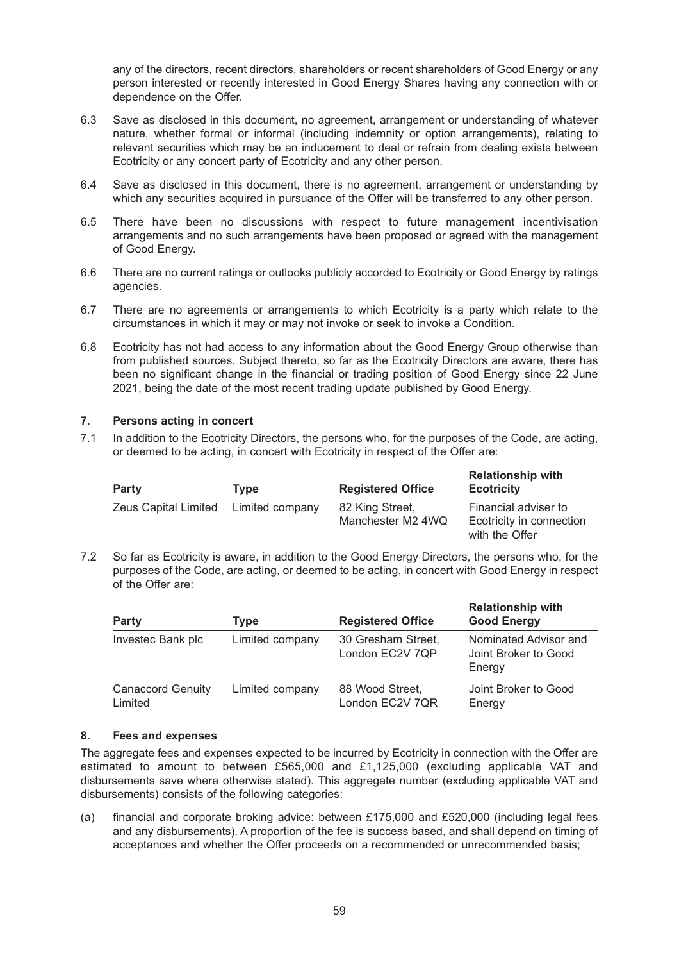any of the directors, recent directors, shareholders or recent shareholders of Good Energy or any person interested or recently interested in Good Energy Shares having any connection with or dependence on the Offer.

- 6.3 Save as disclosed in this document, no agreement, arrangement or understanding of whatever nature, whether formal or informal (including indemnity or option arrangements), relating to relevant securities which may be an inducement to deal or refrain from dealing exists between Ecotricity or any concert party of Ecotricity and any other person.
- 6.4 Save as disclosed in this document, there is no agreement, arrangement or understanding by which any securities acquired in pursuance of the Offer will be transferred to any other person.
- 6.5 There have been no discussions with respect to future management incentivisation arrangements and no such arrangements have been proposed or agreed with the management of Good Energy.
- 6.6 There are no current ratings or outlooks publicly accorded to Ecotricity or Good Energy by ratings agencies.
- 6.7 There are no agreements or arrangements to which Ecotricity is a party which relate to the circumstances in which it may or may not invoke or seek to invoke a Condition.
- 6.8 Ecotricity has not had access to any information about the Good Energy Group otherwise than from published sources. Subject thereto, so far as the Ecotricity Directors are aware, there has been no significant change in the financial or trading position of Good Energy since 22 June 2021, being the date of the most recent trading update published by Good Energy.

### **7. Persons acting in concert**

7.1 In addition to the Ecotricity Directors, the persons who, for the purposes of the Code, are acting, or deemed to be acting, in concert with Ecotricity in respect of the Offer are:

| Party                                | Tvpe | <b>Registered Office</b>             | <b>Relationship with</b><br><b>Ecotricity</b>                      |
|--------------------------------------|------|--------------------------------------|--------------------------------------------------------------------|
| Zeus Capital Limited Limited company |      | 82 King Street,<br>Manchester M2 4WQ | Financial adviser to<br>Ecotricity in connection<br>with the Offer |

7.2 So far as Ecotricity is aware, in addition to the Good Energy Directors, the persons who, for the purposes of the Code, are acting, or deemed to be acting, in concert with Good Energy in respect of the Offer are:

| <b>Party</b>                        | Type            | <b>Registered Office</b>              | <b>Relationship with</b><br><b>Good Energy</b>          |
|-------------------------------------|-----------------|---------------------------------------|---------------------------------------------------------|
| Investec Bank plc                   | Limited company | 30 Gresham Street,<br>London EC2V 7QP | Nominated Advisor and<br>Joint Broker to Good<br>Energy |
| <b>Canaccord Genuity</b><br>Limited | Limited company | 88 Wood Street,<br>London EC2V 7QR    | Joint Broker to Good<br>Energy                          |

#### **8. Fees and expenses**

The aggregate fees and expenses expected to be incurred by Ecotricity in connection with the Offer are estimated to amount to between £565,000 and £1,125,000 (excluding applicable VAT and disbursements save where otherwise stated). This aggregate number (excluding applicable VAT and disbursements) consists of the following categories:

(a) financial and corporate broking advice: between £175,000 and £520,000 (including legal fees and any disbursements). A proportion of the fee is success based, and shall depend on timing of acceptances and whether the Offer proceeds on a recommended or unrecommended basis;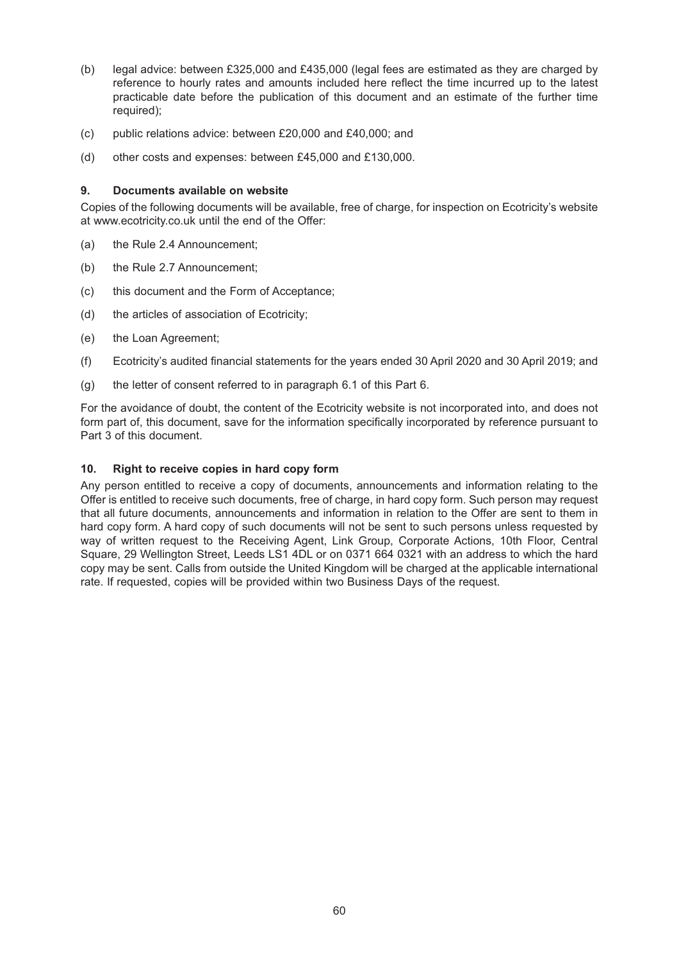- (b) legal advice: between £325,000 and £435,000 (legal fees are estimated as they are charged by reference to hourly rates and amounts included here reflect the time incurred up to the latest practicable date before the publication of this document and an estimate of the further time required);
- (c) public relations advice: between £20,000 and £40,000; and
- (d) other costs and expenses: between £45,000 and £130,000.

#### **9. Documents available on website**

Copies of the following documents will be available, free of charge, for inspection on Ecotricity's website at www.ecotricity.co.uk until the end of the Offer:

- (a) the Rule 2.4 Announcement;
- (b) the Rule 2.7 Announcement;
- (c) this document and the Form of Acceptance;
- (d) the articles of association of Ecotricity;
- (e) the Loan Agreement;
- (f) Ecotricity's audited financial statements for the years ended 30 April 2020 and 30 April 2019; and
- (g) the letter of consent referred to in paragraph 6.1 of this Part 6.

For the avoidance of doubt, the content of the Ecotricity website is not incorporated into, and does not form part of, this document, save for the information specifically incorporated by reference pursuant to Part 3 of this document.

#### **10. Right to receive copies in hard copy form**

Any person entitled to receive a copy of documents, announcements and information relating to the Offer is entitled to receive such documents, free of charge, in hard copy form. Such person may request that all future documents, announcements and information in relation to the Offer are sent to them in hard copy form. A hard copy of such documents will not be sent to such persons unless requested by way of written request to the Receiving Agent, Link Group, Corporate Actions, 10th Floor, Central Square, 29 Wellington Street, Leeds LS1 4DL or on 0371 664 0321 with an address to which the hard copy may be sent. Calls from outside the United Kingdom will be charged at the applicable international rate. If requested, copies will be provided within two Business Days of the request.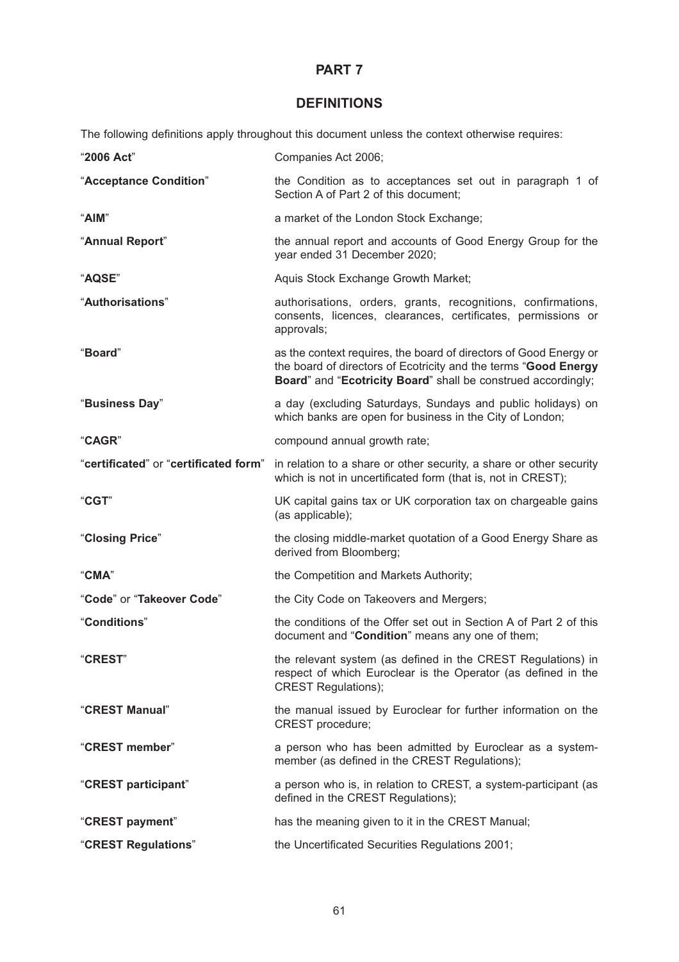# **DEFINITIONS**

The following definitions apply throughout this document unless the context otherwise requires:

| "2006 Act"                            | Companies Act 2006;                                                                                                                                                                                   |
|---------------------------------------|-------------------------------------------------------------------------------------------------------------------------------------------------------------------------------------------------------|
| "Acceptance Condition"                | the Condition as to acceptances set out in paragraph 1 of<br>Section A of Part 2 of this document;                                                                                                    |
| "AIM"                                 | a market of the London Stock Exchange;                                                                                                                                                                |
| "Annual Report"                       | the annual report and accounts of Good Energy Group for the<br>year ended 31 December 2020;                                                                                                           |
| "AQSE"                                | Aquis Stock Exchange Growth Market;                                                                                                                                                                   |
| "Authorisations"                      | authorisations, orders, grants, recognitions, confirmations,<br>consents, licences, clearances, certificates, permissions or<br>approvals;                                                            |
| "Board"                               | as the context requires, the board of directors of Good Energy or<br>the board of directors of Ecotricity and the terms "Good Energy<br>Board" and "Ecotricity Board" shall be construed accordingly; |
| "Business Day"                        | a day (excluding Saturdays, Sundays and public holidays) on<br>which banks are open for business in the City of London;                                                                               |
| "CAGR"                                | compound annual growth rate;                                                                                                                                                                          |
| "certificated" or "certificated form" | in relation to a share or other security, a share or other security<br>which is not in uncertificated form (that is, not in CREST);                                                                   |
| "CGT"                                 | UK capital gains tax or UK corporation tax on chargeable gains<br>(as applicable);                                                                                                                    |
| "Closing Price"                       | the closing middle-market quotation of a Good Energy Share as<br>derived from Bloomberg;                                                                                                              |
| "CMA"                                 | the Competition and Markets Authority;                                                                                                                                                                |
| "Code" or "Takeover Code"             | the City Code on Takeovers and Mergers;                                                                                                                                                               |
| "Conditions"                          | the conditions of the Offer set out in Section A of Part 2 of this<br>document and "Condition" means any one of them;                                                                                 |
| "CREST"                               | the relevant system (as defined in the CREST Regulations) in<br>respect of which Euroclear is the Operator (as defined in the<br><b>CREST Regulations);</b>                                           |
| "CREST Manual"                        | the manual issued by Euroclear for further information on the<br>CREST procedure;                                                                                                                     |
| "CREST member"                        | a person who has been admitted by Euroclear as a system-<br>member (as defined in the CREST Regulations);                                                                                             |
| "CREST participant"                   | a person who is, in relation to CREST, a system-participant (as<br>defined in the CREST Regulations);                                                                                                 |
| "CREST payment"                       | has the meaning given to it in the CREST Manual;                                                                                                                                                      |
| "CREST Regulations"                   | the Uncertificated Securities Regulations 2001;                                                                                                                                                       |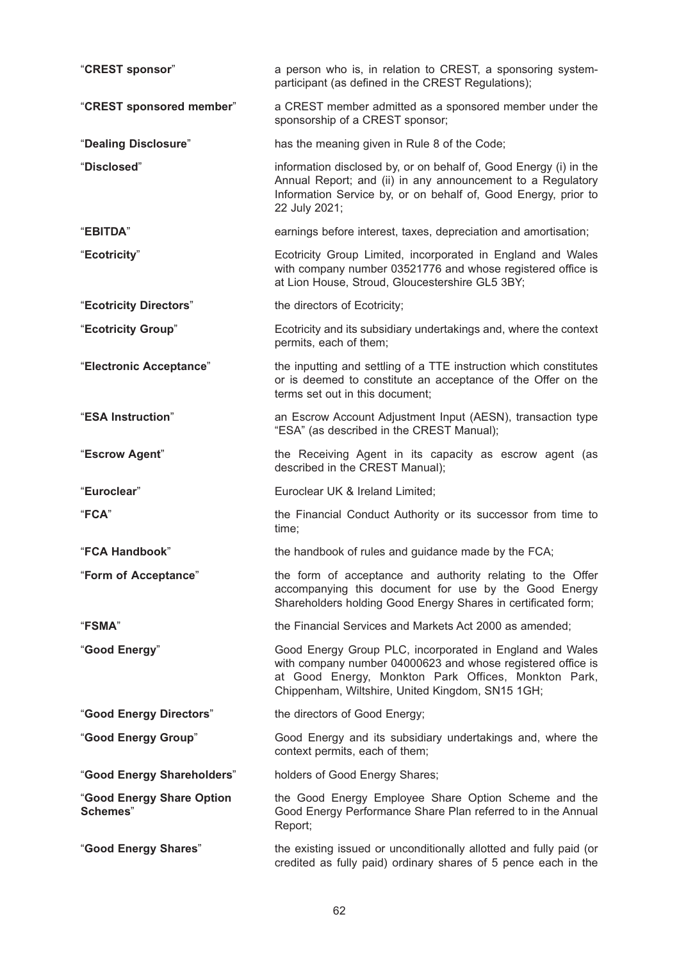| "CREST sponsor"                       | a person who is, in relation to CREST, a sponsoring system-<br>participant (as defined in the CREST Regulations);                                                                                                                  |
|---------------------------------------|------------------------------------------------------------------------------------------------------------------------------------------------------------------------------------------------------------------------------------|
| "CREST sponsored member"              | a CREST member admitted as a sponsored member under the<br>sponsorship of a CREST sponsor;                                                                                                                                         |
| "Dealing Disclosure"                  | has the meaning given in Rule 8 of the Code;                                                                                                                                                                                       |
| "Disclosed"                           | information disclosed by, or on behalf of, Good Energy (i) in the<br>Annual Report; and (ii) in any announcement to a Regulatory<br>Information Service by, or on behalf of, Good Energy, prior to<br>22 July 2021;                |
| "EBITDA"                              | earnings before interest, taxes, depreciation and amortisation;                                                                                                                                                                    |
| "Ecotricity"                          | Ecotricity Group Limited, incorporated in England and Wales<br>with company number 03521776 and whose registered office is<br>at Lion House, Stroud, Gloucestershire GL5 3BY;                                                      |
| "Ecotricity Directors"                | the directors of Ecotricity;                                                                                                                                                                                                       |
| "Ecotricity Group"                    | Ecotricity and its subsidiary undertakings and, where the context<br>permits, each of them;                                                                                                                                        |
| "Electronic Acceptance"               | the inputting and settling of a TTE instruction which constitutes<br>or is deemed to constitute an acceptance of the Offer on the<br>terms set out in this document;                                                               |
| "ESA Instruction"                     | an Escrow Account Adjustment Input (AESN), transaction type<br>"ESA" (as described in the CREST Manual);                                                                                                                           |
| "Escrow Agent"                        | the Receiving Agent in its capacity as escrow agent (as<br>described in the CREST Manual);                                                                                                                                         |
| "Euroclear"                           | Euroclear UK & Ireland Limited;                                                                                                                                                                                                    |
| "FCA"                                 | the Financial Conduct Authority or its successor from time to<br>time;                                                                                                                                                             |
| "FCA Handbook"                        | the handbook of rules and guidance made by the FCA;                                                                                                                                                                                |
| "Form of Acceptance"                  | the form of acceptance and authority relating to the Offer<br>accompanying this document for use by the Good Energy<br>Shareholders holding Good Energy Shares in certificated form;                                               |
| "FSMA"                                | the Financial Services and Markets Act 2000 as amended;                                                                                                                                                                            |
| "Good Energy"                         | Good Energy Group PLC, incorporated in England and Wales<br>with company number 04000623 and whose registered office is<br>at Good Energy, Monkton Park Offices, Monkton Park,<br>Chippenham, Wiltshire, United Kingdom, SN15 1GH; |
| "Good Energy Directors"               | the directors of Good Energy;                                                                                                                                                                                                      |
| "Good Energy Group"                   | Good Energy and its subsidiary undertakings and, where the<br>context permits, each of them;                                                                                                                                       |
| "Good Energy Shareholders"            | holders of Good Energy Shares;                                                                                                                                                                                                     |
| "Good Energy Share Option<br>Schemes" | the Good Energy Employee Share Option Scheme and the<br>Good Energy Performance Share Plan referred to in the Annual<br>Report;                                                                                                    |
| "Good Energy Shares"                  | the existing issued or unconditionally allotted and fully paid (or<br>credited as fully paid) ordinary shares of 5 pence each in the                                                                                               |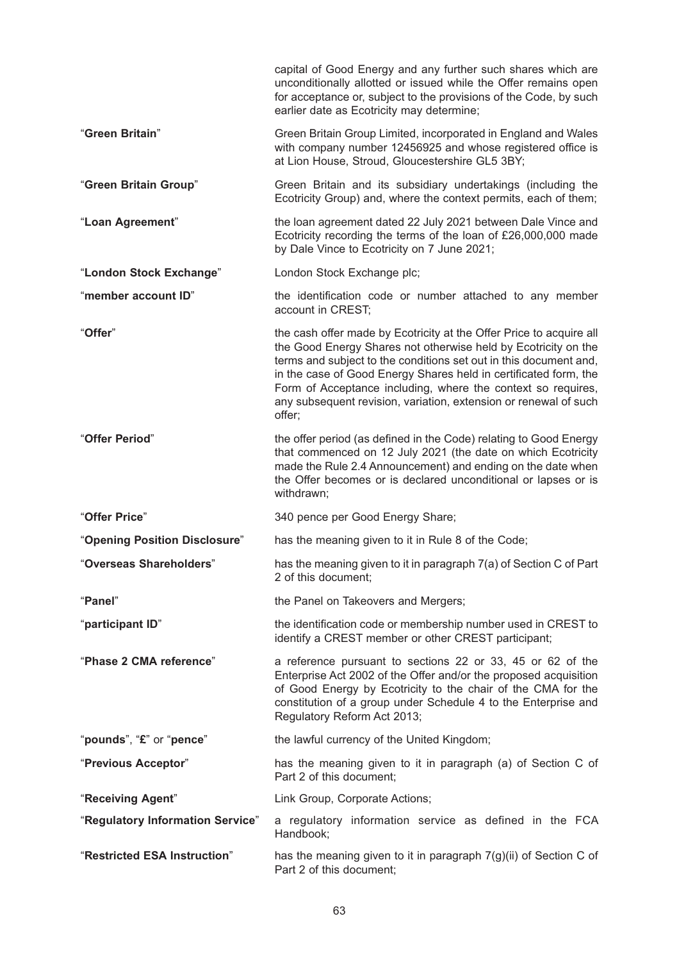|                                  | capital of Good Energy and any further such shares which are<br>unconditionally allotted or issued while the Offer remains open<br>for acceptance or, subject to the provisions of the Code, by such<br>earlier date as Ecotricity may determine;                                                                                                                                                                            |
|----------------------------------|------------------------------------------------------------------------------------------------------------------------------------------------------------------------------------------------------------------------------------------------------------------------------------------------------------------------------------------------------------------------------------------------------------------------------|
| "Green Britain"                  | Green Britain Group Limited, incorporated in England and Wales<br>with company number 12456925 and whose registered office is<br>at Lion House, Stroud, Gloucestershire GL5 3BY;                                                                                                                                                                                                                                             |
| "Green Britain Group"            | Green Britain and its subsidiary undertakings (including the<br>Ecotricity Group) and, where the context permits, each of them;                                                                                                                                                                                                                                                                                              |
| "Loan Agreement"                 | the loan agreement dated 22 July 2021 between Dale Vince and<br>Ecotricity recording the terms of the loan of £26,000,000 made<br>by Dale Vince to Ecotricity on 7 June 2021;                                                                                                                                                                                                                                                |
| "London Stock Exchange"          | London Stock Exchange plc;                                                                                                                                                                                                                                                                                                                                                                                                   |
| "member account ID"              | the identification code or number attached to any member<br>account in CREST;                                                                                                                                                                                                                                                                                                                                                |
| "Offer"                          | the cash offer made by Ecotricity at the Offer Price to acquire all<br>the Good Energy Shares not otherwise held by Ecotricity on the<br>terms and subject to the conditions set out in this document and,<br>in the case of Good Energy Shares held in certificated form, the<br>Form of Acceptance including, where the context so requires,<br>any subsequent revision, variation, extension or renewal of such<br>offer; |
| "Offer Period"                   | the offer period (as defined in the Code) relating to Good Energy<br>that commenced on 12 July 2021 (the date on which Ecotricity<br>made the Rule 2.4 Announcement) and ending on the date when<br>the Offer becomes or is declared unconditional or lapses or is<br>withdrawn;                                                                                                                                             |
| "Offer Price"                    | 340 pence per Good Energy Share;                                                                                                                                                                                                                                                                                                                                                                                             |
| "Opening Position Disclosure"    | has the meaning given to it in Rule 8 of the Code;                                                                                                                                                                                                                                                                                                                                                                           |
| "Overseas Shareholders"          | has the meaning given to it in paragraph 7(a) of Section C of Part<br>2 of this document;                                                                                                                                                                                                                                                                                                                                    |
| "Panel"                          | the Panel on Takeovers and Mergers;                                                                                                                                                                                                                                                                                                                                                                                          |
| "participant ID"                 | the identification code or membership number used in CREST to<br>identify a CREST member or other CREST participant;                                                                                                                                                                                                                                                                                                         |
| "Phase 2 CMA reference"          | a reference pursuant to sections 22 or 33, 45 or 62 of the<br>Enterprise Act 2002 of the Offer and/or the proposed acquisition<br>of Good Energy by Ecotricity to the chair of the CMA for the<br>constitution of a group under Schedule 4 to the Enterprise and<br>Regulatory Reform Act 2013;                                                                                                                              |
| "pounds", "£" or "pence"         | the lawful currency of the United Kingdom;                                                                                                                                                                                                                                                                                                                                                                                   |
| "Previous Acceptor"              | has the meaning given to it in paragraph (a) of Section C of<br>Part 2 of this document;                                                                                                                                                                                                                                                                                                                                     |
| "Receiving Agent"                | Link Group, Corporate Actions;                                                                                                                                                                                                                                                                                                                                                                                               |
| "Regulatory Information Service" | a regulatory information service as defined in the FCA<br>Handbook;                                                                                                                                                                                                                                                                                                                                                          |
| "Restricted ESA Instruction"     | has the meaning given to it in paragraph $7(g)(ii)$ of Section C of<br>Part 2 of this document;                                                                                                                                                                                                                                                                                                                              |